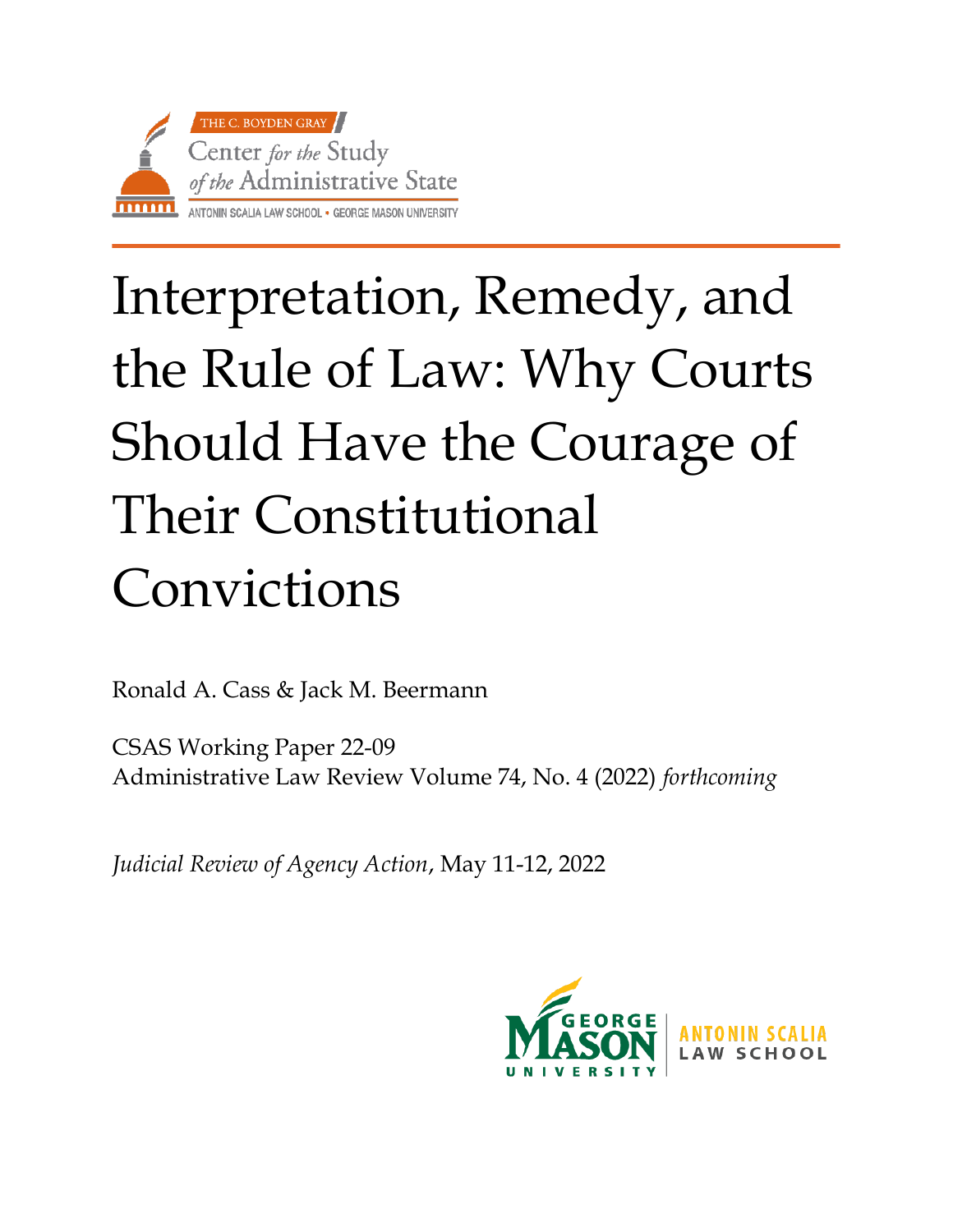

# Interpretation, Remedy, and the Rule of Law: Why Courts Should Have the Courage of Their Constitutional Convictions

Ronald A. Cass & Jack M. Beermann

CSAS Working Paper 22-09 Administrative Law Review Volume 74, No. 4 (2022) *forthcoming*

*Judicial Review of Agency Action*, May 11-12, 2022

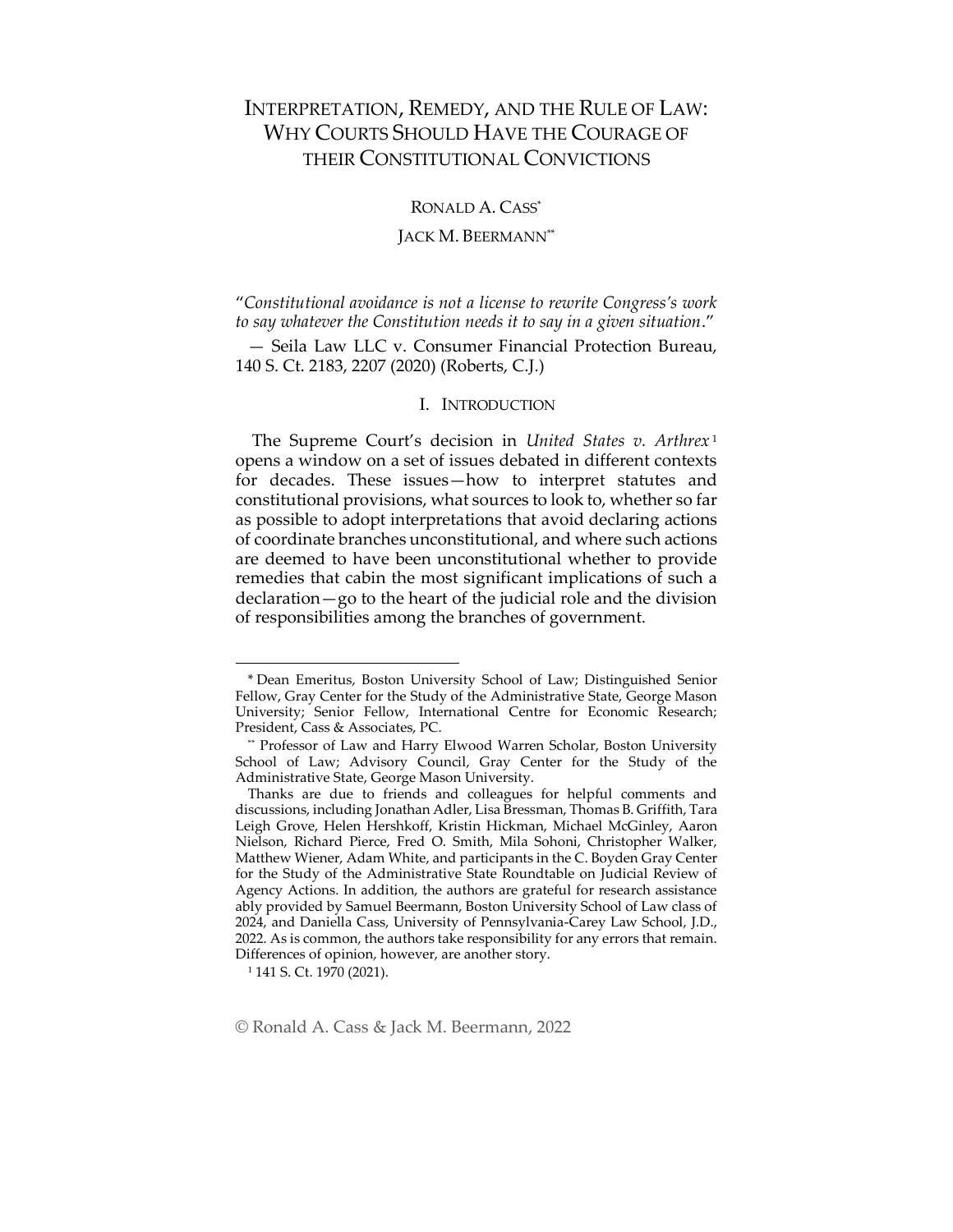# INTERPRETATION, REMEDY, AND THE RULE OF LAW: WHY COURTS SHOULD HAVE THE COURAGE OF THEIR CONSTITUTIONAL CONVICTIONS

RONALD A. CASS\*

# JACK M. BEERMANN\*\*

"*Constitutional avoidance is not a license to rewrite Congress's work to say whatever the Constitution needs it to say in a given situation*."

— Seila Law LLC v. Consumer Financial Protection Bureau, 140 S. Ct. 2183, 2207 (2020) (Roberts, C.J.)

## I. INTRODUCTION

The Supreme Court's decision in *United States v. Arthrex* <sup>1</sup> opens a window on a set of issues debated in different contexts for decades. These issues—how to interpret statutes and constitutional provisions, what sources to look to, whether so far as possible to adopt interpretations that avoid declaring actions of coordinate branches unconstitutional, and where such actions are deemed to have been unconstitutional whether to provide remedies that cabin the most significant implications of such a declaration—go to the heart of the judicial role and the division of responsibilities among the branches of government.

© Ronald A. Cass & Jack M. Beermann, 2022

<sup>\*</sup> Dean Emeritus, Boston University School of Law; Distinguished Senior Fellow, Gray Center for the Study of the Administrative State, George Mason University; Senior Fellow, International Centre for Economic Research; President, Cass & Associates, PC.

<sup>\*\*</sup> Professor of Law and Harry Elwood Warren Scholar, Boston University School of Law; Advisory Council, Gray Center for the Study of the Administrative State, George Mason University.

Thanks are due to friends and colleagues for helpful comments and discussions, including Jonathan Adler, Lisa Bressman, Thomas B. Griffith, Tara Leigh Grove, Helen Hershkoff, Kristin Hickman, Michael McGinley, Aaron Nielson, Richard Pierce, Fred O. Smith, Mila Sohoni, Christopher Walker, Matthew Wiener, Adam White, and participants in the C. Boyden Gray Center for the Study of the Administrative State Roundtable on Judicial Review of Agency Actions. In addition, the authors are grateful for research assistance ably provided by Samuel Beermann, Boston University School of Law class of 2024, and Daniella Cass, University of Pennsylvania-Carey Law School, J.D., 2022. As is common, the authors take responsibility for any errors that remain. Differences of opinion, however, are another story.

<sup>1</sup> 141 S. Ct. 1970 (2021).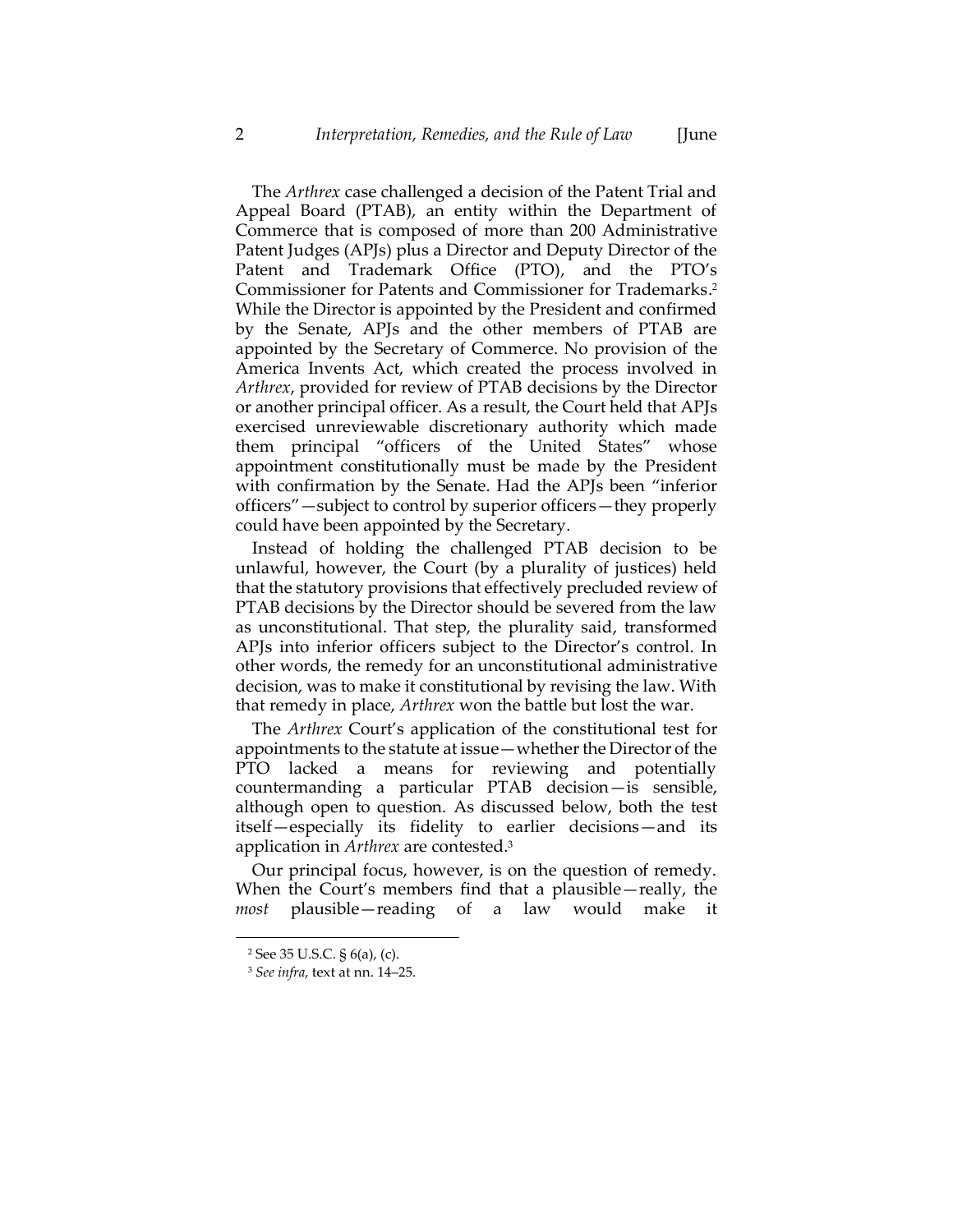The *Arthrex* case challenged a decision of the Patent Trial and Appeal Board (PTAB), an entity within the Department of Commerce that is composed of more than 200 Administrative Patent Judges (APJs) plus a Director and Deputy Director of the Patent and Trademark Office (PTO), and the PTO's Commissioner for Patents and Commissioner for Trademarks. 2 While the Director is appointed by the President and confirmed by the Senate, APJs and the other members of PTAB are appointed by the Secretary of Commerce. No provision of the America Invents Act, which created the process involved in *Arthrex*, provided for review of PTAB decisions by the Director or another principal officer. As a result, the Court held that APJs exercised unreviewable discretionary authority which made them principal "officers of the United States" whose appointment constitutionally must be made by the President with confirmation by the Senate. Had the APJs been "inferior officers"—subject to control by superior officers—they properly could have been appointed by the Secretary.

Instead of holding the challenged PTAB decision to be unlawful, however, the Court (by a plurality of justices) held that the statutory provisions that effectively precluded review of PTAB decisions by the Director should be severed from the law as unconstitutional. That step, the plurality said, transformed APJs into inferior officers subject to the Director's control. In other words, the remedy for an unconstitutional administrative decision, was to make it constitutional by revising the law. With that remedy in place, *Arthrex* won the battle but lost the war.

The *Arthrex* Court's application of the constitutional test for appointments to the statute at issue—whether the Director of the PTO lacked a means for reviewing and potentially countermanding a particular PTAB decision—is sensible, although open to question. As discussed below, both the test itself—especially its fidelity to earlier decisions—and its application in *Arthrex* are contested.<sup>3</sup>

Our principal focus, however, is on the question of remedy. When the Court's members find that a plausible—really, the *most* plausible—reading of a law would make it

<sup>2</sup> See 35 U.S.C. § 6(a), (c).

<sup>3</sup> *See infra*, text at nn[. 14](#page-6-0)–[25.](#page-8-0)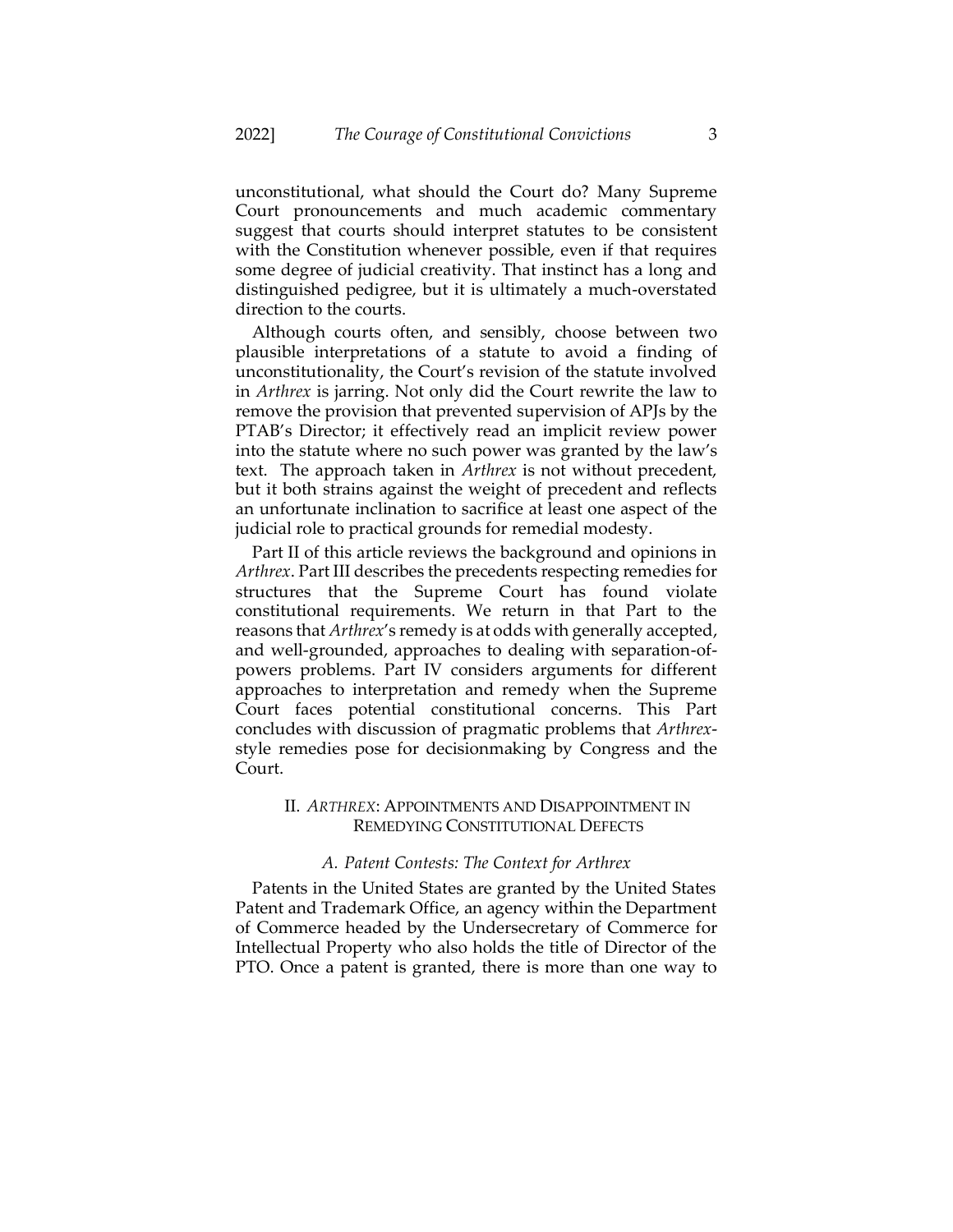unconstitutional, what should the Court do? Many Supreme Court pronouncements and much academic commentary suggest that courts should interpret statutes to be consistent with the Constitution whenever possible, even if that requires some degree of judicial creativity. That instinct has a long and distinguished pedigree, but it is ultimately a much-overstated direction to the courts.

Although courts often, and sensibly, choose between two plausible interpretations of a statute to avoid a finding of unconstitutionality, the Court's revision of the statute involved in *Arthrex* is jarring. Not only did the Court rewrite the law to remove the provision that prevented supervision of APJs by the PTAB's Director; it effectively read an implicit review power into the statute where no such power was granted by the law's text. The approach taken in *Arthrex* is not without precedent, but it both strains against the weight of precedent and reflects an unfortunate inclination to sacrifice at least one aspect of the judicial role to practical grounds for remedial modesty.

Part II of this article reviews the background and opinions in *Arthrex*. Part III describes the precedents respecting remedies for structures that the Supreme Court has found violate constitutional requirements. We return in that Part to the reasons that *Arthrex*'s remedy is at odds with generally accepted, and well-grounded, approaches to dealing with separation-ofpowers problems. Part IV considers arguments for different approaches to interpretation and remedy when the Supreme Court faces potential constitutional concerns. This Part concludes with discussion of pragmatic problems that *Arthrex*style remedies pose for decisionmaking by Congress and the Court.

# II. *ARTHREX*: APPOINTMENTS AND DISAPPOINTMENT IN REMEDYING CONSTITUTIONAL DEFECTS

# *A. Patent Contests: The Context for Arthrex*

Patents in the United States are granted by the United States Patent and Trademark Office, an agency within the Department of Commerce headed by the Undersecretary of Commerce for Intellectual Property who also holds the title of Director of the PTO. Once a patent is granted, there is more than one way to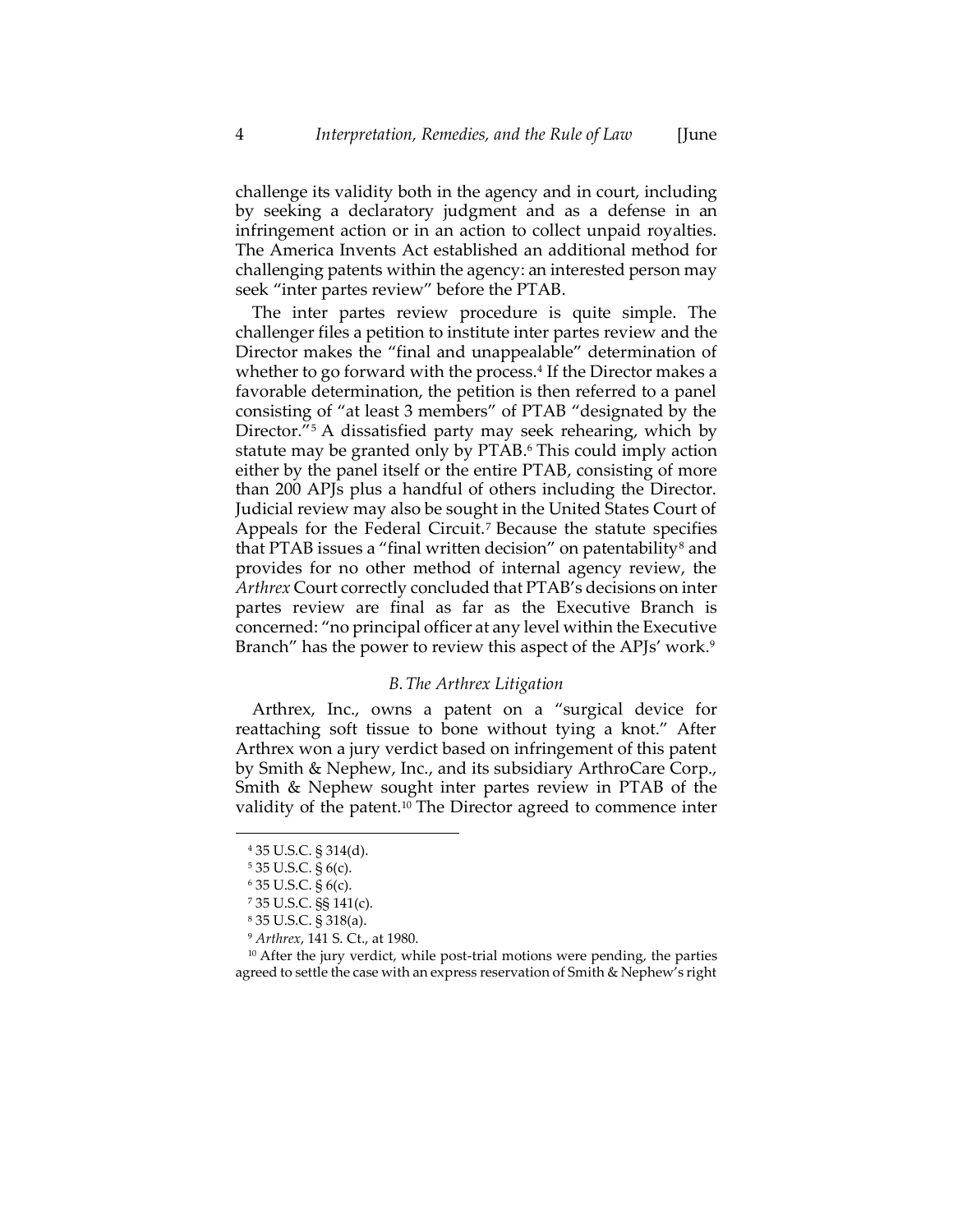challenge its validity both in the agency and in court, including by seeking a declaratory judgment and as a defense in an infringement action or in an action to collect unpaid royalties. The America Invents Act established an additional method for challenging patents within the agency: an interested person may seek "inter partes review" before the PTAB.

The inter partes review procedure is quite simple. The challenger files a petition to institute inter partes review and the Director makes the "final and unappealable" determination of whether to go forward with the process.<sup>4</sup> If the Director makes a favorable determination, the petition is then referred to a panel consisting of "at least 3 members" of PTAB "designated by the Director."<sup>5</sup> A dissatisfied party may seek rehearing, which by statute may be granted only by PTAB. <sup>6</sup> This could imply action either by the panel itself or the entire PTAB, consisting of more than 200 APJs plus a handful of others including the Director. Judicial review may also be sought in the United States Court of Appeals for the Federal Circuit.<sup>7</sup> Because the statute specifies that PTAB issues a "final written decision" on patentability<sup>8</sup> and provides for no other method of internal agency review, the *Arthrex* Court correctly concluded that PTAB's decisions on inter partes review are final as far as the Executive Branch is concerned: "no principal officer at any level within the Executive Branch" has the power to review this aspect of the APJs' work.<sup>9</sup>

#### *B.The Arthrex Litigation*

Arthrex, Inc., owns a patent on a "surgical device for reattaching soft tissue to bone without tying a knot." After Arthrex won a jury verdict based on infringement of this patent by Smith & Nephew, Inc., and its subsidiary ArthroCare Corp., Smith & Nephew sought inter partes review in PTAB of the validity of the patent.<sup>10</sup> The Director agreed to commence inter

<sup>4</sup> 35 U.S.C. § 314(d).

<sup>5</sup> 35 U.S.C. § 6(c).

<sup>6</sup> 35 U.S.C. § 6(c).

<sup>7</sup> 35 U.S.C. §§ 141(c).

<sup>8</sup> 35 U.S.C. § 318(a).

<sup>9</sup> *Arthrex*, 141 S. Ct., at 1980.

 $10$  After the jury verdict, while post-trial motions were pending, the parties agreed to settle the case with an express reservation of Smith & Nephew's right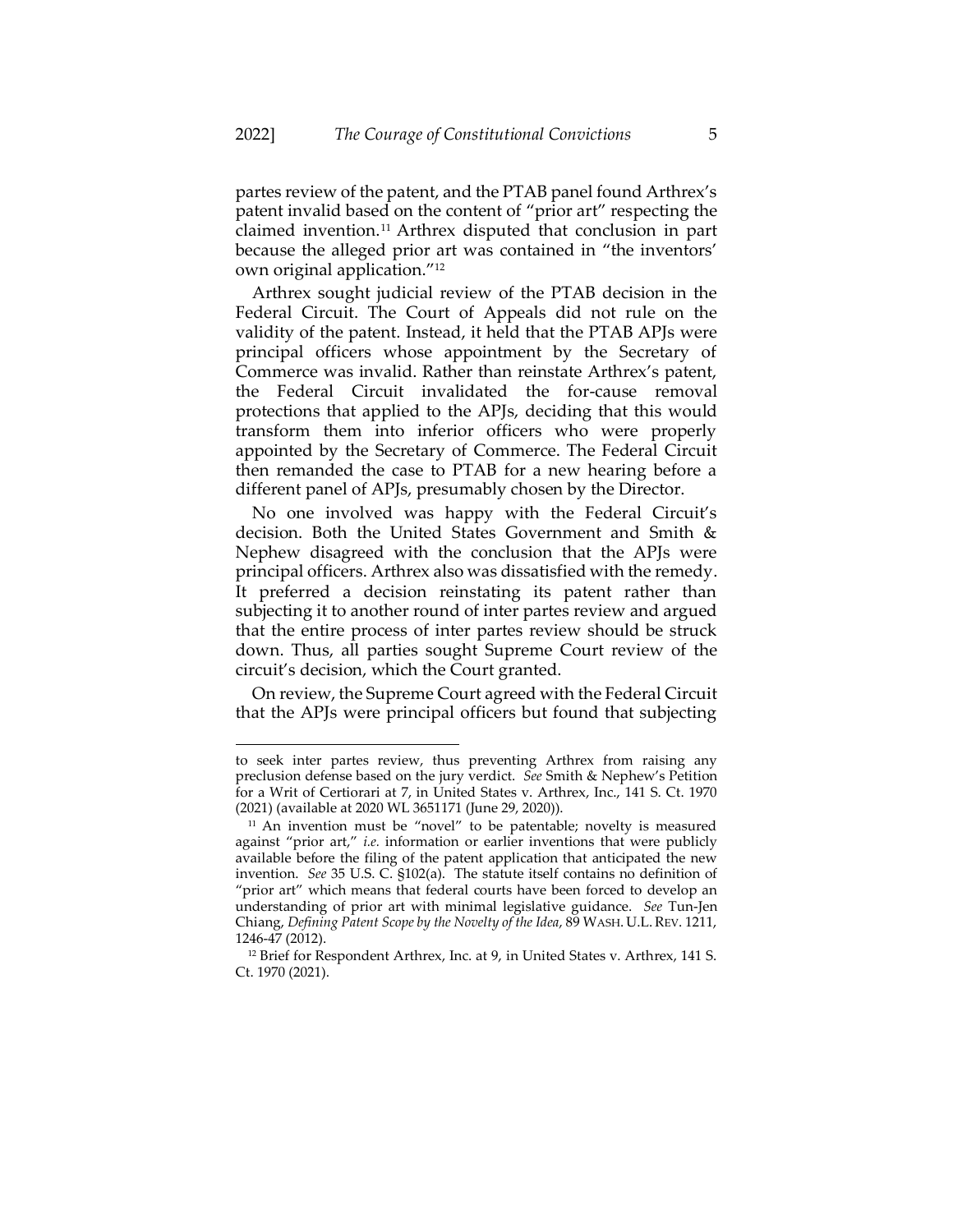partes review of the patent, and the PTAB panel found Arthrex's patent invalid based on the content of "prior art" respecting the claimed invention.<sup>11</sup> Arthrex disputed that conclusion in part because the alleged prior art was contained in "the inventors' own original application."<sup>12</sup>

Arthrex sought judicial review of the PTAB decision in the Federal Circuit. The Court of Appeals did not rule on the validity of the patent. Instead, it held that the PTAB APJs were principal officers whose appointment by the Secretary of Commerce was invalid. Rather than reinstate Arthrex's patent, the Federal Circuit invalidated the for-cause removal protections that applied to the APJs, deciding that this would transform them into inferior officers who were properly appointed by the Secretary of Commerce. The Federal Circuit then remanded the case to PTAB for a new hearing before a different panel of APJs, presumably chosen by the Director.

No one involved was happy with the Federal Circuit's decision. Both the United States Government and Smith & Nephew disagreed with the conclusion that the APJs were principal officers. Arthrex also was dissatisfied with the remedy. It preferred a decision reinstating its patent rather than subjecting it to another round of inter partes review and argued that the entire process of inter partes review should be struck down. Thus, all parties sought Supreme Court review of the circuit's decision, which the Court granted.

On review, the Supreme Court agreed with the Federal Circuit that the APJs were principal officers but found that subjecting

to seek inter partes review, thus preventing Arthrex from raising any preclusion defense based on the jury verdict. *See* Smith & Nephew's Petition for a Writ of Certiorari at 7, in United States v. Arthrex, Inc., 141 S. Ct. 1970 (2021) (available at 2020 WL 3651171 (June 29, 2020)).

 $11$  An invention must be "novel" to be patentable; novelty is measured against "prior art," *i.e.* information or earlier inventions that were publicly available before the filing of the patent application that anticipated the new invention. *See* 35 U.S. C. §102(a). The statute itself contains no definition of "prior art" which means that federal courts have been forced to develop an understanding of prior art with minimal legislative guidance. *See* Tun-Jen Chiang, *Defining Patent Scope by the Novelty of the Idea*, 89 WASH. U.L.REV. 1211, 1246-47 (2012).

<sup>&</sup>lt;sup>12</sup> Brief for Respondent Arthrex, Inc. at 9, in United States v. Arthrex, 141 S. Ct. 1970 (2021).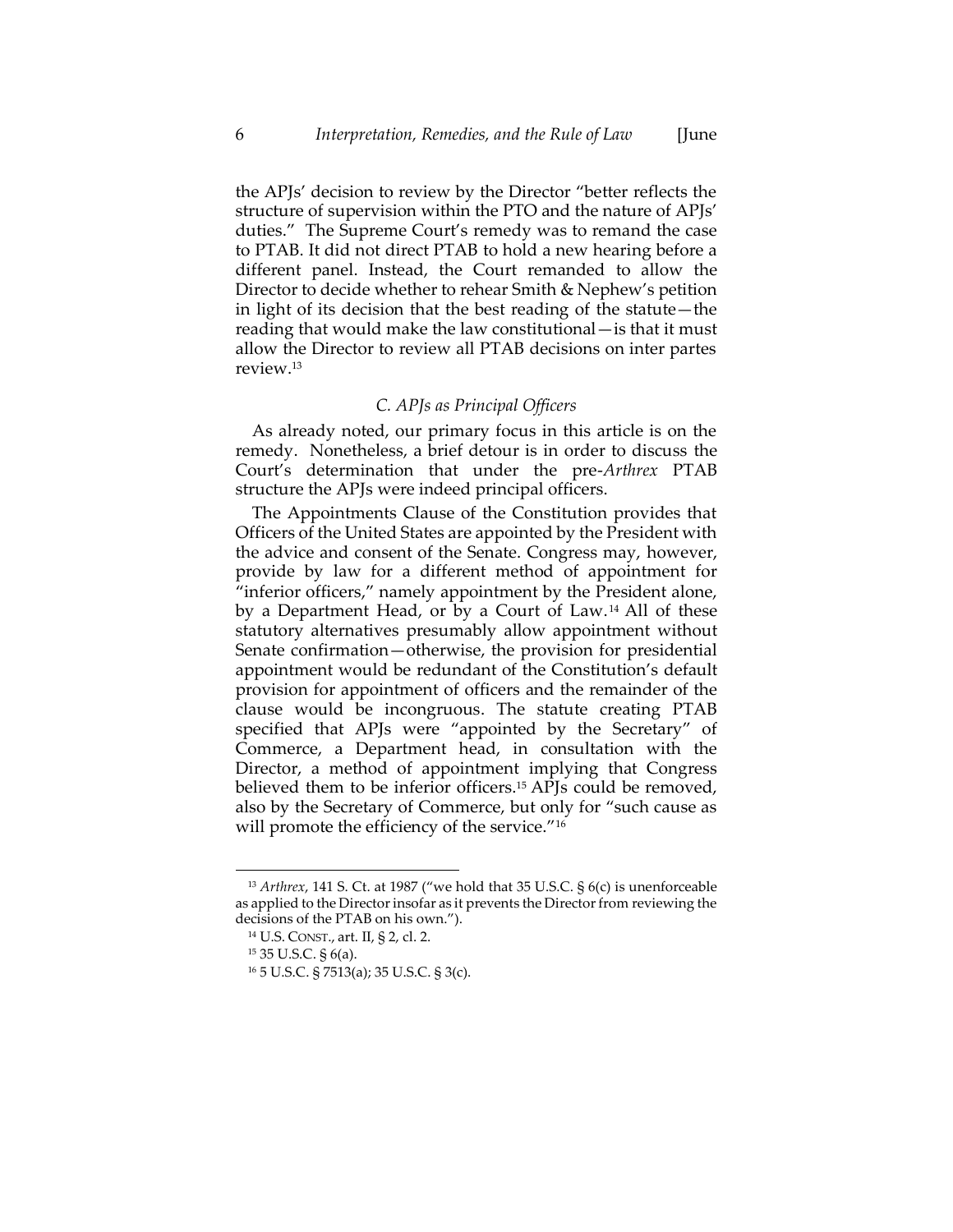the APJs' decision to review by the Director "better reflects the structure of supervision within the PTO and the nature of APJs' duties." The Supreme Court's remedy was to remand the case to PTAB. It did not direct PTAB to hold a new hearing before a different panel. Instead, the Court remanded to allow the Director to decide whether to rehear Smith & Nephew's petition in light of its decision that the best reading of the statute—the reading that would make the law constitutional—is that it must allow the Director to review all PTAB decisions on inter partes review.<sup>13</sup>

#### <span id="page-6-0"></span>*C. APJs as Principal Officers*

As already noted, our primary focus in this article is on the remedy. Nonetheless, a brief detour is in order to discuss the Court's determination that under the pre-*Arthrex* PTAB structure the APJs were indeed principal officers.

The Appointments Clause of the Constitution provides that Officers of the United States are appointed by the President with the advice and consent of the Senate. Congress may, however, provide by law for a different method of appointment for "inferior officers," namely appointment by the President alone, by a Department Head, or by a Court of Law. <sup>14</sup> All of these statutory alternatives presumably allow appointment without Senate confirmation—otherwise, the provision for presidential appointment would be redundant of the Constitution's default provision for appointment of officers and the remainder of the clause would be incongruous. The statute creating PTAB specified that APJs were "appointed by the Secretary" of Commerce, a Department head, in consultation with the Director, a method of appointment implying that Congress believed them to be inferior officers.<sup>15</sup> APJs could be removed, also by the Secretary of Commerce, but only for "such cause as will promote the efficiency of the service."<sup>16</sup>

<sup>13</sup> *Arthrex*, 141 S. Ct. at 1987 ("we hold that 35 U.S.C. § 6(c) is unenforceable as applied to the Director insofar as it prevents the Director from reviewing the decisions of the PTAB on his own.").

<sup>14</sup> U.S. CONST., art. II, § 2, cl. 2.

<sup>15</sup> 35 U.S.C. § 6(a).

<sup>16</sup> 5 U.S.C. § 7513(a); 35 U.S.C. § 3(c).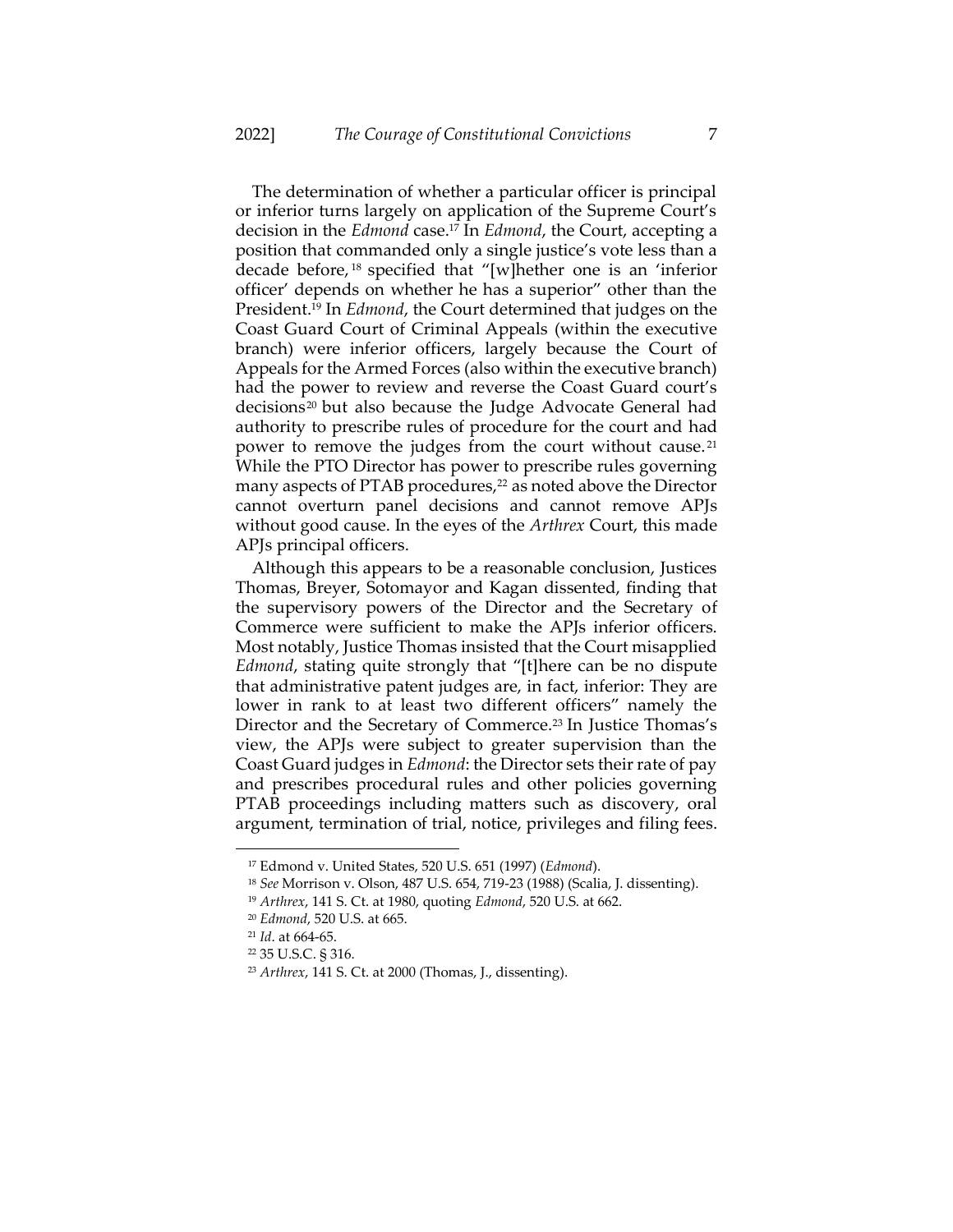The determination of whether a particular officer is principal or inferior turns largely on application of the Supreme Court's decision in the *Edmond* case.<sup>17</sup> In *Edmond*, the Court, accepting a position that commanded only a single justice's vote less than a decade before, <sup>18</sup> specified that "[w]hether one is an 'inferior officer' depends on whether he has a superior" other than the President.<sup>19</sup> In *Edmond*, the Court determined that judges on the Coast Guard Court of Criminal Appeals (within the executive branch) were inferior officers, largely because the Court of Appeals for the Armed Forces (also within the executive branch) had the power to review and reverse the Coast Guard court's decisions<sup>20</sup> but also because the Judge Advocate General had authority to prescribe rules of procedure for the court and had power to remove the judges from the court without cause. <sup>21</sup> While the PTO Director has power to prescribe rules governing many aspects of PTAB procedures,<sup>22</sup> as noted above the Director cannot overturn panel decisions and cannot remove APJs without good cause. In the eyes of the *Arthrex* Court, this made APJs principal officers.

Although this appears to be a reasonable conclusion, Justices Thomas, Breyer, Sotomayor and Kagan dissented, finding that the supervisory powers of the Director and the Secretary of Commerce were sufficient to make the APJs inferior officers. Most notably, Justice Thomas insisted that the Court misapplied *Edmond*, stating quite strongly that "[t]here can be no dispute that administrative patent judges are, in fact, inferior: They are lower in rank to at least two different officers" namely the Director and the Secretary of Commerce.<sup>23</sup> In Justice Thomas's view, the APJs were subject to greater supervision than the Coast Guard judges in *Edmond*: the Director sets their rate of pay and prescribes procedural rules and other policies governing PTAB proceedings including matters such as discovery, oral argument, termination of trial, notice, privileges and filing fees.

<sup>17</sup> Edmond v. United States, 520 U.S. 651 (1997) (*Edmond*).

<sup>18</sup> *See* Morrison v. Olson, 487 U.S. 654, 719-23 (1988) (Scalia, J. dissenting).

<sup>19</sup> *Arthrex*, 141 S. Ct. at 1980, quoting *Edmond*, 520 U.S. at 662.

<sup>20</sup> *Edmond*, 520 U.S. at 665.

<sup>21</sup> *Id*. at 664-65.

<sup>22</sup> 35 U.S.C. § 316.

<sup>23</sup> *Arthrex*, 141 S. Ct. at 2000 (Thomas, J., dissenting).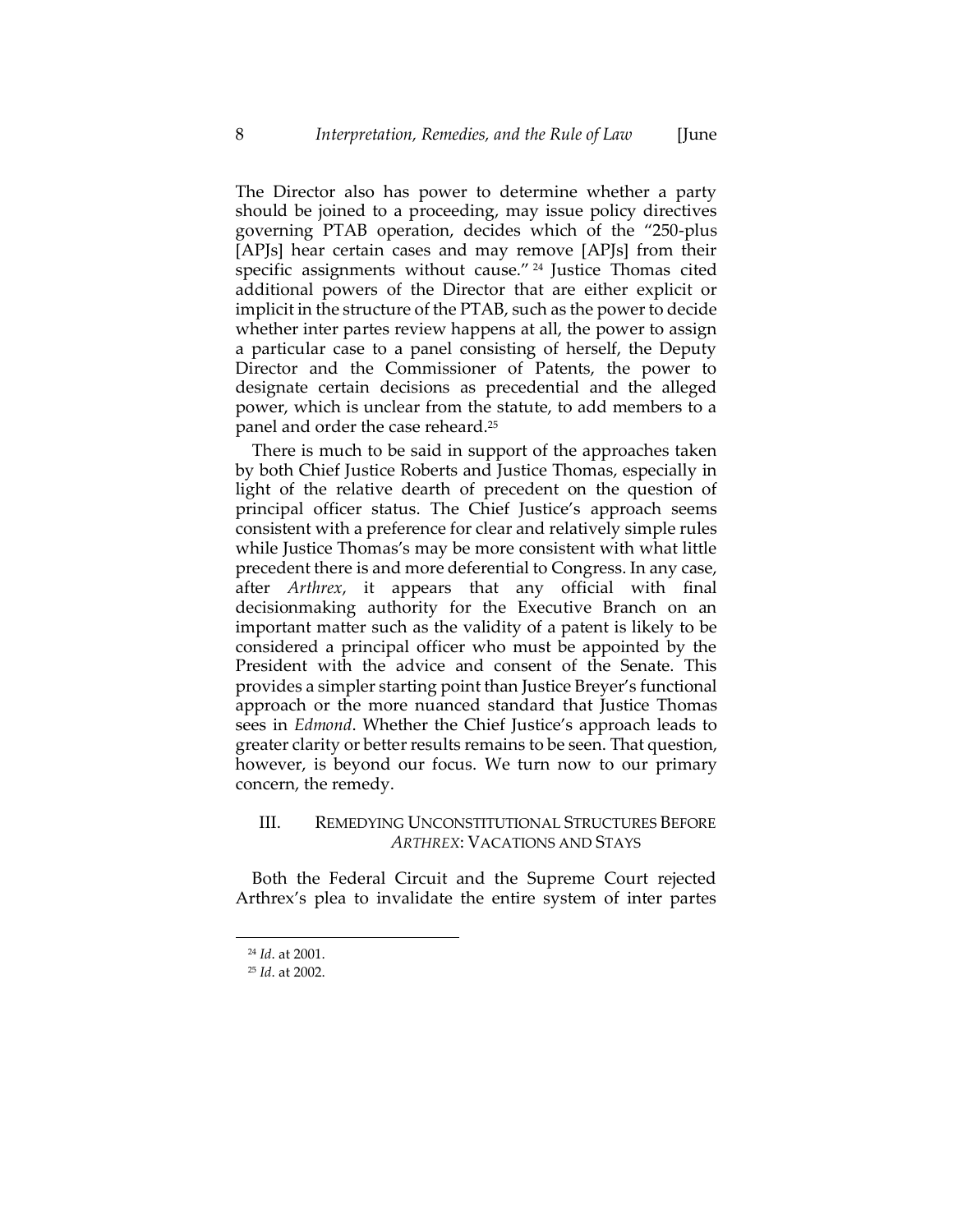The Director also has power to determine whether a party should be joined to a proceeding, may issue policy directives governing PTAB operation, decides which of the "250-plus [APJs] hear certain cases and may remove [APJs] from their specific assignments without cause." <sup>24</sup> Justice Thomas cited additional powers of the Director that are either explicit or implicit in the structure of the PTAB, such as the power to decide whether inter partes review happens at all, the power to assign a particular case to a panel consisting of herself, the Deputy Director and the Commissioner of Patents, the power to designate certain decisions as precedential and the alleged power, which is unclear from the statute, to add members to a panel and order the case reheard.<sup>25</sup>

<span id="page-8-0"></span>There is much to be said in support of the approaches taken by both Chief Justice Roberts and Justice Thomas, especially in light of the relative dearth of precedent on the question of principal officer status. The Chief Justice's approach seems consistent with a preference for clear and relatively simple rules while Justice Thomas's may be more consistent with what little precedent there is and more deferential to Congress. In any case, after *Arthrex*, it appears that any official with final decisionmaking authority for the Executive Branch on an important matter such as the validity of a patent is likely to be considered a principal officer who must be appointed by the President with the advice and consent of the Senate. This provides a simpler starting point than Justice Breyer's functional approach or the more nuanced standard that Justice Thomas sees in *Edmond*. Whether the Chief Justice's approach leads to greater clarity or better results remains to be seen. That question, however, is beyond our focus. We turn now to our primary concern, the remedy.

# III. REMEDYING UNCONSTITUTIONAL STRUCTURES BEFORE *ARTHREX*: VACATIONS AND STAYS

Both the Federal Circuit and the Supreme Court rejected Arthrex's plea to invalidate the entire system of inter partes

<sup>24</sup> *Id*. at 2001.

<sup>25</sup> *Id*. at 2002.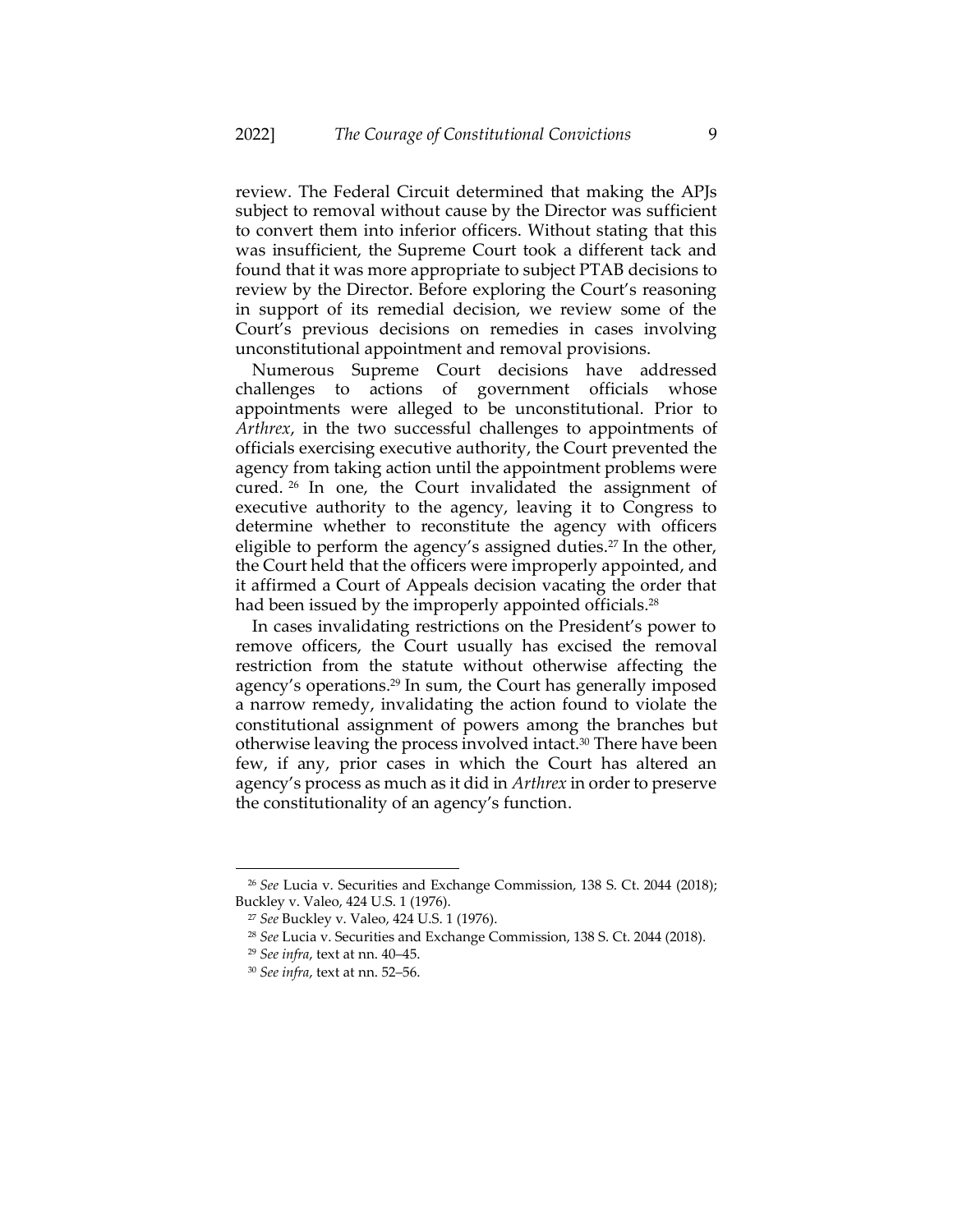review. The Federal Circuit determined that making the APJs subject to removal without cause by the Director was sufficient to convert them into inferior officers. Without stating that this was insufficient, the Supreme Court took a different tack and found that it was more appropriate to subject PTAB decisions to review by the Director. Before exploring the Court's reasoning in support of its remedial decision, we review some of the Court's previous decisions on remedies in cases involving unconstitutional appointment and removal provisions.

Numerous Supreme Court decisions have addressed challenges to actions of government officials whose appointments were alleged to be unconstitutional. Prior to *Arthrex*, in the two successful challenges to appointments of officials exercising executive authority, the Court prevented the agency from taking action until the appointment problems were cured. <sup>26</sup> In one, the Court invalidated the assignment of executive authority to the agency, leaving it to Congress to determine whether to reconstitute the agency with officers eligible to perform the agency's assigned duties.<sup>27</sup> In the other, the Court held that the officers were improperly appointed, and it affirmed a Court of Appeals decision vacating the order that had been issued by the improperly appointed officials.<sup>28</sup>

In cases invalidating restrictions on the President's power to remove officers, the Court usually has excised the removal restriction from the statute without otherwise affecting the agency's operations.<sup>29</sup> In sum, the Court has generally imposed a narrow remedy, invalidating the action found to violate the constitutional assignment of powers among the branches but otherwise leaving the process involved intact.<sup>30</sup> There have been few, if any, prior cases in which the Court has altered an agency's process as much as it did in *Arthrex* in order to preserve the constitutionality of an agency's function.

<sup>26</sup> *See* Lucia v. Securities and Exchange Commission, 138 S. Ct. 2044 (2018); Buckley v. Valeo, 424 U.S. 1 (1976).

<sup>27</sup> *See* Buckley v. Valeo, 424 U.S. 1 (1976).

<sup>28</sup> *See* Lucia v. Securities and Exchange Commission, 138 S. Ct. 2044 (2018).

<sup>29</sup> *See infra*, text at nn[. 40](#page-12-0)–[45.](#page-13-0)

<sup>30</sup> *See infra*, text at nn[. 52](#page-16-0)–[56.](#page-17-0)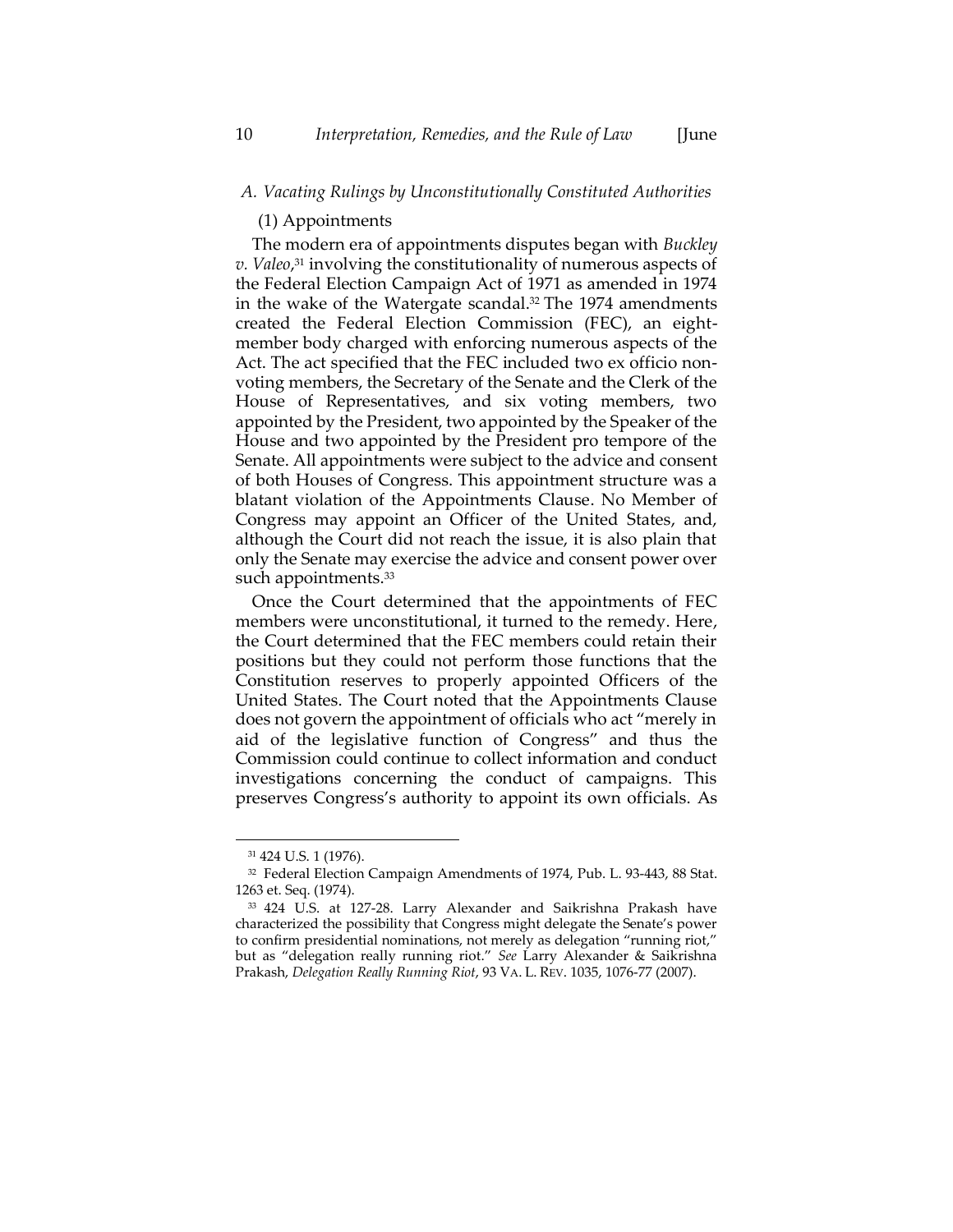#### (1) Appointments

The modern era of appointments disputes began with *Buckley v. Valeo*, <sup>31</sup> involving the constitutionality of numerous aspects of the Federal Election Campaign Act of 1971 as amended in 1974 in the wake of the Watergate scandal. <sup>32</sup> The 1974 amendments created the Federal Election Commission (FEC), an eightmember body charged with enforcing numerous aspects of the Act. The act specified that the FEC included two ex officio nonvoting members, the Secretary of the Senate and the Clerk of the House of Representatives, and six voting members, two appointed by the President, two appointed by the Speaker of the House and two appointed by the President pro tempore of the Senate. All appointments were subject to the advice and consent of both Houses of Congress. This appointment structure was a blatant violation of the Appointments Clause. No Member of Congress may appoint an Officer of the United States, and, although the Court did not reach the issue, it is also plain that only the Senate may exercise the advice and consent power over such appointments.<sup>33</sup>

Once the Court determined that the appointments of FEC members were unconstitutional, it turned to the remedy. Here, the Court determined that the FEC members could retain their positions but they could not perform those functions that the Constitution reserves to properly appointed Officers of the United States. The Court noted that the Appointments Clause does not govern the appointment of officials who act "merely in aid of the legislative function of Congress" and thus the Commission could continue to collect information and conduct investigations concerning the conduct of campaigns. This preserves Congress's authority to appoint its own officials. As

<sup>31</sup> 424 U.S. 1 (1976).

<sup>32</sup> Federal Election Campaign Amendments of 1974, Pub. L. 93-443, 88 Stat. 1263 et. Seq. (1974).

<sup>33</sup> 424 U.S. at 127-28. Larry Alexander and Saikrishna Prakash have characterized the possibility that Congress might delegate the Senate's power to confirm presidential nominations, not merely as delegation "running riot," but as "delegation really running riot." *See* Larry Alexander & Saikrishna Prakash, *Delegation Really Running Riot*, 93 VA. L. REV. 1035, 1076-77 (2007).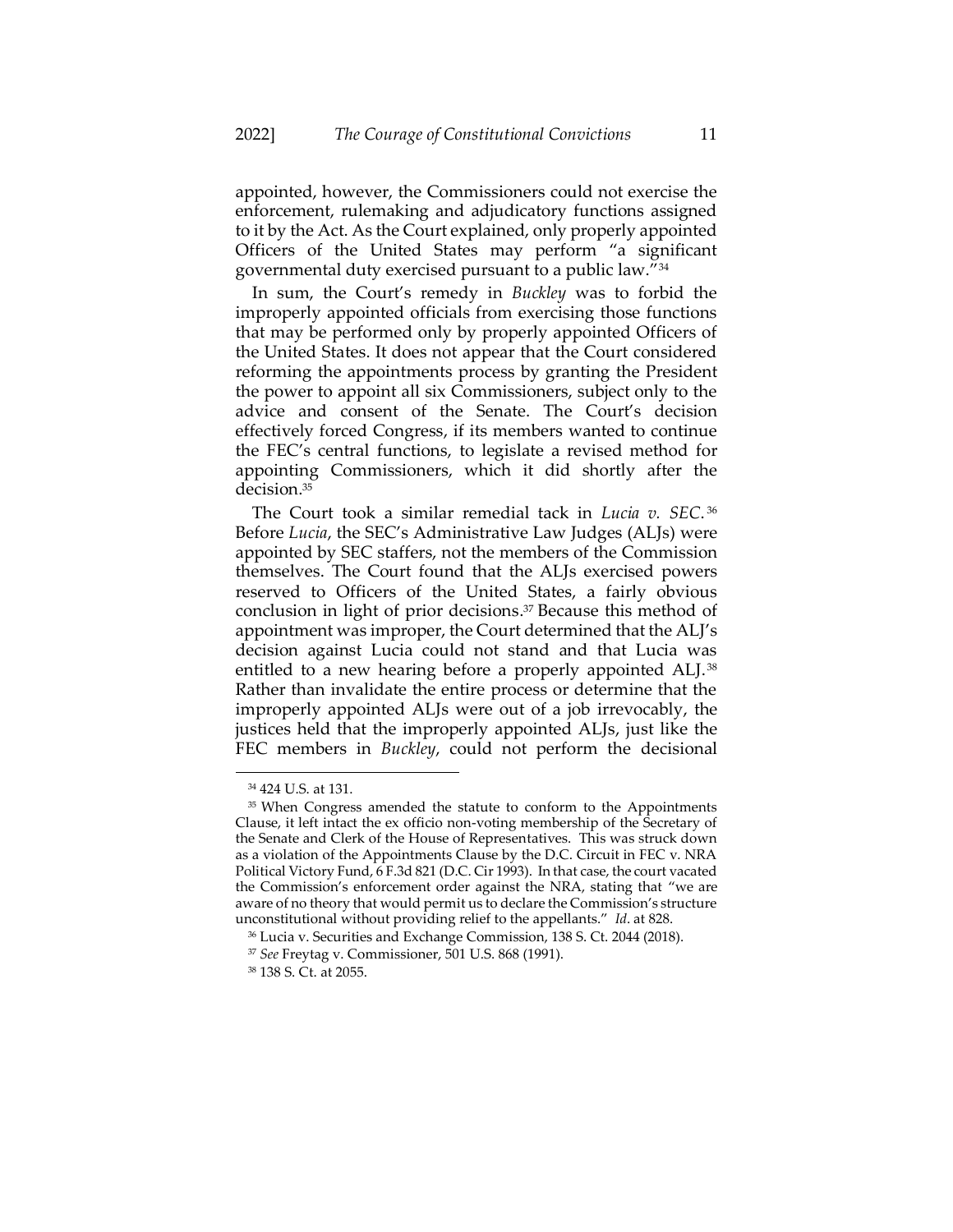appointed, however, the Commissioners could not exercise the enforcement, rulemaking and adjudicatory functions assigned to it by the Act. As the Court explained, only properly appointed Officers of the United States may perform "a significant governmental duty exercised pursuant to a public law."<sup>34</sup>

In sum, the Court's remedy in *Buckley* was to forbid the improperly appointed officials from exercising those functions that may be performed only by properly appointed Officers of the United States. It does not appear that the Court considered reforming the appointments process by granting the President the power to appoint all six Commissioners, subject only to the advice and consent of the Senate. The Court's decision effectively forced Congress, if its members wanted to continue the FEC's central functions, to legislate a revised method for appointing Commissioners, which it did shortly after the decision. 35

The Court took a similar remedial tack in *Lucia v. SEC*. 36 Before *Lucia*, the SEC's Administrative Law Judges (ALJs) were appointed by SEC staffers, not the members of the Commission themselves. The Court found that the ALJs exercised powers reserved to Officers of the United States, a fairly obvious conclusion in light of prior decisions. <sup>37</sup> Because this method of appointment was improper, the Court determined that the ALJ's decision against Lucia could not stand and that Lucia was entitled to a new hearing before a properly appointed ALJ.<sup>38</sup> Rather than invalidate the entire process or determine that the improperly appointed ALJs were out of a job irrevocably, the justices held that the improperly appointed ALJs, just like the FEC members in *Buckley*, could not perform the decisional

<sup>34</sup> 424 U.S. at 131.

<sup>&</sup>lt;sup>35</sup> When Congress amended the statute to conform to the Appointments Clause, it left intact the ex officio non-voting membership of the Secretary of the Senate and Clerk of the House of Representatives. This was struck down as a violation of the Appointments Clause by the D.C. Circuit in FEC v. NRA Political Victory Fund, 6 F.3d 821 (D.C. Cir 1993). In that case, the court vacated the Commission's enforcement order against the NRA, stating that "we are aware of no theory that would permit us to declare the Commission's structure unconstitutional without providing relief to the appellants." *Id*. at 828.

<sup>36</sup> Lucia v. Securities and Exchange Commission, 138 S. Ct. 2044 (2018).

<sup>37</sup> *See* Freytag v. Commissioner, 501 U.S. 868 (1991).

<sup>38</sup> 138 S. Ct. at 2055.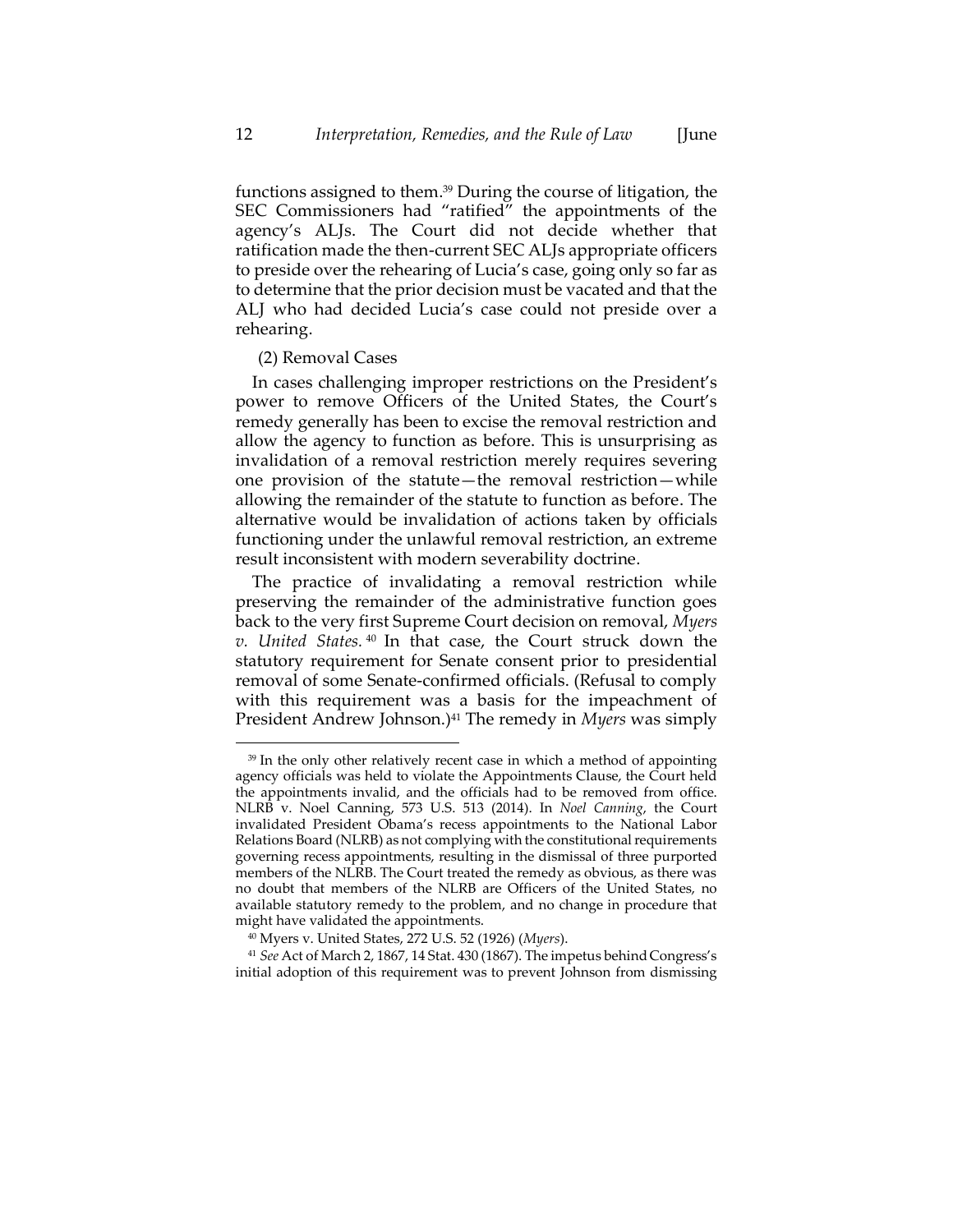functions assigned to them. <sup>39</sup> During the course of litigation, the SEC Commissioners had "ratified" the appointments of the agency's ALJs. The Court did not decide whether that ratification made the then-current SEC ALJs appropriate officers to preside over the rehearing of Lucia's case, going only so far as to determine that the prior decision must be vacated and that the ALJ who had decided Lucia's case could not preside over a rehearing.

#### (2) Removal Cases

In cases challenging improper restrictions on the President's power to remove Officers of the United States, the Court's remedy generally has been to excise the removal restriction and allow the agency to function as before. This is unsurprising as invalidation of a removal restriction merely requires severing one provision of the statute—the removal restriction—while allowing the remainder of the statute to function as before. The alternative would be invalidation of actions taken by officials functioning under the unlawful removal restriction, an extreme result inconsistent with modern severability doctrine.

<span id="page-12-0"></span>The practice of invalidating a removal restriction while preserving the remainder of the administrative function goes back to the very first Supreme Court decision on removal, *Myers v. United States.* <sup>40</sup> In that case, the Court struck down the statutory requirement for Senate consent prior to presidential removal of some Senate-confirmed officials. (Refusal to comply with this requirement was a basis for the impeachment of President Andrew Johnson.)<sup>41</sup> The remedy in *Myers* was simply

<sup>&</sup>lt;sup>39</sup> In the only other relatively recent case in which a method of appointing agency officials was held to violate the Appointments Clause, the Court held the appointments invalid, and the officials had to be removed from office. NLRB v. Noel Canning, 573 U.S. 513 (2014). In *Noel Canning*, the Court invalidated President Obama's recess appointments to the National Labor Relations Board (NLRB) as not complying with the constitutional requirements governing recess appointments, resulting in the dismissal of three purported members of the NLRB. The Court treated the remedy as obvious, as there was no doubt that members of the NLRB are Officers of the United States, no available statutory remedy to the problem, and no change in procedure that might have validated the appointments.

<sup>40</sup> Myers v. United States, 272 U.S. 52 (1926) (*Myers*).

<sup>41</sup> *See* Act of March 2, 1867, 14 Stat. 430 (1867). The impetus behind Congress's initial adoption of this requirement was to prevent Johnson from dismissing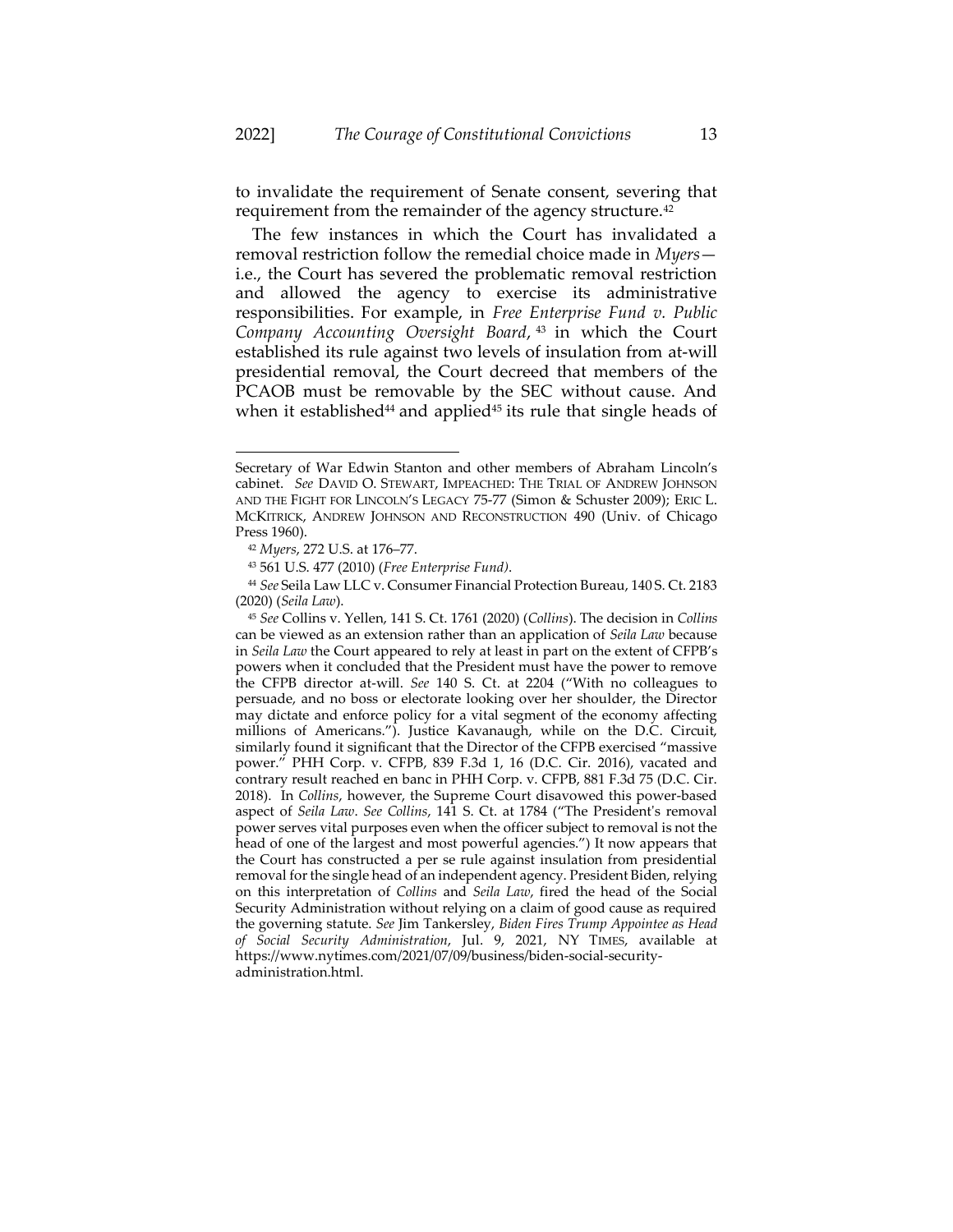to invalidate the requirement of Senate consent, severing that requirement from the remainder of the agency structure.<sup>42</sup>

The few instances in which the Court has invalidated a removal restriction follow the remedial choice made in *Myers* i.e., the Court has severed the problematic removal restriction and allowed the agency to exercise its administrative responsibilities. For example, in *Free Enterprise Fund v. Public Company Accounting Oversight Board*, <sup>43</sup> in which the Court established its rule against two levels of insulation from at-will presidential removal, the Court decreed that members of the PCAOB must be removable by the SEC without cause. And when it established $44$  and applied $45$  its rule that single heads of

<span id="page-13-0"></span>Secretary of War Edwin Stanton and other members of Abraham Lincoln's cabinet. *See* DAVID O. STEWART, IMPEACHED: THE TRIAL OF ANDREW JOHNSON AND THE FIGHT FOR LINCOLN'S LEGACY 75-77 (Simon & Schuster 2009); ERIC L. MCKITRICK, ANDREW JOHNSON AND RECONSTRUCTION 490 (Univ. of Chicago Press 1960).

<sup>42</sup> *Myers*, 272 U.S. at 176–77.

<sup>43</sup> 561 U.S. 477 (2010) (*Free Enterprise Fund)*.

<sup>44</sup> *See* Seila Law LLC v. Consumer Financial Protection Bureau, 140 S. Ct. 2183 (2020) (*Seila Law*).

<sup>45</sup> *See* Collins v. Yellen, 141 S. Ct. 1761 (2020) (*Collins*). The decision in *Collins* can be viewed as an extension rather than an application of *Seila Law* because in *Seila Law* the Court appeared to rely at least in part on the extent of CFPB's powers when it concluded that the President must have the power to remove the CFPB director at-will. *See* 140 S. Ct. at 2204 ("With no colleagues to persuade, and no boss or electorate looking over her shoulder, the Director may dictate and enforce policy for a vital segment of the economy affecting millions of Americans."). Justice Kavanaugh, while on the D.C. Circuit, similarly found it significant that the Director of the CFPB exercised "massive power." PHH Corp. v. CFPB, 839 F.3d 1, 16 (D.C. Cir. 2016), vacated and contrary result reached en banc in PHH Corp. v. CFPB, 881 F.3d 75 (D.C. Cir. 2018). In *Collins*, however, the Supreme Court disavowed this power-based aspect of *Seila Law*. *See Collins*, 141 S. Ct. at 1784 ("The President's removal power serves vital purposes even when the officer subject to removal is not the head of one of the largest and most powerful agencies.") It now appears that the Court has constructed a per se rule against insulation from presidential removal for the single head of an independent agency. President Biden, relying on this interpretation of *Collins* and *Seila Law*, fired the head of the Social Security Administration without relying on a claim of good cause as required the governing statute. *See* Jim Tankersley, *Biden Fires Trump Appointee as Head of Social Security Administration*, Jul. 9, 2021, NY TIMES, available at https://www.nytimes.com/2021/07/09/business/biden-social-securityadministration.html.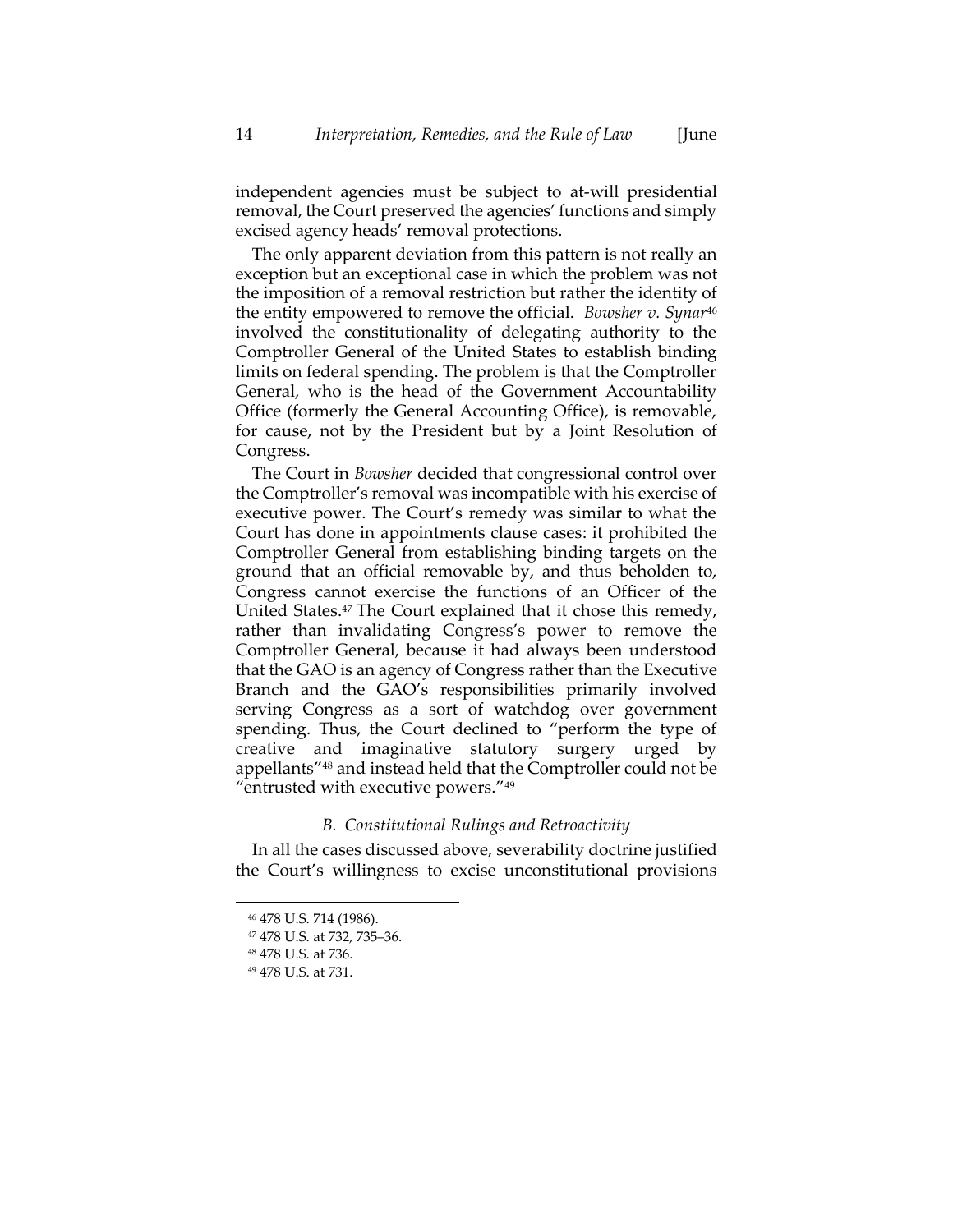independent agencies must be subject to at-will presidential removal, the Court preserved the agencies' functions and simply excised agency heads' removal protections.

The only apparent deviation from this pattern is not really an exception but an exceptional case in which the problem was not the imposition of a removal restriction but rather the identity of the entity empowered to remove the official. *Bowsher v. Synar*<sup>46</sup> involved the constitutionality of delegating authority to the Comptroller General of the United States to establish binding limits on federal spending. The problem is that the Comptroller General, who is the head of the Government Accountability Office (formerly the General Accounting Office), is removable, for cause, not by the President but by a Joint Resolution of Congress.

The Court in *Bowsher* decided that congressional control over the Comptroller's removal was incompatible with his exercise of executive power. The Court's remedy was similar to what the Court has done in appointments clause cases: it prohibited the Comptroller General from establishing binding targets on the ground that an official removable by, and thus beholden to, Congress cannot exercise the functions of an Officer of the United States.<sup>47</sup> The Court explained that it chose this remedy, rather than invalidating Congress's power to remove the Comptroller General, because it had always been understood that the GAO is an agency of Congress rather than the Executive Branch and the GAO's responsibilities primarily involved serving Congress as a sort of watchdog over government spending. Thus, the Court declined to "perform the type of creative and imaginative statutory surgery urged by appellants"<sup>48</sup> and instead held that the Comptroller could not be "entrusted with executive powers."<sup>49</sup>

#### *B. Constitutional Rulings and Retroactivity*

In all the cases discussed above, severability doctrine justified the Court's willingness to excise unconstitutional provisions

<sup>46</sup> 478 U.S. 714 (1986).

<sup>47</sup> 478 U.S. at 732, 735–36.

<sup>48</sup> 478 U.S. at 736.

<sup>49</sup> 478 U.S. at 731.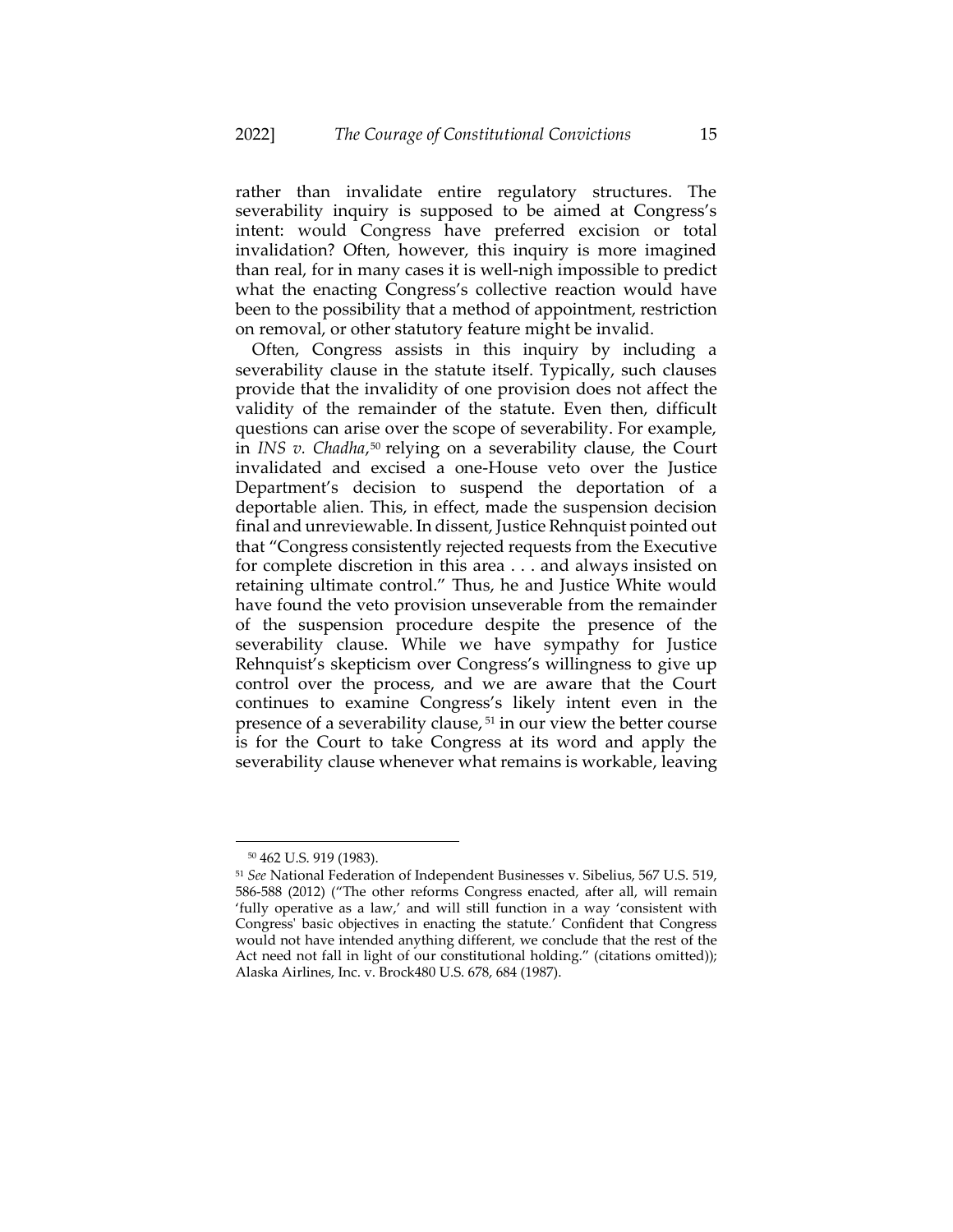rather than invalidate entire regulatory structures. The severability inquiry is supposed to be aimed at Congress's intent: would Congress have preferred excision or total invalidation? Often, however, this inquiry is more imagined than real, for in many cases it is well-nigh impossible to predict what the enacting Congress's collective reaction would have been to the possibility that a method of appointment, restriction on removal, or other statutory feature might be invalid.

Often, Congress assists in this inquiry by including a severability clause in the statute itself. Typically, such clauses provide that the invalidity of one provision does not affect the validity of the remainder of the statute. Even then, difficult questions can arise over the scope of severability. For example, in *INS v. Chadha*, <sup>50</sup> relying on a severability clause, the Court invalidated and excised a one-House veto over the Justice Department's decision to suspend the deportation of a deportable alien. This, in effect, made the suspension decision final and unreviewable. In dissent, Justice Rehnquist pointed out that "Congress consistently rejected requests from the Executive for complete discretion in this area . . . and always insisted on retaining ultimate control." Thus, he and Justice White would have found the veto provision unseverable from the remainder of the suspension procedure despite the presence of the severability clause. While we have sympathy for Justice Rehnquist's skepticism over Congress's willingness to give up control over the process, and we are aware that the Court continues to examine Congress's likely intent even in the presence of a severability clause, <sup>51</sup> in our view the better course is for the Court to take Congress at its word and apply the severability clause whenever what remains is workable, leaving

<sup>50</sup> 462 U.S. 919 (1983).

<sup>51</sup> *See* National Federation of Independent Businesses v. Sibelius, 567 U.S. 519, 586-588 (2012) ("The other reforms Congress enacted, after all, will remain 'fully operative as a law,' and will still function in a way 'consistent with Congress' basic objectives in enacting the statute.' Confident that Congress would not have intended anything different, we conclude that the rest of the Act need not fall in light of our constitutional holding." (citations omitted)); Alaska Airlines, Inc. v. Brock480 U.S. 678, 684 (1987).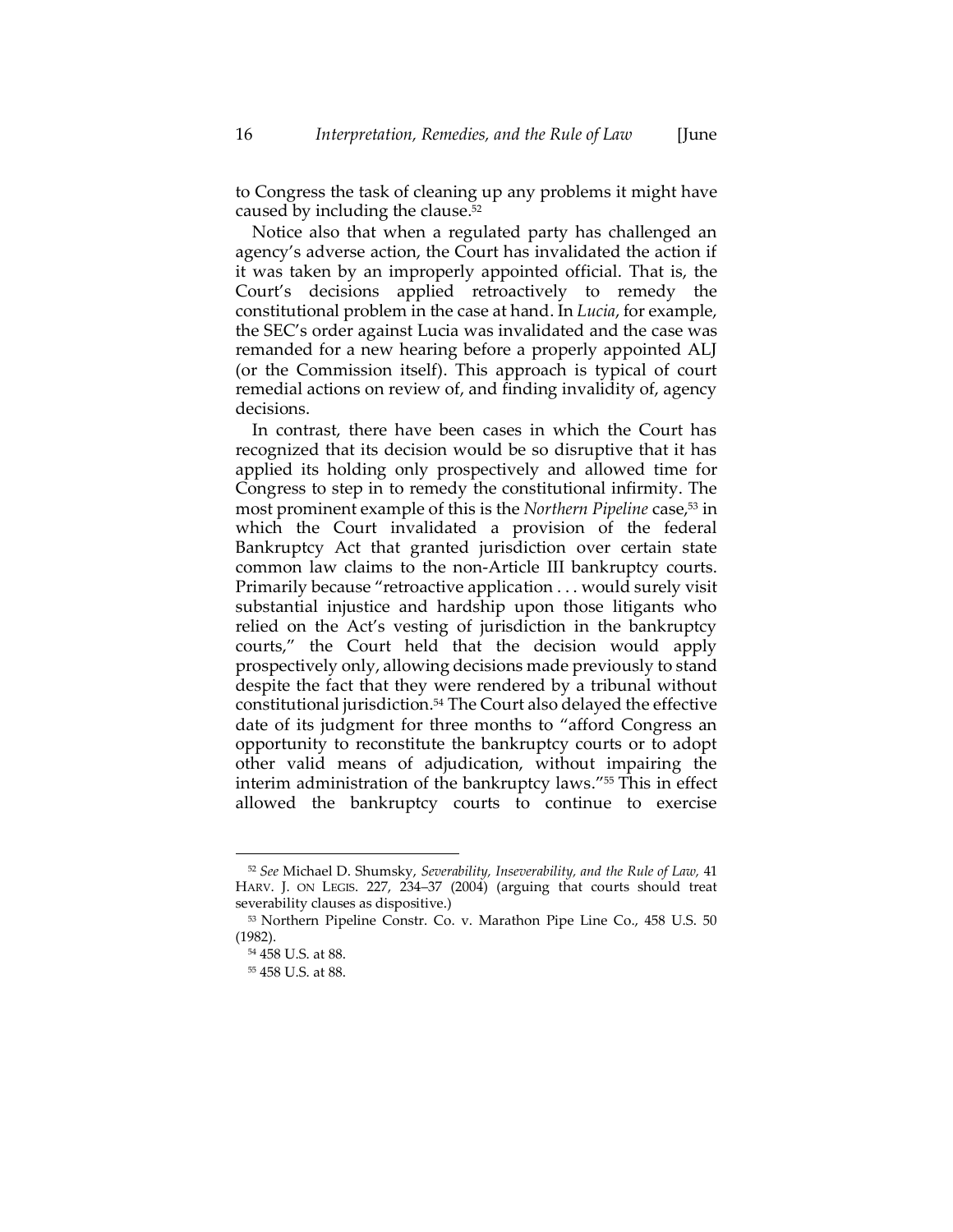<span id="page-16-0"></span>to Congress the task of cleaning up any problems it might have caused by including the clause. 52

Notice also that when a regulated party has challenged an agency's adverse action, the Court has invalidated the action if it was taken by an improperly appointed official. That is, the Court's decisions applied retroactively to remedy the constitutional problem in the case at hand. In *Lucia*, for example, the SEC's order against Lucia was invalidated and the case was remanded for a new hearing before a properly appointed ALJ (or the Commission itself). This approach is typical of court remedial actions on review of, and finding invalidity of, agency decisions.

In contrast, there have been cases in which the Court has recognized that its decision would be so disruptive that it has applied its holding only prospectively and allowed time for Congress to step in to remedy the constitutional infirmity. The most prominent example of this is the *Northern Pipeline* case,<sup>53</sup> in which the Court invalidated a provision of the federal Bankruptcy Act that granted jurisdiction over certain state common law claims to the non-Article III bankruptcy courts. Primarily because "retroactive application . . . would surely visit substantial injustice and hardship upon those litigants who relied on the Act's vesting of jurisdiction in the bankruptcy courts," the Court held that the decision would apply prospectively only, allowing decisions made previously to stand despite the fact that they were rendered by a tribunal without constitutional jurisdiction.<sup>54</sup> The Court also delayed the effective date of its judgment for three months to "afford Congress an opportunity to reconstitute the bankruptcy courts or to adopt other valid means of adjudication, without impairing the interim administration of the bankruptcy laws." <sup>55</sup> This in effect allowed the bankruptcy courts to continue to exercise

<sup>52</sup> *See* Michael D. Shumsky, *Severability, Inseverability, and the Rule of Law,* 41 HARV. J. ON LEGIS. 227, 234–37 (2004) (arguing that courts should treat severability clauses as dispositive.)

<sup>53</sup> Northern Pipeline Constr. Co. v. Marathon Pipe Line Co., 458 U.S. 50 (1982).

<sup>54</sup> 458 U.S. at 88.

<sup>55</sup> 458 U.S. at 88.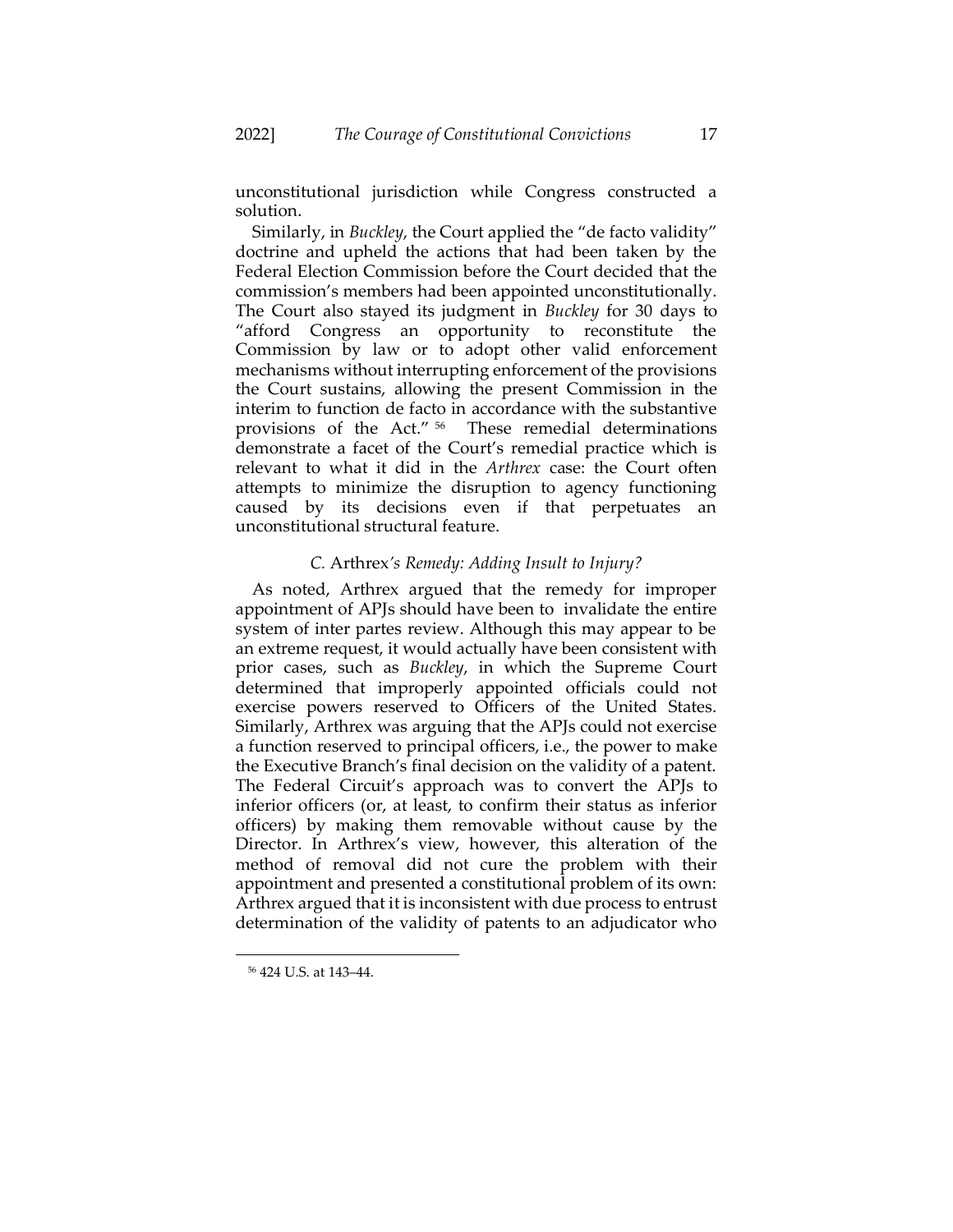unconstitutional jurisdiction while Congress constructed a solution.

Similarly, in *Buckley*, the Court applied the "de facto validity" doctrine and upheld the actions that had been taken by the Federal Election Commission before the Court decided that the commission's members had been appointed unconstitutionally. The Court also stayed its judgment in *Buckley* for 30 days to "afford Congress an opportunity to reconstitute the Commission by law or to adopt other valid enforcement mechanisms without interrupting enforcement of the provisions the Court sustains, allowing the present Commission in the interim to function de facto in accordance with the substantive provisions of the Act." <sup>56</sup> These remedial determinations demonstrate a facet of the Court's remedial practice which is relevant to what it did in the *Arthrex* case: the Court often attempts to minimize the disruption to agency functioning caused by its decisions even if that perpetuates an unconstitutional structural feature.

# <span id="page-17-0"></span>*C.* Arthrex*'s Remedy: Adding Insult to Injury?*

As noted, Arthrex argued that the remedy for improper appointment of APJs should have been to invalidate the entire system of inter partes review. Although this may appear to be an extreme request, it would actually have been consistent with prior cases, such as *Buckley*, in which the Supreme Court determined that improperly appointed officials could not exercise powers reserved to Officers of the United States. Similarly, Arthrex was arguing that the APJs could not exercise a function reserved to principal officers, i.e., the power to make the Executive Branch's final decision on the validity of a patent. The Federal Circuit's approach was to convert the APJs to inferior officers (or, at least, to confirm their status as inferior officers) by making them removable without cause by the Director. In Arthrex's view, however, this alteration of the method of removal did not cure the problem with their appointment and presented a constitutional problem of its own: Arthrex argued that it is inconsistent with due process to entrust determination of the validity of patents to an adjudicator who

<sup>56</sup> 424 U.S. at 143–44.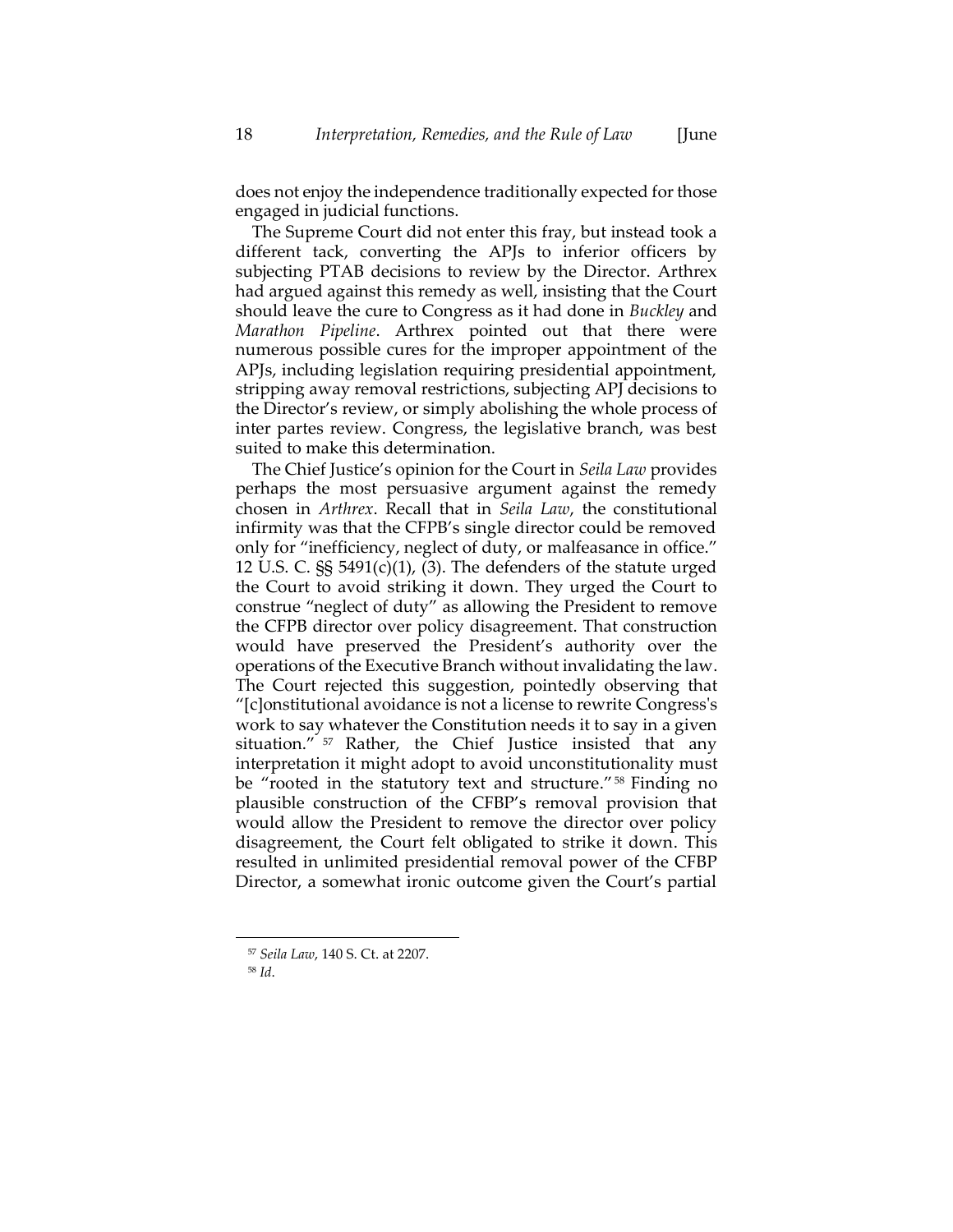does not enjoy the independence traditionally expected for those engaged in judicial functions.

The Supreme Court did not enter this fray, but instead took a different tack, converting the APJs to inferior officers by subjecting PTAB decisions to review by the Director. Arthrex had argued against this remedy as well, insisting that the Court should leave the cure to Congress as it had done in *Buckley* and *Marathon Pipeline*. Arthrex pointed out that there were numerous possible cures for the improper appointment of the APJs, including legislation requiring presidential appointment, stripping away removal restrictions, subjecting APJ decisions to the Director's review, or simply abolishing the whole process of inter partes review. Congress, the legislative branch, was best suited to make this determination.

The Chief Justice's opinion for the Court in *Seila Law* provides perhaps the most persuasive argument against the remedy chosen in *Arthrex*. Recall that in *Seila Law*, the constitutional infirmity was that the CFPB's single director could be removed only for "inefficiency, neglect of duty, or malfeasance in office." 12 U.S. C.  $\S$ § 5491(c)(1), (3). The defenders of the statute urged the Court to avoid striking it down. They urged the Court to construe "neglect of duty" as allowing the President to remove the CFPB director over policy disagreement. That construction would have preserved the President's authority over the operations of the Executive Branch without invalidating the law. The Court rejected this suggestion, pointedly observing that "[c]onstitutional avoidance is not a license to rewrite Congress's work to say whatever the Constitution needs it to say in a given situation." <sup>57</sup> Rather, the Chief Justice insisted that any interpretation it might adopt to avoid unconstitutionality must be "rooted in the statutory text and structure."<sup>58</sup> Finding no plausible construction of the CFBP's removal provision that would allow the President to remove the director over policy disagreement, the Court felt obligated to strike it down. This resulted in unlimited presidential removal power of the CFBP Director, a somewhat ironic outcome given the Court's partial

<sup>57</sup> *Seila Law*, 140 S. Ct. at 2207.

<sup>58</sup> *Id*.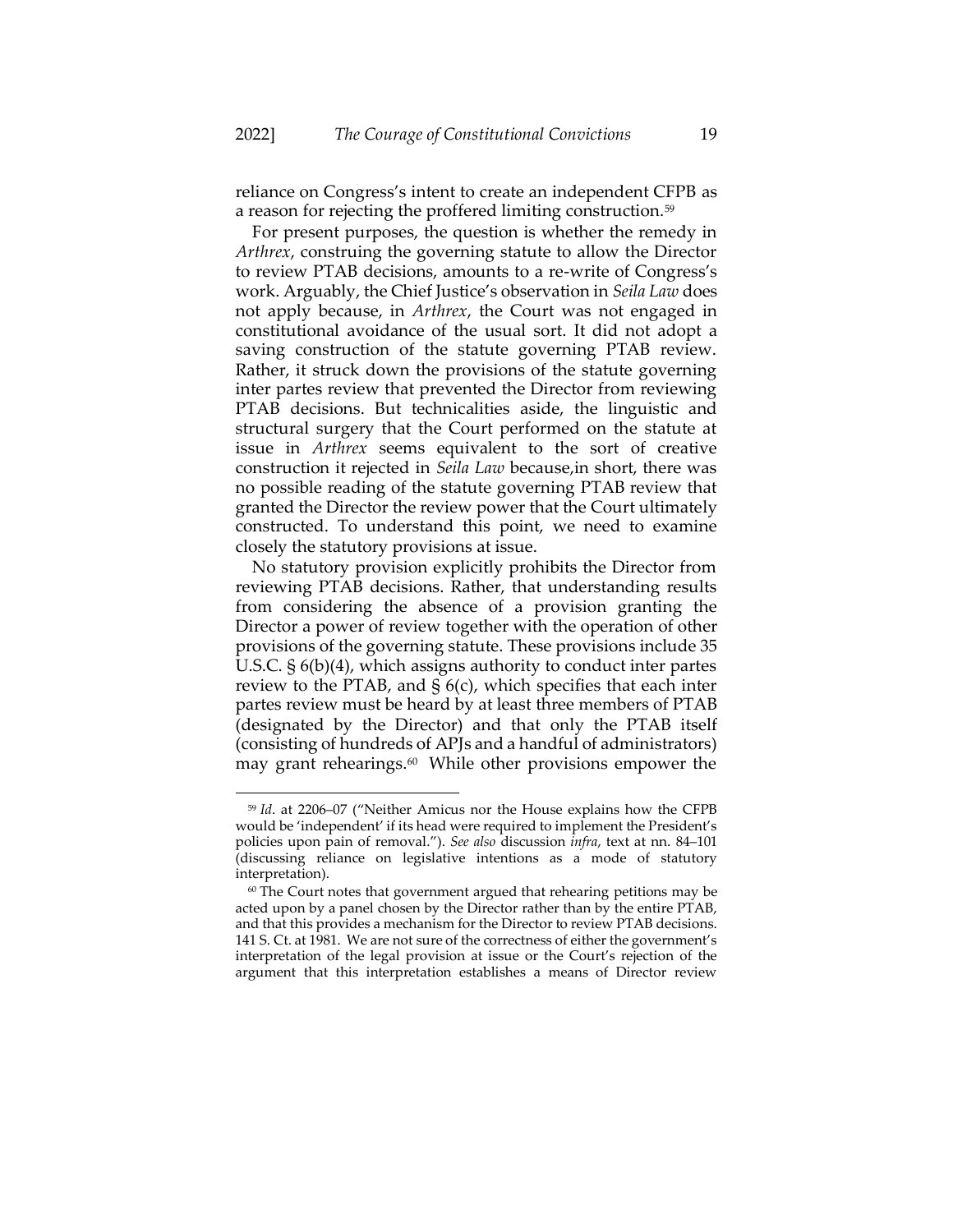reliance on Congress's intent to create an independent CFPB as a reason for rejecting the proffered limiting construction.<sup>59</sup>

For present purposes, the question is whether the remedy in *Arthrex*, construing the governing statute to allow the Director to review PTAB decisions, amounts to a re-write of Congress's work. Arguably, the Chief Justice's observation in *Seila Law* does not apply because, in *Arthrex*, the Court was not engaged in constitutional avoidance of the usual sort. It did not adopt a saving construction of the statute governing PTAB review. Rather, it struck down the provisions of the statute governing inter partes review that prevented the Director from reviewing PTAB decisions. But technicalities aside, the linguistic and structural surgery that the Court performed on the statute at issue in *Arthrex* seems equivalent to the sort of creative construction it rejected in *Seila Law* because,in short, there was no possible reading of the statute governing PTAB review that granted the Director the review power that the Court ultimately constructed. To understand this point, we need to examine closely the statutory provisions at issue.

No statutory provision explicitly prohibits the Director from reviewing PTAB decisions. Rather, that understanding results from considering the absence of a provision granting the Director a power of review together with the operation of other provisions of the governing statute. These provisions include 35 U.S.C. § 6(b)(4), which assigns authority to conduct inter partes review to the PTAB, and § 6(c), which specifies that each inter partes review must be heard by at least three members of PTAB (designated by the Director) and that only the PTAB itself (consisting of hundreds of APJs and a handful of administrators) may grant rehearings.<sup>60</sup> While other provisions empower the

<sup>59</sup> *Id*. at 2206–07 ("Neither Amicus nor the House explains how the CFPB would be 'independent' if its head were required to implement the President's policies upon pain of removal."). *See also* discussion *infra*, text at nn. [84](#page-29-0)–[101](#page-33-0) (discussing reliance on legislative intentions as a mode of statutory interpretation).

<sup>&</sup>lt;sup>60</sup> The Court notes that government argued that rehearing petitions may be acted upon by a panel chosen by the Director rather than by the entire PTAB, and that this provides a mechanism for the Director to review PTAB decisions. 141 S. Ct. at 1981. We are not sure of the correctness of either the government's interpretation of the legal provision at issue or the Court's rejection of the argument that this interpretation establishes a means of Director review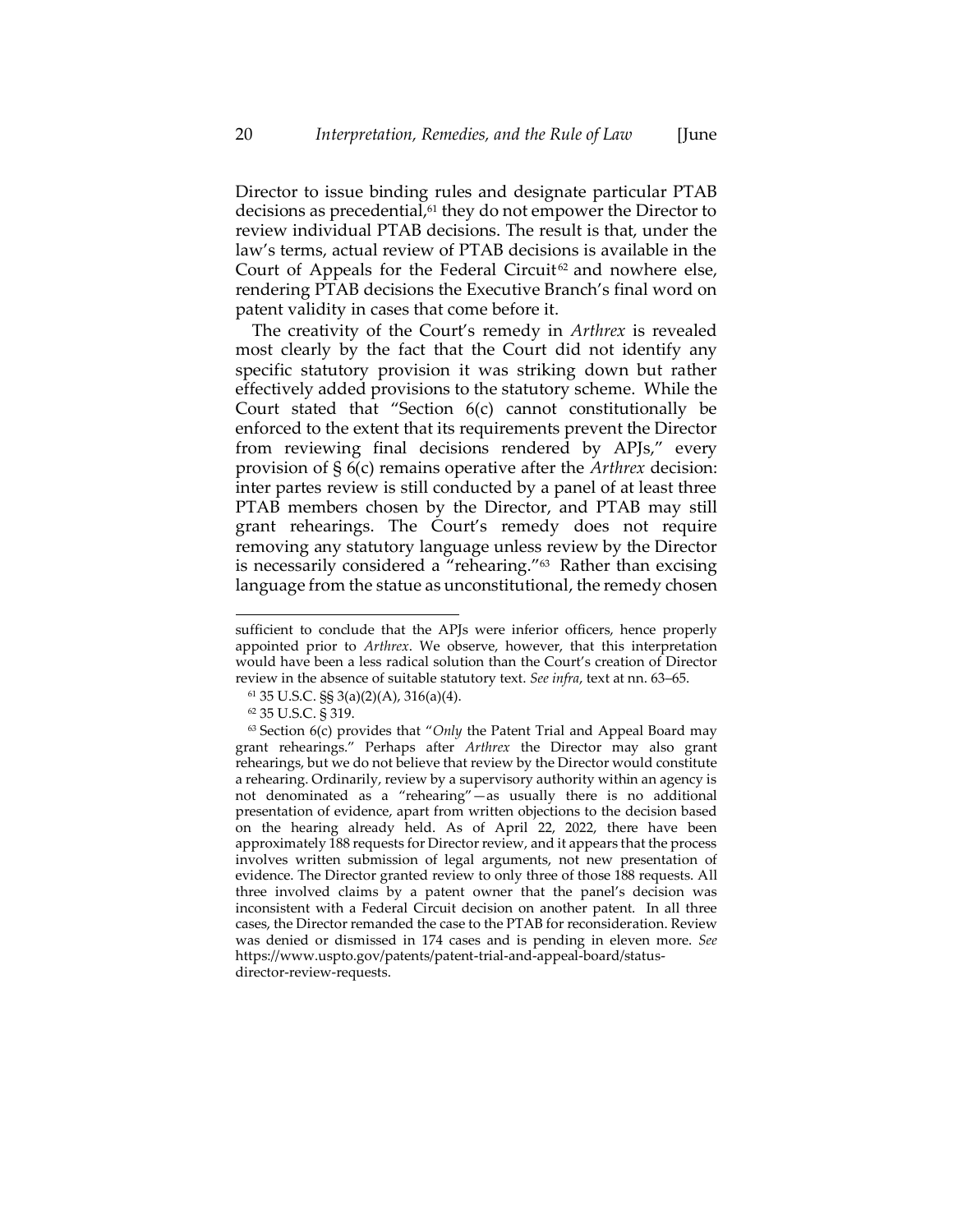Director to issue binding rules and designate particular PTAB decisions as precedential,<sup>61</sup> they do not empower the Director to review individual PTAB decisions. The result is that, under the law's terms, actual review of PTAB decisions is available in the Court of Appeals for the Federal Circuit<sup>62</sup> and nowhere else, rendering PTAB decisions the Executive Branch's final word on patent validity in cases that come before it.

The creativity of the Court's remedy in *Arthrex* is revealed most clearly by the fact that the Court did not identify any specific statutory provision it was striking down but rather effectively added provisions to the statutory scheme. While the Court stated that "Section 6(c) cannot constitutionally be enforced to the extent that its requirements prevent the Director from reviewing final decisions rendered by APJs," every provision of § 6(c) remains operative after the *Arthrex* decision: inter partes review is still conducted by a panel of at least three PTAB members chosen by the Director, and PTAB may still grant rehearings. The Court's remedy does not require removing any statutory language unless review by the Director is necessarily considered a "rehearing."<sup>63</sup> Rather than excising language from the statue as unconstitutional, the remedy chosen

<span id="page-20-0"></span>sufficient to conclude that the APJs were inferior officers, hence properly appointed prior to *Arthrex*. We observe, however, that this interpretation would have been a less radical solution than the Court's creation of Director review in the absence of suitable statutory text. *See infra*, text at nn[. 63](#page-20-0)–[65.](#page-21-0)

<sup>61</sup> 35 U.S.C. §§ 3(a)(2)(A), 316(a)(4).

<sup>62</sup> 35 U.S.C. § 319.

<sup>63</sup> Section 6(c) provides that "*Only* the Patent Trial and Appeal Board may grant rehearings." Perhaps after *Arthrex* the Director may also grant rehearings, but we do not believe that review by the Director would constitute a rehearing. Ordinarily, review by a supervisory authority within an agency is not denominated as a "rehearing"—as usually there is no additional presentation of evidence, apart from written objections to the decision based on the hearing already held. As of April 22, 2022, there have been approximately 188 requests for Director review, and it appears that the process involves written submission of legal arguments, not new presentation of evidence. The Director granted review to only three of those 188 requests. All three involved claims by a patent owner that the panel's decision was inconsistent with a Federal Circuit decision on another patent. In all three cases, the Director remanded the case to the PTAB for reconsideration. Review was denied or dismissed in 174 cases and is pending in eleven more. *See* https://www.uspto.gov/patents/patent-trial-and-appeal-board/statusdirector-review-requests.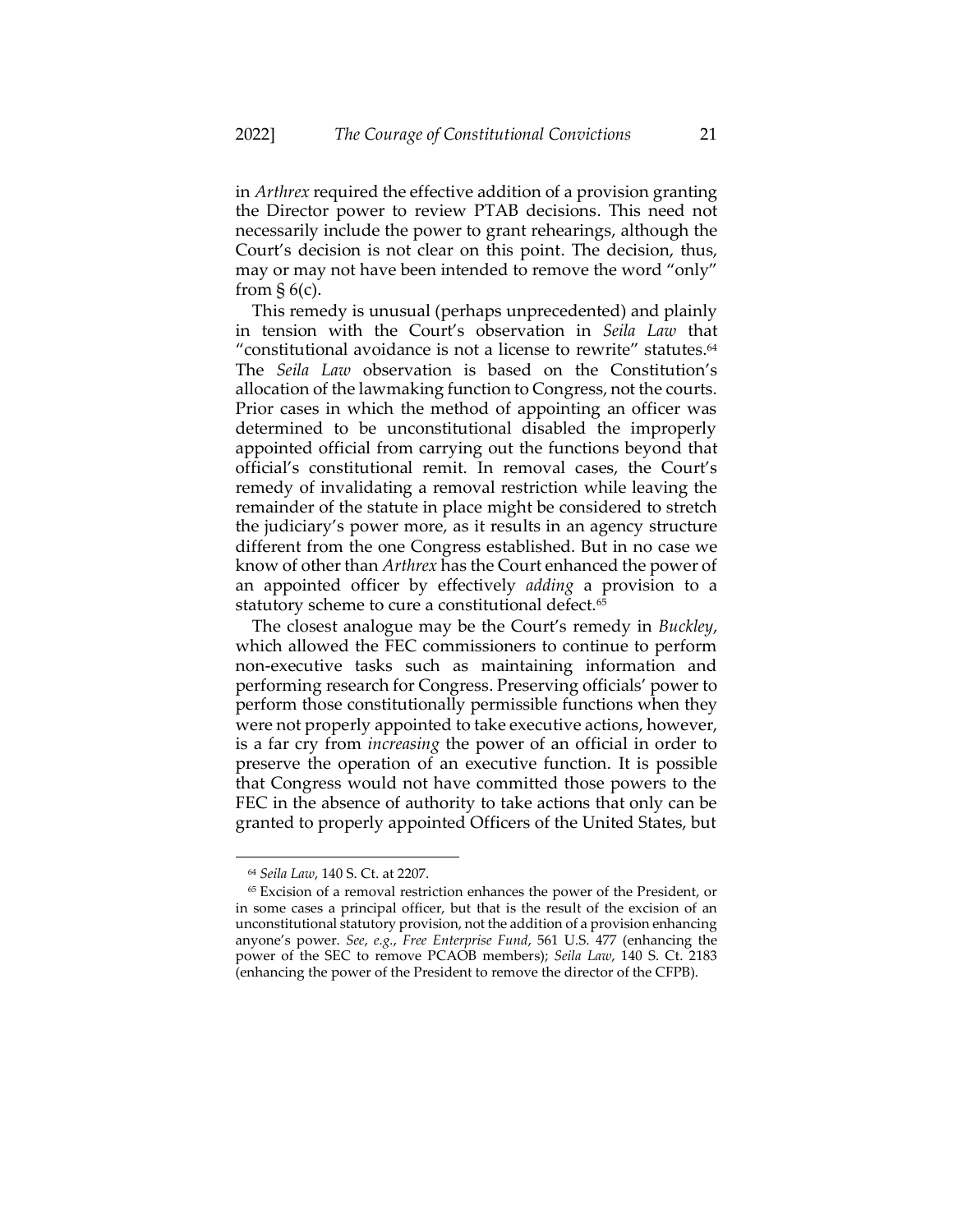in *Arthrex* required the effective addition of a provision granting the Director power to review PTAB decisions. This need not necessarily include the power to grant rehearings, although the Court's decision is not clear on this point. The decision, thus, may or may not have been intended to remove the word "only" from  $\S 6(c)$ .

This remedy is unusual (perhaps unprecedented) and plainly in tension with the Court's observation in *Seila Law* that "constitutional avoidance is not a license to rewrite" statutes.<sup>64</sup> The *Seila Law* observation is based on the Constitution's allocation of the lawmaking function to Congress, not the courts. Prior cases in which the method of appointing an officer was determined to be unconstitutional disabled the improperly appointed official from carrying out the functions beyond that official's constitutional remit. In removal cases, the Court's remedy of invalidating a removal restriction while leaving the remainder of the statute in place might be considered to stretch the judiciary's power more, as it results in an agency structure different from the one Congress established. But in no case we know of other than *Arthrex* has the Court enhanced the power of an appointed officer by effectively *adding* a provision to a statutory scheme to cure a constitutional defect.<sup>65</sup>

<span id="page-21-0"></span>The closest analogue may be the Court's remedy in *Buckley*, which allowed the FEC commissioners to continue to perform non-executive tasks such as maintaining information and performing research for Congress. Preserving officials' power to perform those constitutionally permissible functions when they were not properly appointed to take executive actions, however, is a far cry from *increasing* the power of an official in order to preserve the operation of an executive function. It is possible that Congress would not have committed those powers to the FEC in the absence of authority to take actions that only can be granted to properly appointed Officers of the United States, but

<sup>64</sup> *Seila Law*, 140 S. Ct. at 2207.

<sup>65</sup> Excision of a removal restriction enhances the power of the President, or in some cases a principal officer, but that is the result of the excision of an unconstitutional statutory provision, not the addition of a provision enhancing anyone's power. *See*, *e.g.*, *Free Enterprise Fund*, 561 U.S. 477 (enhancing the power of the SEC to remove PCAOB members); *Seila Law*, 140 S. Ct. 2183 (enhancing the power of the President to remove the director of the CFPB).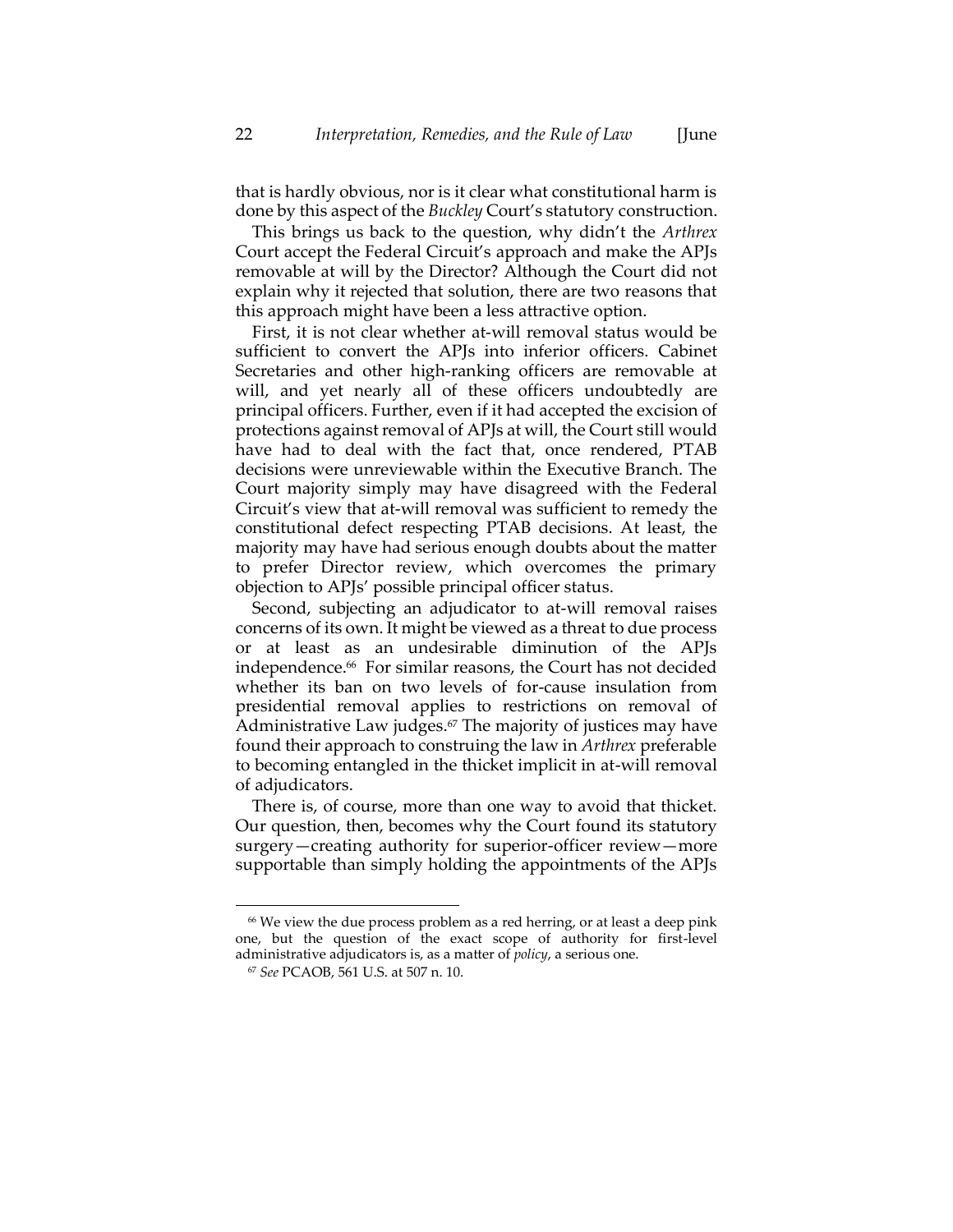that is hardly obvious, nor is it clear what constitutional harm is done by this aspect of the *Buckley* Court's statutory construction.

This brings us back to the question, why didn't the *Arthrex* Court accept the Federal Circuit's approach and make the APJs removable at will by the Director? Although the Court did not explain why it rejected that solution, there are two reasons that this approach might have been a less attractive option.

First, it is not clear whether at-will removal status would be sufficient to convert the APJs into inferior officers. Cabinet Secretaries and other high-ranking officers are removable at will, and yet nearly all of these officers undoubtedly are principal officers. Further, even if it had accepted the excision of protections against removal of APJs at will, the Court still would have had to deal with the fact that, once rendered, PTAB decisions were unreviewable within the Executive Branch. The Court majority simply may have disagreed with the Federal Circuit's view that at-will removal was sufficient to remedy the constitutional defect respecting PTAB decisions. At least, the majority may have had serious enough doubts about the matter to prefer Director review, which overcomes the primary objection to APJs' possible principal officer status.

Second, subjecting an adjudicator to at-will removal raises concerns of its own. It might be viewed as a threat to due process or at least as an undesirable diminution of the APJs independence.<sup>66</sup> For similar reasons, the Court has not decided whether its ban on two levels of for-cause insulation from presidential removal applies to restrictions on removal of Administrative Law judges.<sup>67</sup> The majority of justices may have found their approach to construing the law in *Arthrex* preferable to becoming entangled in the thicket implicit in at-will removal of adjudicators.

There is, of course, more than one way to avoid that thicket. Our question, then, becomes why the Court found its statutory surgery—creating authority for superior-officer review—more supportable than simply holding the appointments of the APJs

<sup>&</sup>lt;sup>66</sup> We view the due process problem as a red herring, or at least a deep pink one, but the question of the exact scope of authority for first-level administrative adjudicators is, as a matter of *policy*, a serious one.

<sup>67</sup> *See* PCAOB, 561 U.S. at 507 n. 10.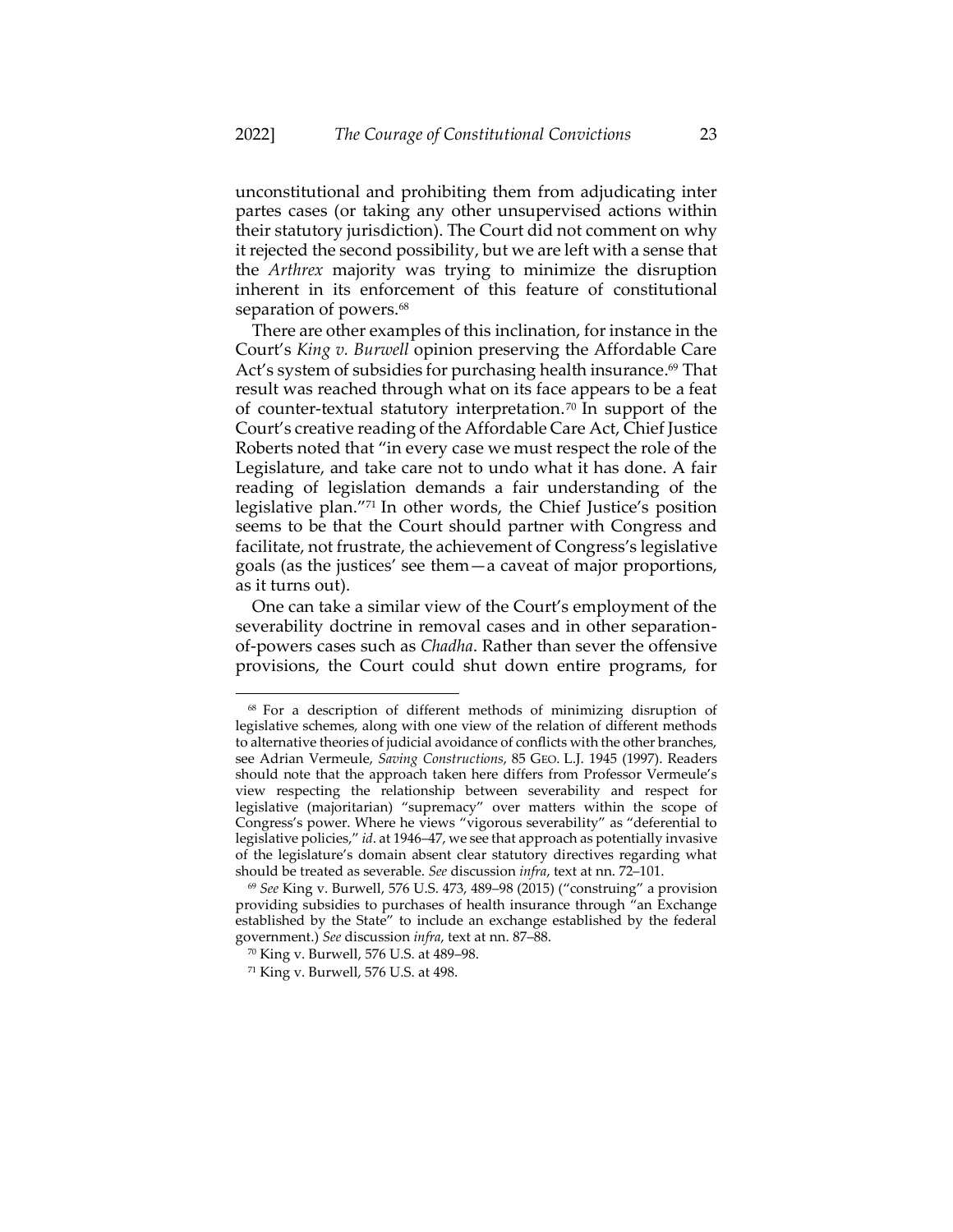unconstitutional and prohibiting them from adjudicating inter partes cases (or taking any other unsupervised actions within their statutory jurisdiction). The Court did not comment on why it rejected the second possibility, but we are left with a sense that the *Arthrex* majority was trying to minimize the disruption inherent in its enforcement of this feature of constitutional separation of powers.<sup>68</sup>

There are other examples of this inclination, for instance in the Court's *King v. Burwell* opinion preserving the Affordable Care Act's system of subsidies for purchasing health insurance. <sup>69</sup> That result was reached through what on its face appears to be a feat of counter-textual statutory interpretation. <sup>70</sup> In support of the Court's creative reading of the Affordable Care Act, Chief Justice Roberts noted that "in every case we must respect the role of the Legislature, and take care not to undo what it has done. A fair reading of legislation demands a fair understanding of the legislative plan."<sup>71</sup> In other words, the Chief Justice's position seems to be that the Court should partner with Congress and facilitate, not frustrate, the achievement of Congress's legislative goals (as the justices' see them—a caveat of major proportions, as it turns out).

One can take a similar view of the Court's employment of the severability doctrine in removal cases and in other separationof-powers cases such as *Chadha*. Rather than sever the offensive provisions, the Court could shut down entire programs, for

<sup>68</sup> For a description of different methods of minimizing disruption of legislative schemes, along with one view of the relation of different methods to alternative theories of judicial avoidance of conflicts with the other branches, see Adrian Vermeule, *Saving Constructions*, 85 GEO. L.J. 1945 (1997). Readers should note that the approach taken here differs from Professor Vermeule's view respecting the relationship between severability and respect for legislative (majoritarian) "supremacy" over matters within the scope of Congress's power. Where he views "vigorous severability" as "deferential to legislative policies," *id*. at 1946–47, we see that approach as potentially invasive of the legislature's domain absent clear statutory directives regarding what should be treated as severable. *See* discussion *infra*, text at nn[. 72](#page-24-0)–[101.](#page-33-0)

<sup>69</sup> *See* King v. Burwell, 576 U.S. 473, 489–98 (2015) ("construing" a provision providing subsidies to purchases of health insurance through "an Exchange established by the State" to include an exchange established by the federal government.) *See* discussion *infra*, text at nn[. 87](#page-29-1)–[88.](#page-30-0)

<sup>70</sup> King v. Burwell, 576 U.S. at 489–98.

<sup>71</sup> King v. Burwell, 576 U.S. at 498.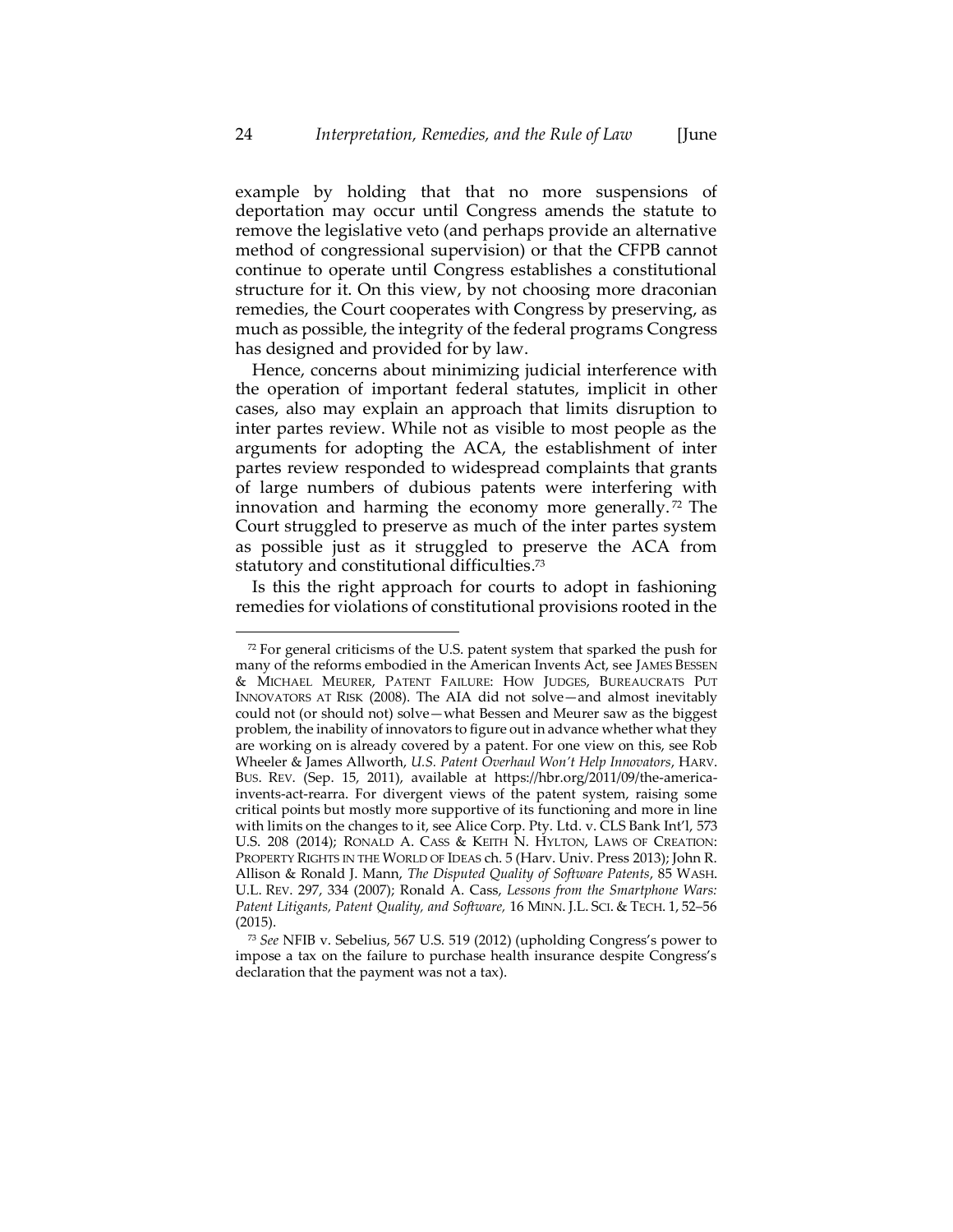example by holding that that no more suspensions of deportation may occur until Congress amends the statute to remove the legislative veto (and perhaps provide an alternative method of congressional supervision) or that the CFPB cannot continue to operate until Congress establishes a constitutional structure for it. On this view, by not choosing more draconian remedies, the Court cooperates with Congress by preserving, as much as possible, the integrity of the federal programs Congress has designed and provided for by law.

Hence, concerns about minimizing judicial interference with the operation of important federal statutes, implicit in other cases, also may explain an approach that limits disruption to inter partes review. While not as visible to most people as the arguments for adopting the ACA, the establishment of inter partes review responded to widespread complaints that grants of large numbers of dubious patents were interfering with innovation and harming the economy more generally. <sup>72</sup> The Court struggled to preserve as much of the inter partes system as possible just as it struggled to preserve the ACA from statutory and constitutional difficulties.<sup>73</sup>

<span id="page-24-0"></span>Is this the right approach for courts to adopt in fashioning remedies for violations of constitutional provisions rooted in the

 $72$  For general criticisms of the U.S. patent system that sparked the push for many of the reforms embodied in the American Invents Act, see JAMES BESSEN & MICHAEL MEURER, PATENT FAILURE: HOW JUDGES, BUREAUCRATS PUT INNOVATORS AT RISK (2008). The AIA did not solve—and almost inevitably could not (or should not) solve—what Bessen and Meurer saw as the biggest problem, the inability of innovators to figure out in advance whether what they are working on is already covered by a patent. For one view on this, see Rob Wheeler & James Allworth, *U.S. Patent Overhaul Won't Help Innovators*, HARV. BUS. REV. (Sep. 15, 2011), available at [https://hbr.org/2011/09/the-america](https://hbr.org/2011/09/the-america-invents-act-rearra)[invents-act-rearra.](https://hbr.org/2011/09/the-america-invents-act-rearra) For divergent views of the patent system, raising some critical points but mostly more supportive of its functioning and more in line with limits on the changes to it, see Alice Corp. Pty. Ltd. v. CLS Bank Int'l, 573 U.S. 208 (2014); RONALD A. CASS & KEITH N. HYLTON, LAWS OF CREATION: PROPERTY RIGHTS IN THE WORLD OF IDEAS ch. 5 (Harv. Univ. Press 2013); John R. Allison & Ronald J. Mann, *The Disputed Quality of Software Patents*, 85 WASH. U.L. REV. 297, 334 (2007); Ronald A. Cass, *Lessons from the Smartphone Wars: Patent Litigants, Patent Quality, and Software,* 16 MINN. J.L. SCI. & TECH. 1, 52–56 (2015).

<sup>73</sup> *See* NFIB v. Sebelius, 567 U.S. 519 (2012) (upholding Congress's power to impose a tax on the failure to purchase health insurance despite Congress's declaration that the payment was not a tax).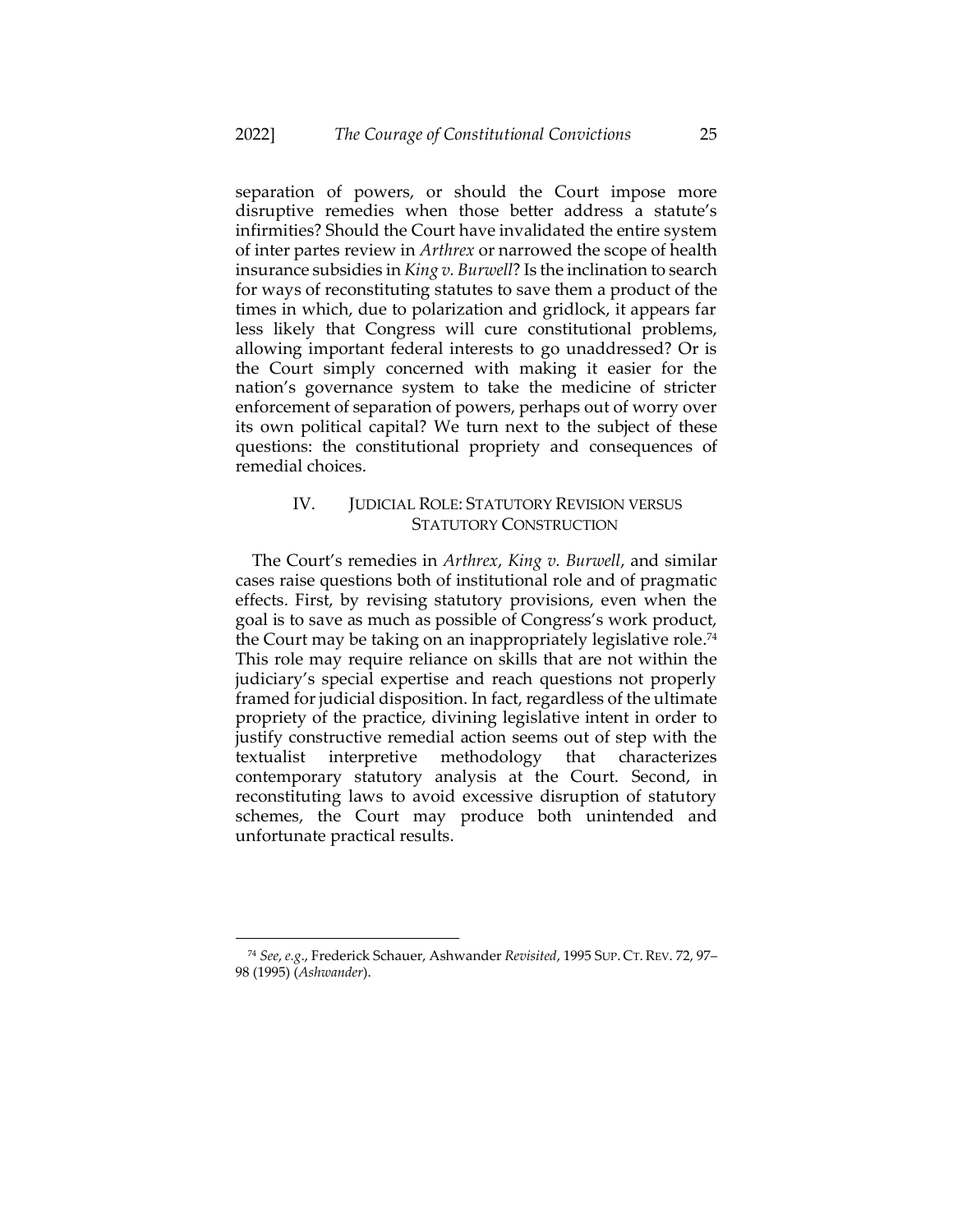separation of powers, or should the Court impose more disruptive remedies when those better address a statute's infirmities? Should the Court have invalidated the entire system of inter partes review in *Arthrex* or narrowed the scope of health insurance subsidies in *King v. Burwell*? Is the inclination to search for ways of reconstituting statutes to save them a product of the times in which, due to polarization and gridlock, it appears far less likely that Congress will cure constitutional problems, allowing important federal interests to go unaddressed? Or is the Court simply concerned with making it easier for the nation's governance system to take the medicine of stricter enforcement of separation of powers, perhaps out of worry over its own political capital? We turn next to the subject of these questions: the constitutional propriety and consequences of remedial choices.

# <span id="page-25-0"></span>IV. JUDICIAL ROLE: STATUTORY REVISION VERSUS STATUTORY CONSTRUCTION

The Court's remedies in *Arthrex*, *King v. Burwell*, and similar cases raise questions both of institutional role and of pragmatic effects. First, by revising statutory provisions, even when the goal is to save as much as possible of Congress's work product, the Court may be taking on an inappropriately legislative role. 74 This role may require reliance on skills that are not within the judiciary's special expertise and reach questions not properly framed for judicial disposition. In fact, regardless of the ultimate propriety of the practice, divining legislative intent in order to justify constructive remedial action seems out of step with the textualist interpretive methodology that characterizes contemporary statutory analysis at the Court. Second, in reconstituting laws to avoid excessive disruption of statutory schemes, the Court may produce both unintended and unfortunate practical results.

<sup>74</sup> *See*, *e.g*., Frederick Schauer, Ashwander *Revisited*, 1995 SUP. CT. REV. 72, 97– 98 (1995) (*Ashwander*).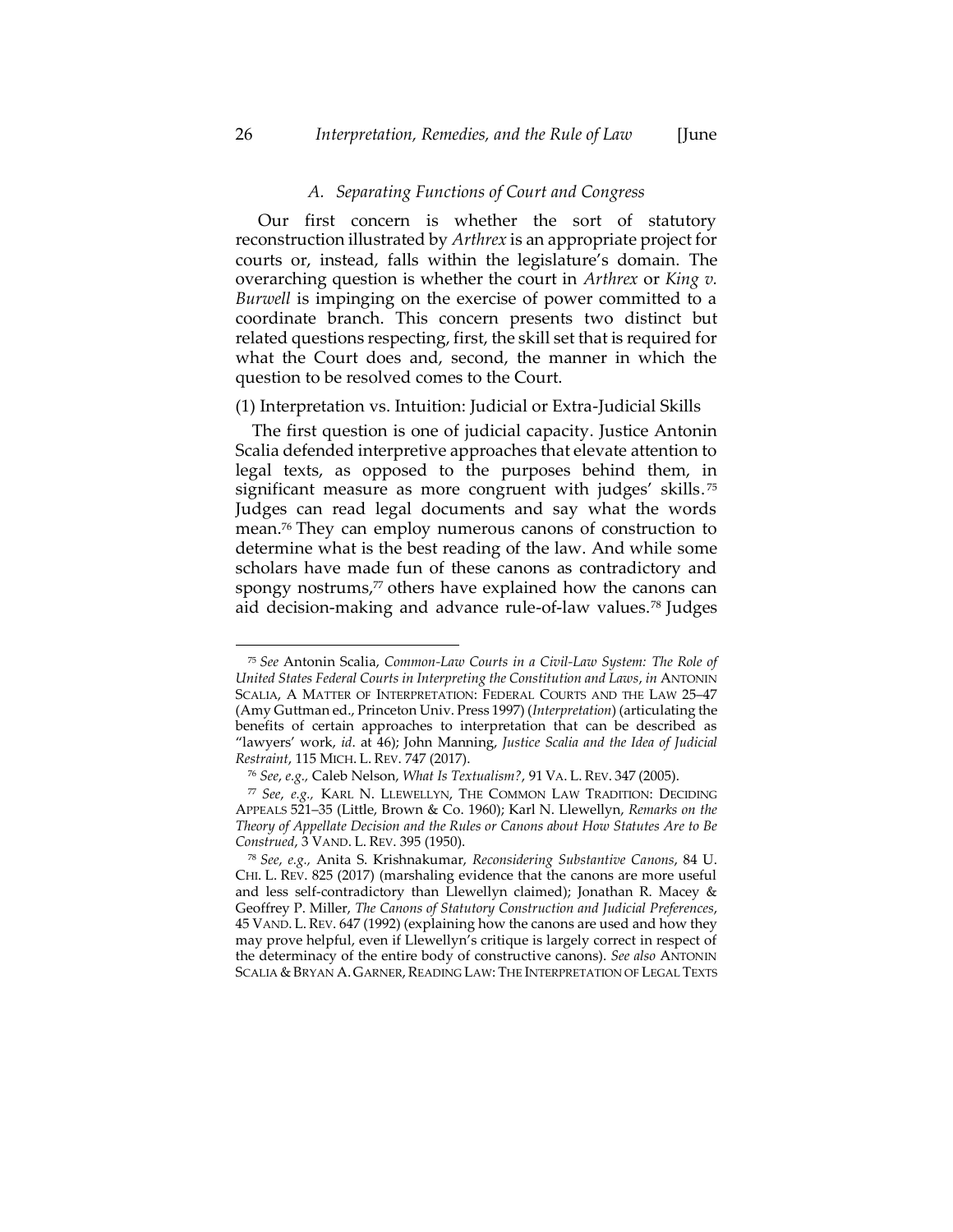#### *A. Separating Functions of Court and Congress*

Our first concern is whether the sort of statutory reconstruction illustrated by *Arthrex* is an appropriate project for courts or, instead, falls within the legislature's domain. The overarching question is whether the court in *Arthrex* or *King v. Burwell* is impinging on the exercise of power committed to a coordinate branch. This concern presents two distinct but related questions respecting, first, the skill set that is required for what the Court does and, second, the manner in which the question to be resolved comes to the Court.

#### (1) Interpretation vs. Intuition: Judicial or Extra-Judicial Skills

<span id="page-26-0"></span>The first question is one of judicial capacity. Justice Antonin Scalia defended interpretive approaches that elevate attention to legal texts, as opposed to the purposes behind them, in significant measure as more congruent with judges' skills.<sup>75</sup> Judges can read legal documents and say what the words mean.<sup>76</sup> They can employ numerous canons of construction to determine what is the best reading of the law. And while some scholars have made fun of these canons as contradictory and spongy nostrums,<sup>77</sup> others have explained how the canons can aid decision-making and advance rule-of-law values.<sup>78</sup> Judges

<sup>75</sup> *See* Antonin Scalia, *Common-Law Courts in a Civil-Law System: The Role of United States Federal Courts in Interpreting the Constitution and Laws*, *in* ANTONIN SCALIA, A MATTER OF INTERPRETATION: FEDERAL COURTS AND THE LAW 25–47 (Amy Guttman ed., Princeton Univ. Press 1997) (*Interpretation*) (articulating the benefits of certain approaches to interpretation that can be described as "lawyers' work, *id*. at 46); John Manning, *Justice Scalia and the Idea of Judicial Restraint*, 115 MICH. L. REV. 747 (2017).

<sup>76</sup> *See*, *e.g.,* Caleb Nelson, *What Is Textualism?*, 91 VA. L. REV. 347 (2005).

<sup>77</sup> *See*, *e.g.,* KARL N. LLEWELLYN, THE COMMON LAW TRADITION: DECIDING APPEALS 521–35 (Little, Brown & Co. 1960); Karl N. Llewellyn, *Remarks on the Theory of Appellate Decision and the Rules or Canons about How Statutes Are to Be Construed*, 3 VAND. L. REV. 395 (1950).

<sup>78</sup> *See*, *e.g.,* Anita S. Krishnakumar, *Reconsidering Substantive Canons*, 84 U. CHI. L. REV. 825 (2017) (marshaling evidence that the canons are more useful and less self-contradictory than Llewellyn claimed); Jonathan R. Macey & Geoffrey P. Miller, *The Canons of Statutory Construction and Judicial Preferences*, 45 VAND. L.REV. 647 (1992) (explaining how the canons are used and how they may prove helpful, even if Llewellyn's critique is largely correct in respect of the determinacy of the entire body of constructive canons). *See also* ANTONIN SCALIA & BRYAN A. GARNER, READING LAW: THE INTERPRETATION OF LEGAL TEXTS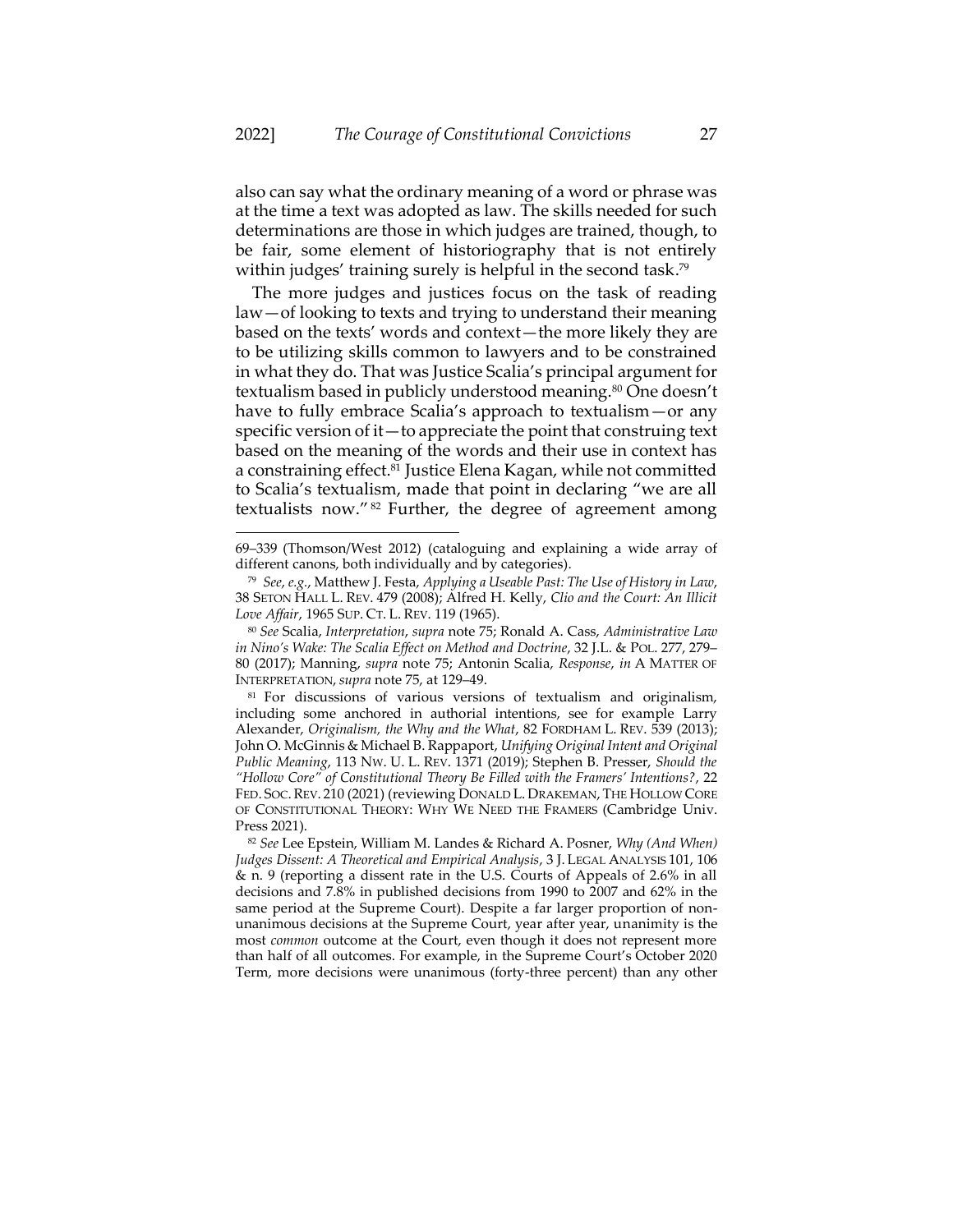also can say what the ordinary meaning of a word or phrase was at the time a text was adopted as law. The skills needed for such determinations are those in which judges are trained, though, to be fair, some element of historiography that is not entirely within judges' training surely is helpful in the second task.<sup>79</sup>

The more judges and justices focus on the task of reading law—of looking to texts and trying to understand their meaning based on the texts' words and context—the more likely they are to be utilizing skills common to lawyers and to be constrained in what they do. That was Justice Scalia's principal argument for textualism based in publicly understood meaning.<sup>80</sup> One doesn't have to fully embrace Scalia's approach to textualism — or any specific version of it—to appreciate the point that construing text based on the meaning of the words and their use in context has a constraining effect.<sup>81</sup> Justice Elena Kagan, while not committed to Scalia's textualism, made that point in declaring "we are all textualists now." <sup>82</sup> Further, the degree of agreement among

<sup>69</sup>–339 (Thomson/West 2012) (cataloguing and explaining a wide array of different canons, both individually and by categories).

<sup>79</sup> *See*, *e.g.*, Matthew J. Festa, *Applying a Useable Past: The Use of History in Law*, 38 SETON HALL L. REV. 479 (2008); Alfred H. Kelly, *Clio and the Court: An Illicit Love Affair*, 1965 SUP. CT. L. REV. 119 (1965).

<sup>80</sup> *See* Scalia, *Interpretation*, *supra* not[e 75;](#page-26-0) Ronald A. Cass, *Administrative Law in Nino's Wake: The Scalia Effect on Method and Doctrine*, 32 J.L. & POL. 277, 279– 80 (2017); Manning, *supra* note [75;](#page-26-0) Antonin Scalia, *Response*, *in* A MATTER OF INTERPRETATION,*supra* not[e 75,](#page-26-0) at 129–49.

<sup>81</sup> For discussions of various versions of textualism and originalism, including some anchored in authorial intentions, see for example Larry Alexander, *Originalism, the Why and the What*, 82 FORDHAM L. REV. 539 (2013); John O. McGinnis & Michael B. Rappaport, *Unifying Original Intent and Original Public Meaning*, 113 NW. U. L. REV. 1371 (2019); Stephen B. Presser, *Should the "Hollow Core" of Constitutional Theory Be Filled with the Framers' Intentions?*, 22 FED. SOC.REV. 210 (2021) (reviewing DONALD L. DRAKEMAN, THE HOLLOW CORE OF CONSTITUTIONAL THEORY: WHY WE NEED THE FRAMERS (Cambridge Univ. Press 2021).

<sup>82</sup> *See* Lee Epstein, William M. Landes & Richard A. Posner, *Why (And When) Judges Dissent: A Theoretical and Empirical Analysis*, 3 J. LEGAL ANALYSIS 101, 106 & n. 9 (reporting a dissent rate in the U.S. Courts of Appeals of 2.6% in all decisions and 7.8% in published decisions from 1990 to 2007 and 62% in the same period at the Supreme Court). Despite a far larger proportion of nonunanimous decisions at the Supreme Court, year after year, unanimity is the most *common* outcome at the Court, even though it does not represent more than half of all outcomes. For example, in the Supreme Court's October 2020 Term, more decisions were unanimous (forty-three percent) than any other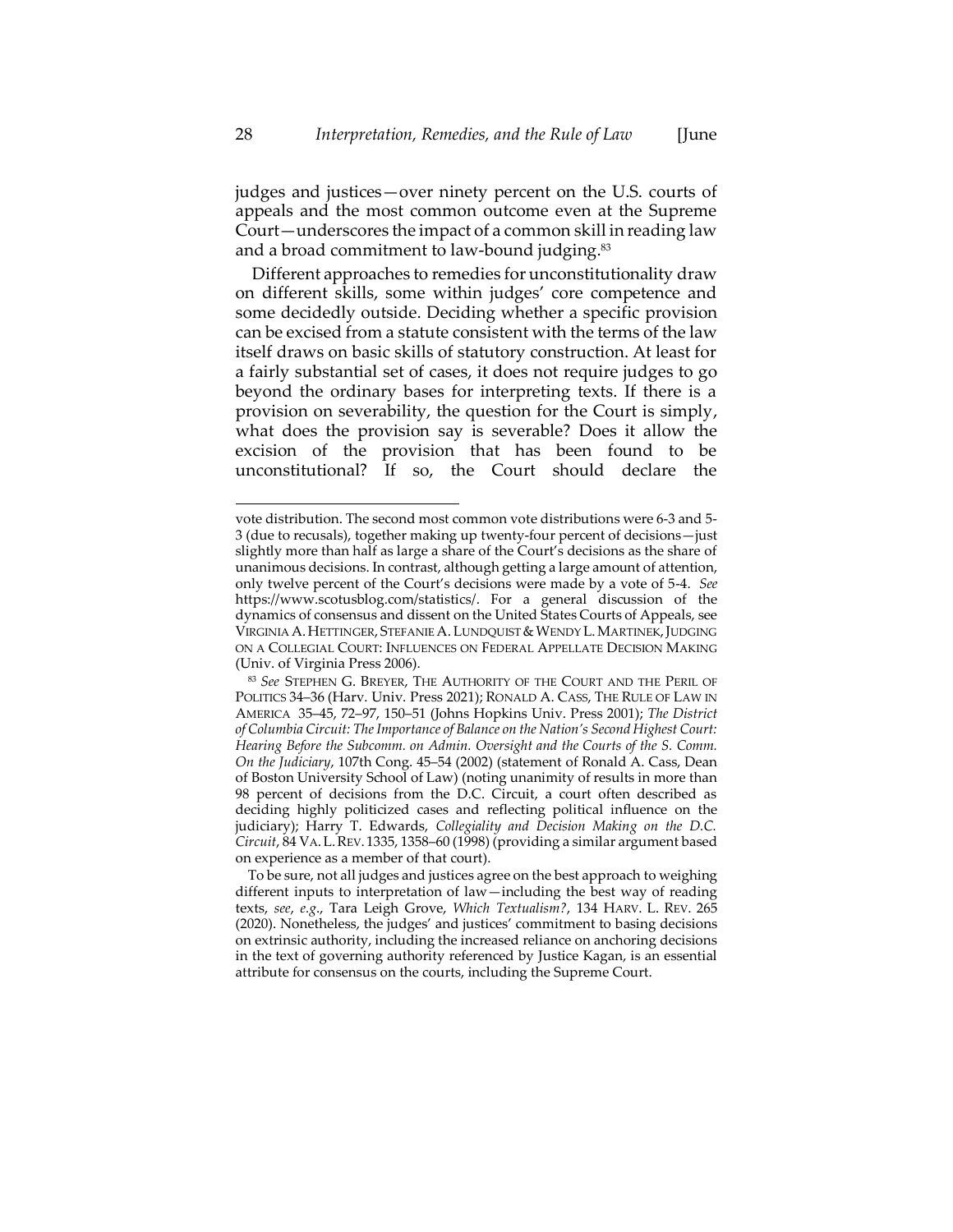judges and justices—over ninety percent on the U.S. courts of appeals and the most common outcome even at the Supreme Court—underscores the impact of a common skill in reading law and a broad commitment to law-bound judging.<sup>83</sup>

Different approaches to remedies for unconstitutionality draw on different skills, some within judges' core competence and some decidedly outside. Deciding whether a specific provision can be excised from a statute consistent with the terms of the law itself draws on basic skills of statutory construction. At least for a fairly substantial set of cases, it does not require judges to go beyond the ordinary bases for interpreting texts. If there is a provision on severability, the question for the Court is simply, what does the provision say is severable? Does it allow the excision of the provision that has been found to be unconstitutional? If so, the Court should declare the

vote distribution. The second most common vote distributions were 6-3 and 5- 3 (due to recusals), together making up twenty-four percent of decisions—just slightly more than half as large a share of the Court's decisions as the share of unanimous decisions. In contrast, although getting a large amount of attention, only twelve percent of the Court's decisions were made by a vote of 5-4. *See* [https://www.scotusblog.com/statistics/.](https://www.scotusblog.com/statistics/) For a general discussion of the dynamics of consensus and dissent on the United States Courts of Appeals, see VIRGINIA A. HETTINGER, STEFANIE A. LUNDQUIST & WENDY L. MARTINEK, JUDGING ON A COLLEGIAL COURT: INFLUENCES ON FEDERAL APPELLATE DECISION MAKING (Univ. of Virginia Press 2006).

<sup>83</sup> *See* STEPHEN G. BREYER, THE AUTHORITY OF THE COURT AND THE PERIL OF POLITICS 34–36 (Harv. Univ. Press 2021); RONALD A. CASS, THE RULE OF LAW IN AMERICA 35–45, 72–97, 150–51 (Johns Hopkins Univ. Press 2001); *The District of Columbia Circuit: The Importance of Balance on the Nation's Second Highest Court: Hearing Before the Subcomm. on Admin. Oversight and the Courts of the S. Comm. On the Judiciary*, 107th Cong. 45–54 (2002) (statement of Ronald A. Cass, Dean of Boston University School of Law) (noting unanimity of results in more than 98 percent of decisions from the D.C. Circuit, a court often described as deciding highly politicized cases and reflecting political influence on the judiciary); Harry T. Edwards, *Collegiality and Decision Making on the D.C. Circuit*, 84 VA.L.REV. 1335, 1358–60 (1998) (providing a similar argument based on experience as a member of that court).

To be sure, not all judges and justices agree on the best approach to weighing different inputs to interpretation of law—including the best way of reading texts, *see*, *e.g*., Tara Leigh Grove, *Which Textualism?*, 134 HARV. L. REV. 265 (2020). Nonetheless, the judges' and justices' commitment to basing decisions on extrinsic authority, including the increased reliance on anchoring decisions in the text of governing authority referenced by Justice Kagan, is an essential attribute for consensus on the courts, including the Supreme Court.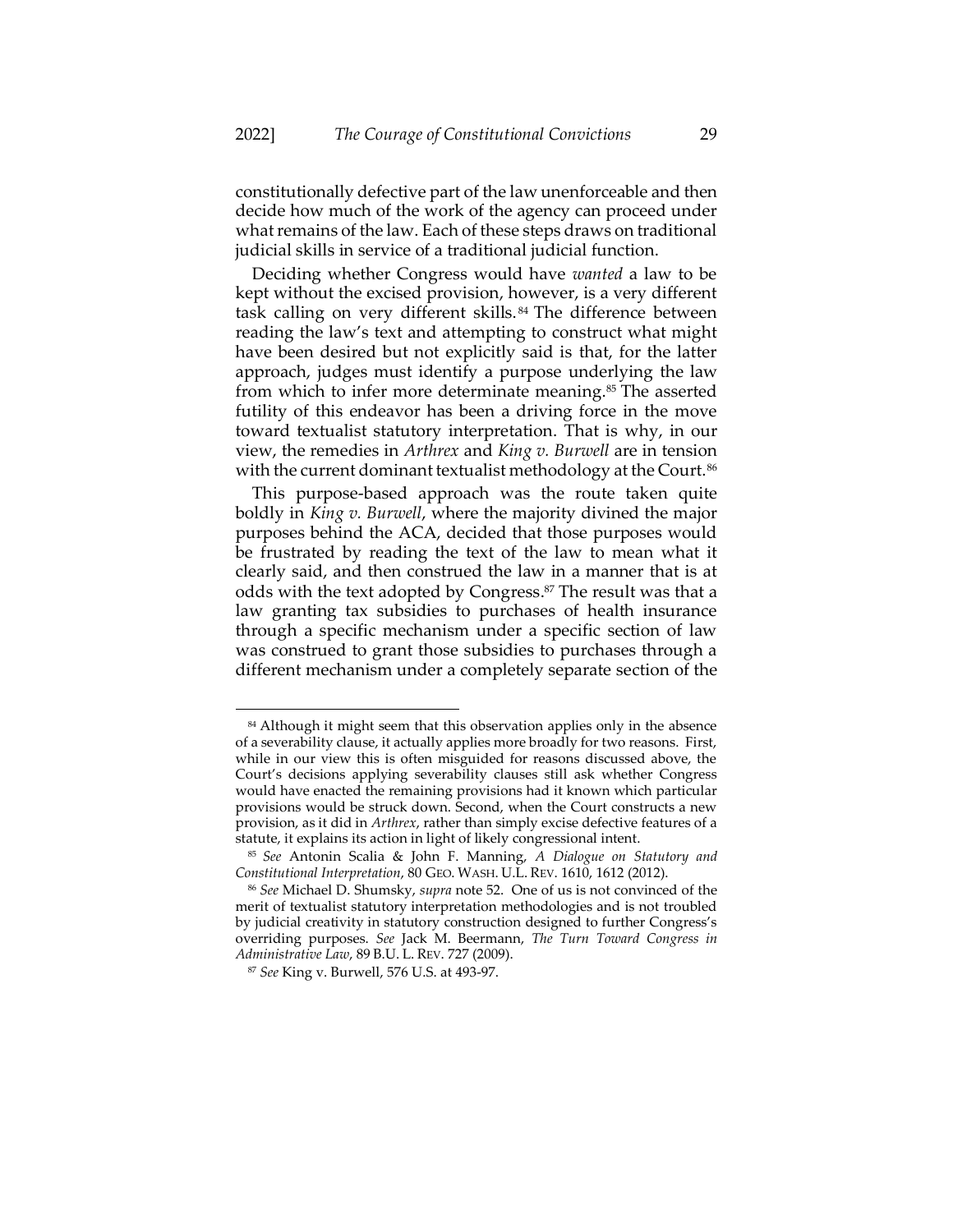constitutionally defective part of the law unenforceable and then decide how much of the work of the agency can proceed under what remains of the law. Each of these steps draws on traditional judicial skills in service of a traditional judicial function.

<span id="page-29-0"></span>Deciding whether Congress would have *wanted* a law to be kept without the excised provision, however, is a very different task calling on very different skills. <sup>84</sup> The difference between reading the law's text and attempting to construct what might have been desired but not explicitly said is that, for the latter approach, judges must identify a purpose underlying the law from which to infer more determinate meaning.<sup>85</sup> The asserted futility of this endeavor has been a driving force in the move toward textualist statutory interpretation. That is why, in our view, the remedies in *Arthrex* and *King v. Burwell* are in tension with the current dominant textualist methodology at the Court.<sup>86</sup>

<span id="page-29-2"></span><span id="page-29-1"></span>This purpose-based approach was the route taken quite boldly in *King v. Burwell*, where the majority divined the major purposes behind the ACA, decided that those purposes would be frustrated by reading the text of the law to mean what it clearly said, and then construed the law in a manner that is at odds with the text adopted by Congress. <sup>87</sup> The result was that a law granting tax subsidies to purchases of health insurance through a specific mechanism under a specific section of law was construed to grant those subsidies to purchases through a different mechanism under a completely separate section of the

<sup>&</sup>lt;sup>84</sup> Although it might seem that this observation applies only in the absence of a severability clause, it actually applies more broadly for two reasons. First, while in our view this is often misguided for reasons discussed above, the Court's decisions applying severability clauses still ask whether Congress would have enacted the remaining provisions had it known which particular provisions would be struck down. Second, when the Court constructs a new provision, as it did in *Arthrex*, rather than simply excise defective features of a statute, it explains its action in light of likely congressional intent.

<sup>85</sup> *See* Antonin Scalia & John F. Manning, *A Dialogue on Statutory and Constitutional Interpretation*, 80 GEO. WASH. U.L. REV. 1610, 1612 (2012).

<sup>86</sup> *See* Michael D. Shumsky, *supra* not[e 52.](#page-16-0) One of us is not convinced of the merit of textualist statutory interpretation methodologies and is not troubled by judicial creativity in statutory construction designed to further Congress's overriding purposes. *See* Jack M. Beermann, *The Turn Toward Congress in Administrative Law*, 89 B.U. L. REV. 727 (2009).

<sup>87</sup> *See* King v. Burwell, 576 U.S. at 493-97.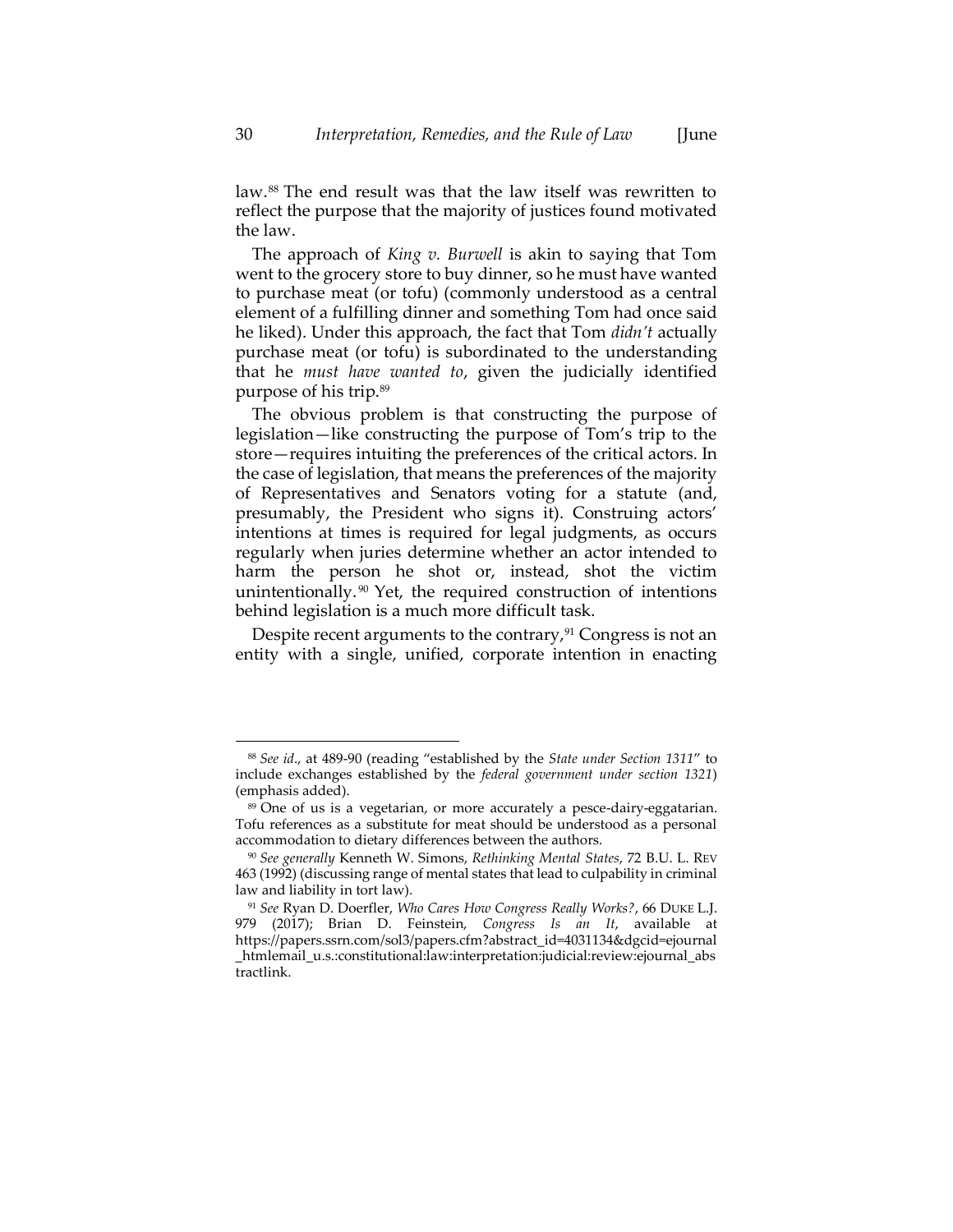<span id="page-30-0"></span>law.<sup>88</sup> The end result was that the law itself was rewritten to reflect the purpose that the majority of justices found motivated the law.

The approach of *King v. Burwell* is akin to saying that Tom went to the grocery store to buy dinner, so he must have wanted to purchase meat (or tofu) (commonly understood as a central element of a fulfilling dinner and something Tom had once said he liked). Under this approach, the fact that Tom *didn't* actually purchase meat (or tofu) is subordinated to the understanding that he *must have wanted to*, given the judicially identified purpose of his trip.<sup>89</sup>

The obvious problem is that constructing the purpose of legislation—like constructing the purpose of Tom's trip to the store—requires intuiting the preferences of the critical actors. In the case of legislation, that means the preferences of the majority of Representatives and Senators voting for a statute (and, presumably, the President who signs it). Construing actors' intentions at times is required for legal judgments, as occurs regularly when juries determine whether an actor intended to harm the person he shot or, instead, shot the victim unintentionally. <sup>90</sup> Yet, the required construction of intentions behind legislation is a much more difficult task.

Despite recent arguments to the contrary, $91$  Congress is not an entity with a single, unified, corporate intention in enacting

<sup>88</sup> *See id*., at 489-90 (reading "established by the *State under Section 1311*" to include exchanges established by the *federal government under section 1321*) (emphasis added).

<sup>89</sup> One of us is a vegetarian, or more accurately a pesce-dairy-eggatarian. Tofu references as a substitute for meat should be understood as a personal accommodation to dietary differences between the authors.

<sup>90</sup> *See generally* Kenneth W. Simons, *Rethinking Mental States*, 72 B.U. L. REV 463 (1992) (discussing range of mental states that lead to culpability in criminal law and liability in tort law).

<sup>91</sup> *See* Ryan D. Doerfler, *Who Cares How Congress Really Works?*, 66 DUKE L.J. 979 (2017); Brian D. Feinstein, *Congress Is an It*, available at https://papers.ssrn.com/sol3/papers.cfm?abstract\_id=4031134&dgcid=ejournal \_htmlemail\_u.s.:constitutional:law:interpretation:judicial:review:ejournal\_abs tractlink.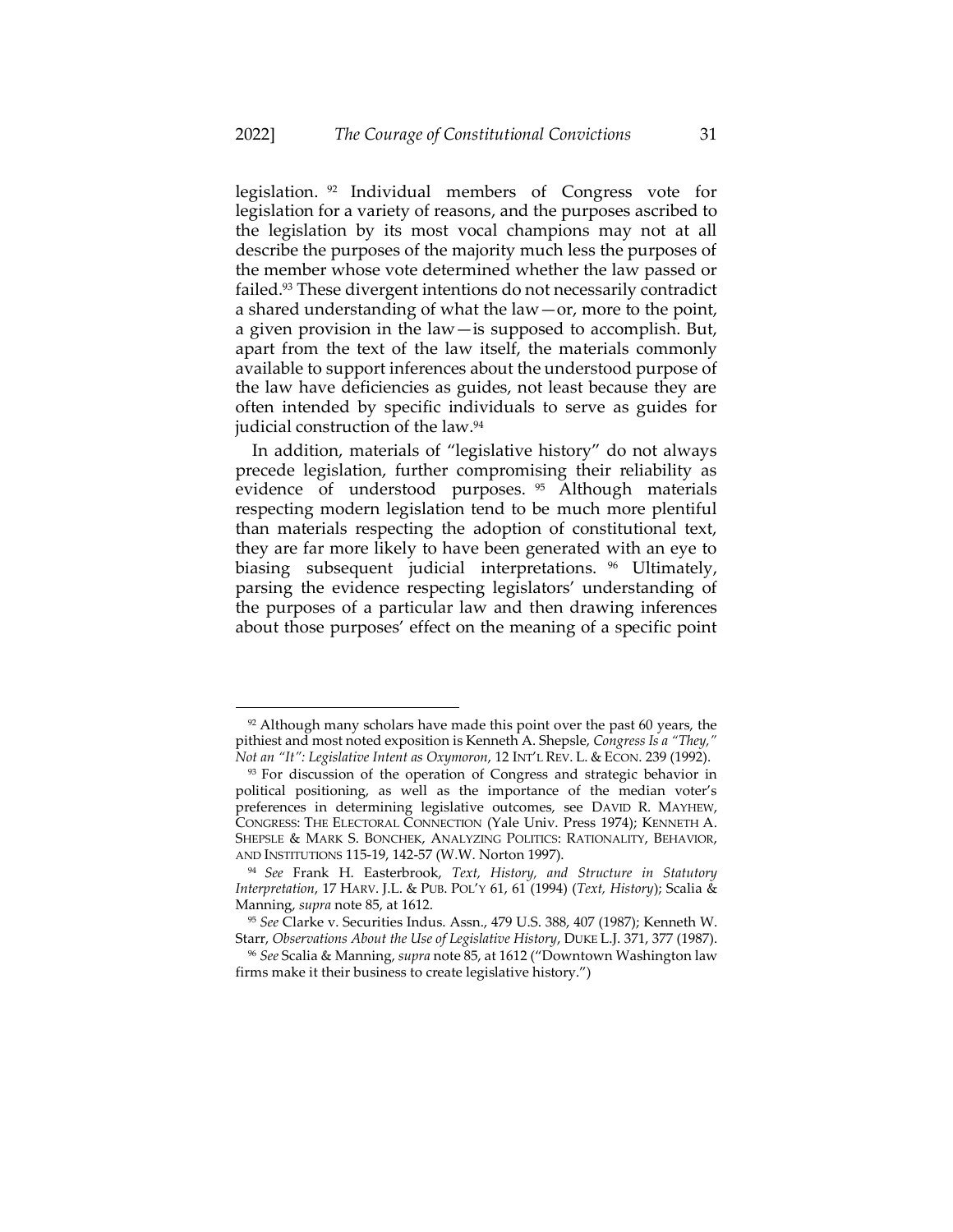legislation. <sup>92</sup> Individual members of Congress vote for legislation for a variety of reasons, and the purposes ascribed to the legislation by its most vocal champions may not at all describe the purposes of the majority much less the purposes of the member whose vote determined whether the law passed or failed. <sup>93</sup> These divergent intentions do not necessarily contradict a shared understanding of what the law—or, more to the point, a given provision in the law—is supposed to accomplish. But, apart from the text of the law itself, the materials commonly available to support inferences about the understood purpose of the law have deficiencies as guides, not least because they are often intended by specific individuals to serve as guides for judicial construction of the law.<sup>94</sup>

<span id="page-31-1"></span><span id="page-31-0"></span>In addition, materials of "legislative history" do not always precede legislation, further compromising their reliability as evidence of understood purposes. <sup>95</sup> Although materials respecting modern legislation tend to be much more plentiful than materials respecting the adoption of constitutional text, they are far more likely to have been generated with an eye to biasing subsequent judicial interpretations. <sup>96</sup> Ultimately, parsing the evidence respecting legislators' understanding of the purposes of a particular law and then drawing inferences about those purposes' effect on the meaning of a specific point

 $92$  Although many scholars have made this point over the past 60 years, the pithiest and most noted exposition is Kenneth A. Shepsle, *Congress Is a "They," Not an "It": Legislative Intent as Oxymoron*, 12 INT'L REV. L. & ECON. 239 (1992).

<sup>&</sup>lt;sup>93</sup> For discussion of the operation of Congress and strategic behavior in political positioning, as well as the importance of the median voter's preferences in determining legislative outcomes, see DAVID R. MAYHEW, CONGRESS: THE ELECTORAL CONNECTION (Yale Univ. Press 1974); KENNETH A. SHEPSLE & MARK S. BONCHEK, ANALYZING POLITICS: RATIONALITY, BEHAVIOR, AND INSTITUTIONS 115-19, 142-57 (W.W. Norton 1997).

<sup>94</sup> *See* Frank H. Easterbrook, *Text, History, and Structure in Statutory Interpretation*, 17 HARV. J.L. & PUB. POL'Y 61, 61 (1994) (*Text, History*); Scalia & Manning, *supra* not[e 85,](#page-29-2) at 1612.

<sup>95</sup> *See* Clarke v. Securities Indus. Assn., 479 U.S. 388, 407 (1987); Kenneth W. Starr, *Observations About the Use of Legislative History*, DUKE L.J. 371, 377 (1987).

<sup>96</sup> *See* Scalia & Manning, *supra* not[e 85](#page-29-2), at 1612 ("Downtown Washington law firms make it their business to create legislative history.")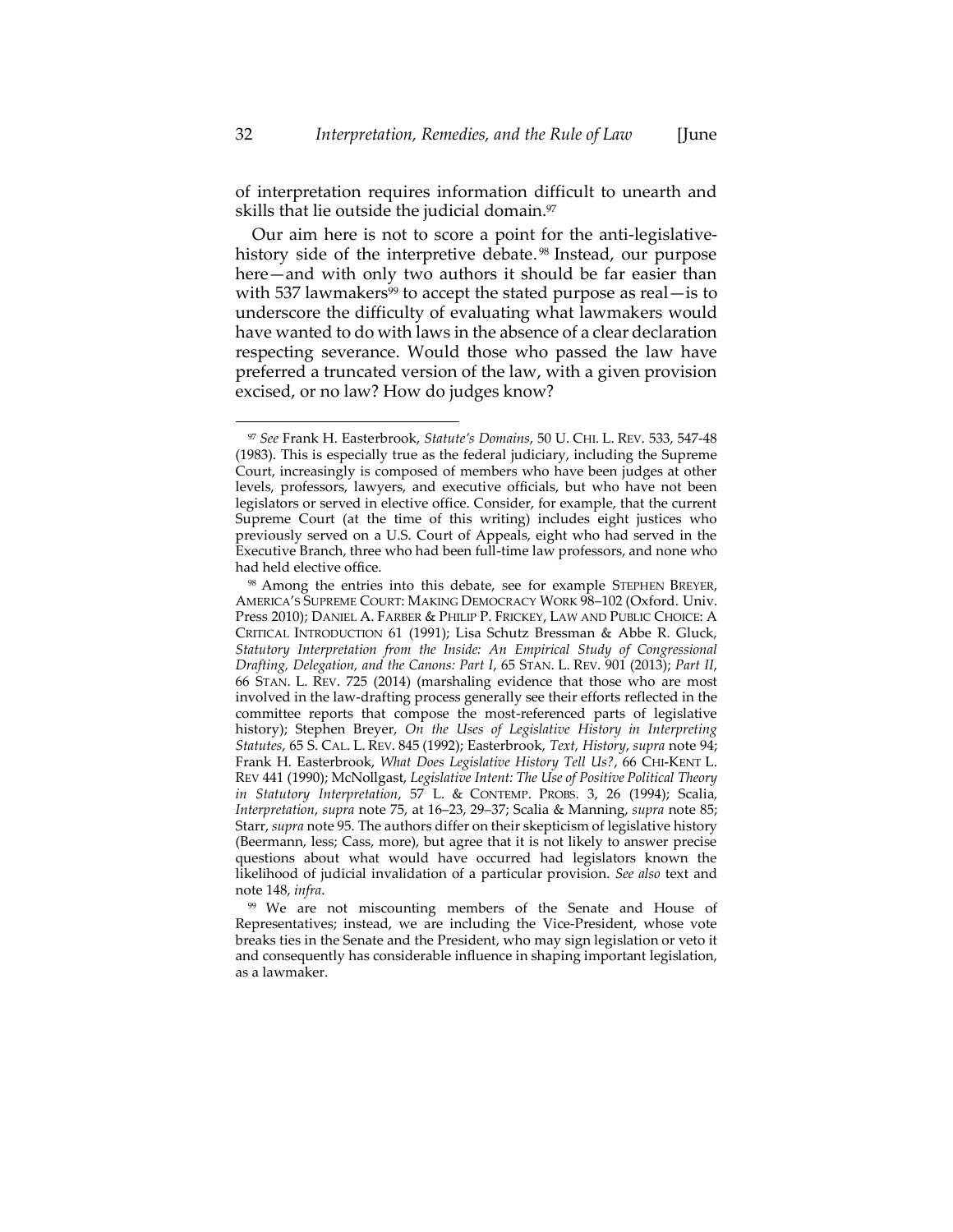of interpretation requires information difficult to unearth and skills that lie outside the judicial domain.<sup>97</sup>

Our aim here is not to score a point for the anti-legislativehistory side of the interpretive debate.<sup>98</sup> Instead, our purpose here—and with only two authors it should be far easier than with 537 lawmakers<sup>99</sup> to accept the stated purpose as real—is to underscore the difficulty of evaluating what lawmakers would have wanted to do with laws in the absence of a clear declaration respecting severance. Would those who passed the law have preferred a truncated version of the law, with a given provision excised, or no law? How do judges know?

<sup>97</sup> *See* Frank H. Easterbrook, *Statute's Domains*, 50 U. CHI. L. REV. 533, 547-48 (1983). This is especially true as the federal judiciary, including the Supreme Court, increasingly is composed of members who have been judges at other levels, professors, lawyers, and executive officials, but who have not been legislators or served in elective office. Consider, for example, that the current Supreme Court (at the time of this writing) includes eight justices who previously served on a U.S. Court of Appeals, eight who had served in the Executive Branch, three who had been full-time law professors, and none who had held elective office.

<sup>98</sup> Among the entries into this debate, see for example STEPHEN BREYER, AMERICA'S SUPREME COURT: MAKING DEMOCRACY WORK 98–102 (Oxford. Univ. Press 2010); DANIEL A. FARBER & PHILIP P. FRICKEY, LAW AND PUBLIC CHOICE: A CRITICAL INTRODUCTION 61 (1991); Lisa Schutz Bressman & Abbe R. Gluck, *Statutory Interpretation from the Inside: An Empirical Study of Congressional Drafting, Delegation, and the Canons: Part I*, 65 STAN. L. REV. 901 (2013); *Part II*, 66 STAN. L. REV. 725 (2014) (marshaling evidence that those who are most involved in the law-drafting process generally see their efforts reflected in the committee reports that compose the most-referenced parts of legislative history); Stephen Breyer, *On the Uses of Legislative History in Interpreting Statutes*, 65 S. CAL. L. REV. 845 (1992); Easterbrook, *Text, History*, *supra* not[e 94;](#page-31-0)  Frank H. Easterbrook, *What Does Legislative History Tell Us?*, 66 CHI-KENT L. REV 441 (1990); McNollgast, *Legislative Intent: The Use of Positive Political Theory in Statutory Interpretation*, 57 L. & CONTEMP. PROBS. 3, 26 (1994); Scalia, *Interpretation*, *supra* not[e 75,](#page-26-0) at 16–23, 29–37; Scalia & Manning, *supra* not[e 85;](#page-29-2)  Starr, *supra* not[e 95.](#page-31-1) The authors differ on their skepticism of legislative history (Beermann, less; Cass, more), but agree that it is not likely to answer precise questions about what would have occurred had legislators known the likelihood of judicial invalidation of a particular provision. *See also* text and note [148,](#page-47-0) *infra*.

<sup>99</sup> We are not miscounting members of the Senate and House of Representatives; instead, we are including the Vice-President, whose vote breaks ties in the Senate and the President, who may sign legislation or veto it and consequently has considerable influence in shaping important legislation, as a lawmaker.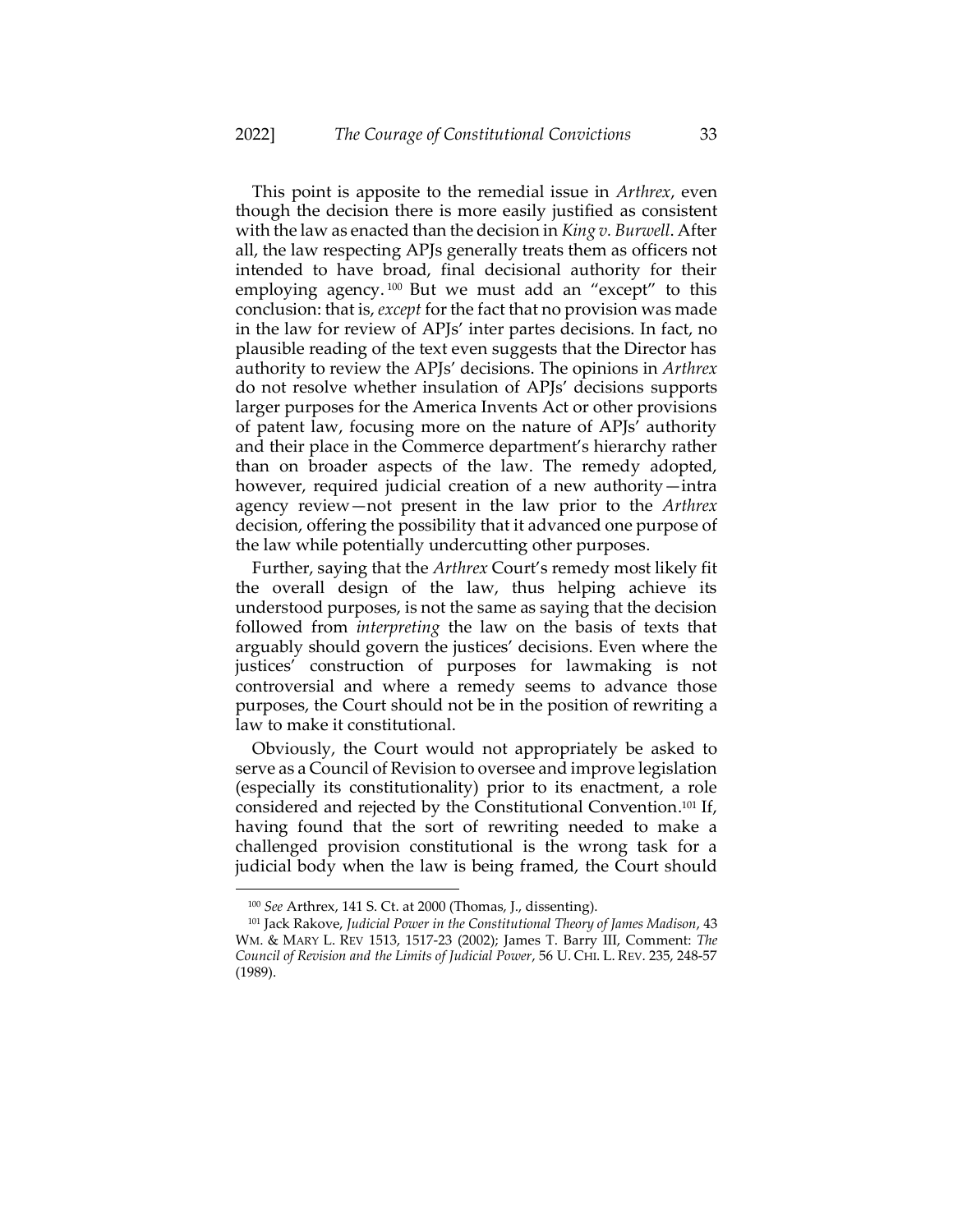This point is apposite to the remedial issue in *Arthrex*, even though the decision there is more easily justified as consistent with the law as enacted than the decision in *King v. Burwell*. After all, the law respecting APJs generally treats them as officers not intended to have broad, final decisional authority for their employing agency. <sup>100</sup> But we must add an "except" to this conclusion: that is, *except* for the fact that no provision was made in the law for review of APJs' inter partes decisions. In fact, no plausible reading of the text even suggests that the Director has authority to review the APJs' decisions. The opinions in *Arthrex* do not resolve whether insulation of APJs' decisions supports larger purposes for the America Invents Act or other provisions of patent law, focusing more on the nature of APJs' authority and their place in the Commerce department's hierarchy rather than on broader aspects of the law. The remedy adopted, however, required judicial creation of a new authority—intra agency review—not present in the law prior to the *Arthrex* decision, offering the possibility that it advanced one purpose of the law while potentially undercutting other purposes.

Further, saying that the *Arthrex* Court's remedy most likely fit the overall design of the law, thus helping achieve its understood purposes, is not the same as saying that the decision followed from *interpreting* the law on the basis of texts that arguably should govern the justices' decisions. Even where the justices' construction of purposes for lawmaking is not controversial and where a remedy seems to advance those purposes, the Court should not be in the position of rewriting a law to make it constitutional.

Obviously, the Court would not appropriately be asked to serve as a Council of Revision to oversee and improve legislation (especially its constitutionality) prior to its enactment, a role considered and rejected by the Constitutional Convention. <sup>101</sup> If, having found that the sort of rewriting needed to make a challenged provision constitutional is the wrong task for a judicial body when the law is being framed, the Court should

<span id="page-33-0"></span><sup>100</sup> *See* Arthrex, 141 S. Ct. at 2000 (Thomas, J., dissenting).

<sup>101</sup> Jack Rakove, *Judicial Power in the Constitutional Theory of James Madison*, 43 WM. & MARY L. REV 1513, 1517-23 (2002); James T. Barry III, Comment: *The Council of Revision and the Limits of Judicial Power*, 56 U. CHI. L. REV. 235, 248-57 (1989).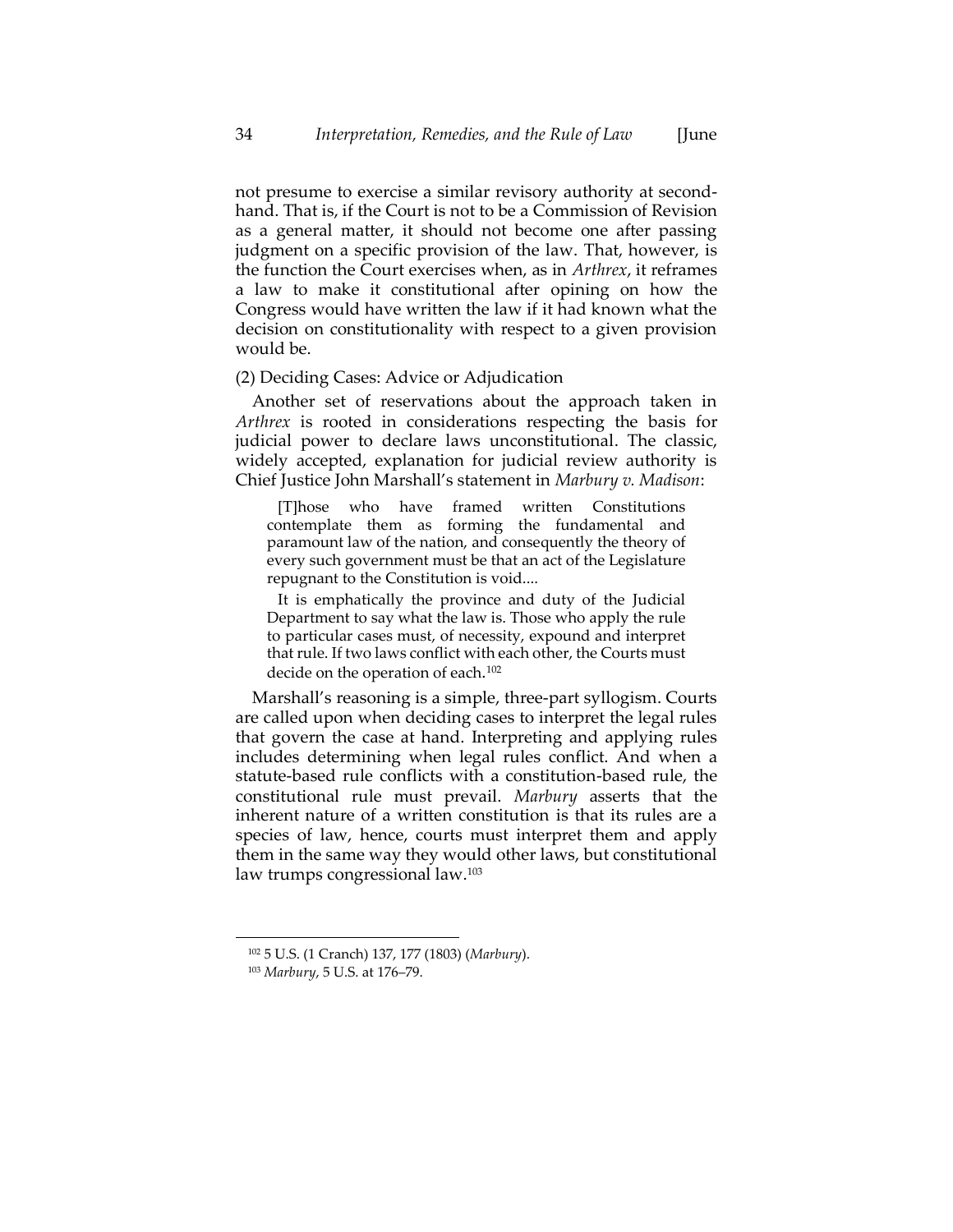not presume to exercise a similar revisory authority at secondhand. That is, if the Court is not to be a Commission of Revision as a general matter, it should not become one after passing judgment on a specific provision of the law. That, however, is the function the Court exercises when, as in *Arthrex*, it reframes a law to make it constitutional after opining on how the Congress would have written the law if it had known what the decision on constitutionality with respect to a given provision would be.

# (2) Deciding Cases: Advice or Adjudication

Another set of reservations about the approach taken in *Arthrex* is rooted in considerations respecting the basis for judicial power to declare laws unconstitutional. The classic, widely accepted, explanation for judicial review authority is Chief Justice John Marshall's statement in *Marbury v. Madison*:

[T]hose who have framed written Constitutions contemplate them as forming the fundamental and paramount law of the nation, and consequently the theory of every such government must be that an act of the Legislature repugnant to the Constitution is void....

It is emphatically the province and duty of the Judicial Department to say what the law is. Those who apply the rule to particular cases must, of necessity, expound and interpret that rule. If two laws conflict with each other, the Courts must decide on the operation of each.<sup>102</sup>

Marshall's reasoning is a simple, three-part syllogism. Courts are called upon when deciding cases to interpret the legal rules that govern the case at hand. Interpreting and applying rules includes determining when legal rules conflict. And when a statute-based rule conflicts with a constitution-based rule, the constitutional rule must prevail. *Marbury* asserts that the inherent nature of a written constitution is that its rules are a species of law, hence, courts must interpret them and apply them in the same way they would other laws, but constitutional law trumps congressional law.<sup>103</sup>

<sup>102</sup> 5 U.S. (1 Cranch) 137, 177 (1803) (*Marbury*).

<sup>103</sup> *Marbury*, 5 U.S. at 176–79.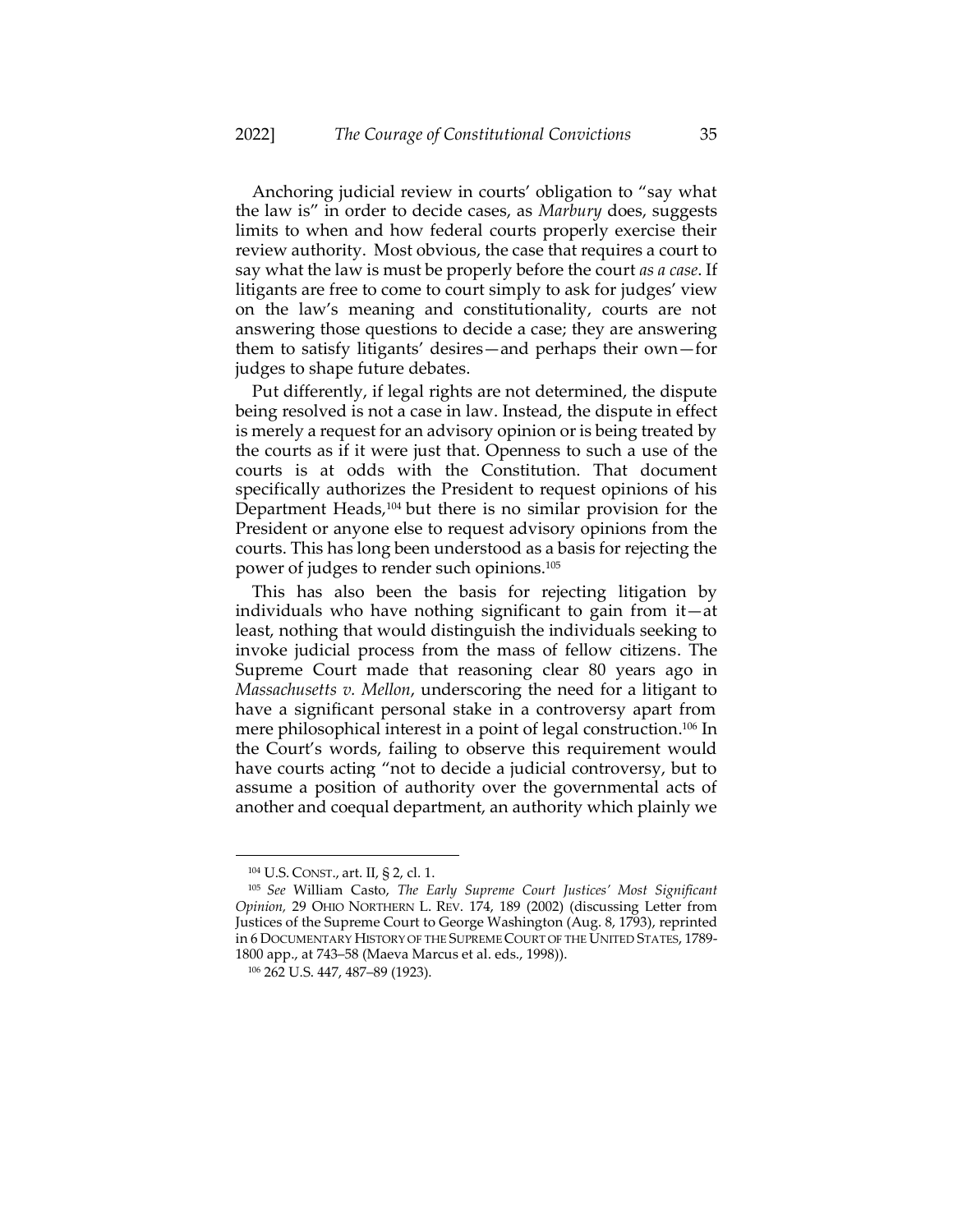Anchoring judicial review in courts' obligation to "say what the law is" in order to decide cases, as *Marbury* does, suggests limits to when and how federal courts properly exercise their review authority. Most obvious, the case that requires a court to say what the law is must be properly before the court *as a case*. If litigants are free to come to court simply to ask for judges' view on the law's meaning and constitutionality, courts are not answering those questions to decide a case; they are answering them to satisfy litigants' desires—and perhaps their own—for judges to shape future debates.

Put differently, if legal rights are not determined, the dispute being resolved is not a case in law. Instead, the dispute in effect is merely a request for an advisory opinion or is being treated by the courts as if it were just that. Openness to such a use of the courts is at odds with the Constitution. That document specifically authorizes the President to request opinions of his Department Heads,<sup>104</sup> but there is no similar provision for the President or anyone else to request advisory opinions from the courts. This has long been understood as a basis for rejecting the power of judges to render such opinions.<sup>105</sup>

This has also been the basis for rejecting litigation by individuals who have nothing significant to gain from it—at least, nothing that would distinguish the individuals seeking to invoke judicial process from the mass of fellow citizens. The Supreme Court made that reasoning clear 80 years ago in *Massachusetts v. Mellon*, underscoring the need for a litigant to have a significant personal stake in a controversy apart from mere philosophical interest in a point of legal construction. <sup>106</sup> In the Court's words, failing to observe this requirement would have courts acting "not to decide a judicial controversy, but to assume a position of authority over the governmental acts of another and coequal department, an authority which plainly we

<sup>104</sup> U.S. CONST., art. II, § 2, cl. 1.

<sup>105</sup> *See* William Casto, *The Early Supreme Court Justices' Most Significant Opinion,* 29 OHIO NORTHERN L. REV. 174, 189 (2002) (discussing Letter from Justices of the Supreme Court to George Washington (Aug. 8, 1793), reprinted in 6 DOCUMENTARY HISTORY OF THE SUPREME COURT OF THE UNITED STATES, 1789- 1800 app., at 743–58 (Maeva Marcus et al. eds., 1998)).

<sup>106</sup> 262 U.S. 447, 487–89 (1923).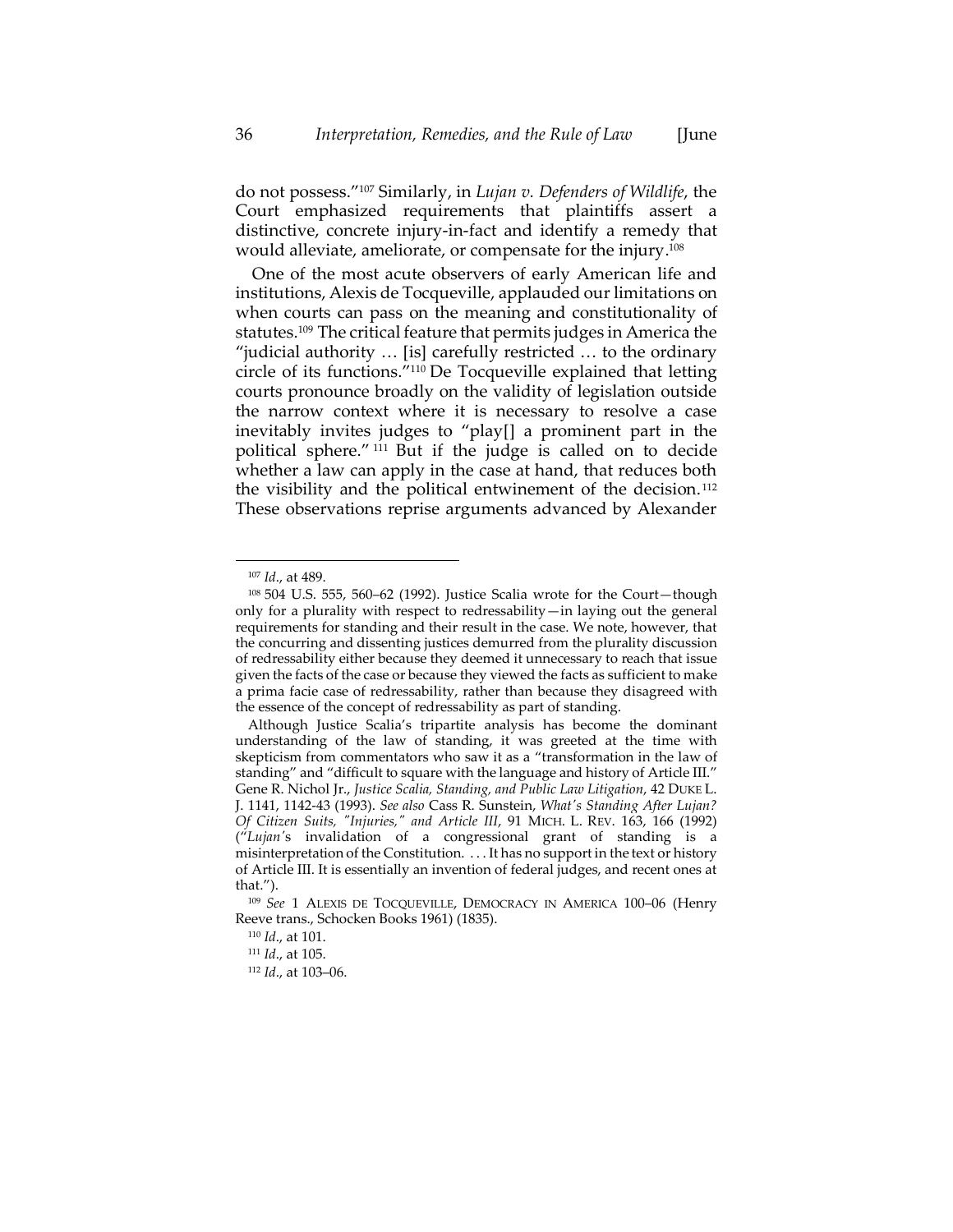do not possess."<sup>107</sup> Similarly, in *Lujan v. Defenders of Wildlife*, the Court emphasized requirements that plaintiffs assert a distinctive, concrete injury-in-fact and identify a remedy that would alleviate, ameliorate, or compensate for the injury. 108

One of the most acute observers of early American life and institutions, Alexis de Tocqueville, applauded our limitations on when courts can pass on the meaning and constitutionality of statutes. <sup>109</sup> The critical feature that permits judges in America the "judicial authority … [is] carefully restricted … to the ordinary circle of its functions."<sup>110</sup> De Tocqueville explained that letting courts pronounce broadly on the validity of legislation outside the narrow context where it is necessary to resolve a case inevitably invites judges to "play[] a prominent part in the political sphere." <sup>111</sup> But if the judge is called on to decide whether a law can apply in the case at hand, that reduces both the visibility and the political entwinement of the decision. <sup>112</sup> These observations reprise arguments advanced by Alexander

<sup>107</sup> *Id*., at 489.

<sup>108</sup> 504 U.S. 555, 560–62 (1992). Justice Scalia wrote for the Court—though only for a plurality with respect to redressability—in laying out the general requirements for standing and their result in the case. We note, however, that the concurring and dissenting justices demurred from the plurality discussion of redressability either because they deemed it unnecessary to reach that issue given the facts of the case or because they viewed the facts as sufficient to make a prima facie case of redressability, rather than because they disagreed with the essence of the concept of redressability as part of standing.

Although Justice Scalia's tripartite analysis has become the dominant understanding of the law of standing, it was greeted at the time with skepticism from commentators who saw it as a "transformation in the law of standing" and "difficult to square with the language and history of Article III." Gene R. Nichol Jr., *Justice Scalia, Standing, and Public Law Litigation*, 42 DUKE L. J. 1141, 1142-43 (1993). *See also* Cass R. Sunstein, *What's Standing After Lujan? Of Citizen Suits, "Injuries," and Article III*, 91 MICH. L. REV. 163, 166 (1992) ("*Lujan'*s invalidation of a congressional grant of standing is a misinterpretation of the Constitution. . . . It has no support in the text or history of Article III. It is essentially an invention of federal judges, and recent ones at that.").

<sup>109</sup> *See* 1 ALEXIS DE TOCQUEVILLE, DEMOCRACY IN AMERICA 100–06 (Henry Reeve trans., Schocken Books 1961) (1835).

<sup>110</sup> *Id*., at 101.

<sup>111</sup> *Id*., at 105.

<sup>112</sup> *Id*., at 103–06.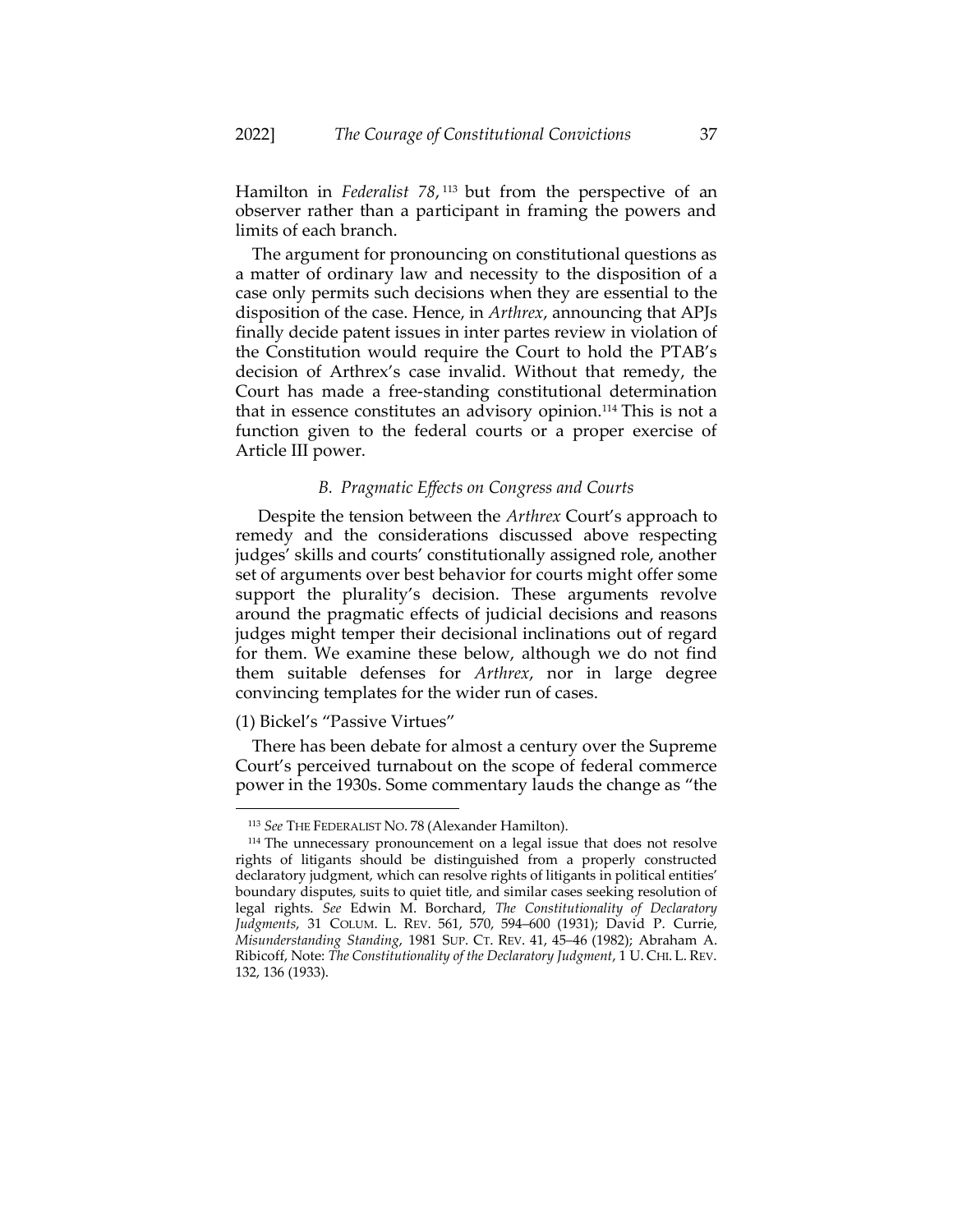Hamilton in *Federalist 78*, <sup>113</sup> but from the perspective of an observer rather than a participant in framing the powers and limits of each branch.

The argument for pronouncing on constitutional questions as a matter of ordinary law and necessity to the disposition of a case only permits such decisions when they are essential to the disposition of the case. Hence, in *Arthrex*, announcing that APJs finally decide patent issues in inter partes review in violation of the Constitution would require the Court to hold the PTAB's decision of Arthrex's case invalid. Without that remedy, the Court has made a free-standing constitutional determination that in essence constitutes an advisory opinion.<sup>114</sup> This is not a function given to the federal courts or a proper exercise of Article III power.

# *B. Pragmatic Effects on Congress and Courts*

Despite the tension between the *Arthrex* Court's approach to remedy and the considerations discussed above respecting judges' skills and courts' constitutionally assigned role, another set of arguments over best behavior for courts might offer some support the plurality's decision. These arguments revolve around the pragmatic effects of judicial decisions and reasons judges might temper their decisional inclinations out of regard for them. We examine these below, although we do not find them suitable defenses for *Arthrex*, nor in large degree convincing templates for the wider run of cases.

#### (1) Bickel's "Passive Virtues"

There has been debate for almost a century over the Supreme Court's perceived turnabout on the scope of federal commerce power in the 1930s. Some commentary lauds the change as "the

<sup>113</sup> *See* THE FEDERALIST NO. 78 (Alexander Hamilton).

<sup>&</sup>lt;sup>114</sup> The unnecessary pronouncement on a legal issue that does not resolve rights of litigants should be distinguished from a properly constructed declaratory judgment, which can resolve rights of litigants in political entities' boundary disputes, suits to quiet title, and similar cases seeking resolution of legal rights. *See* Edwin M. Borchard, *The Constitutionality of Declaratory Judgments*, 31 COLUM. L. REV. 561, 570, 594–600 (1931); David P. Currie, *Misunderstanding Standing*, 1981 SUP. CT. REV. 41, 45–46 (1982); Abraham A. Ribicoff, Note: *The Constitutionality of the Declaratory Judgment*, 1 U. CHI. L. REV. 132, 136 (1933).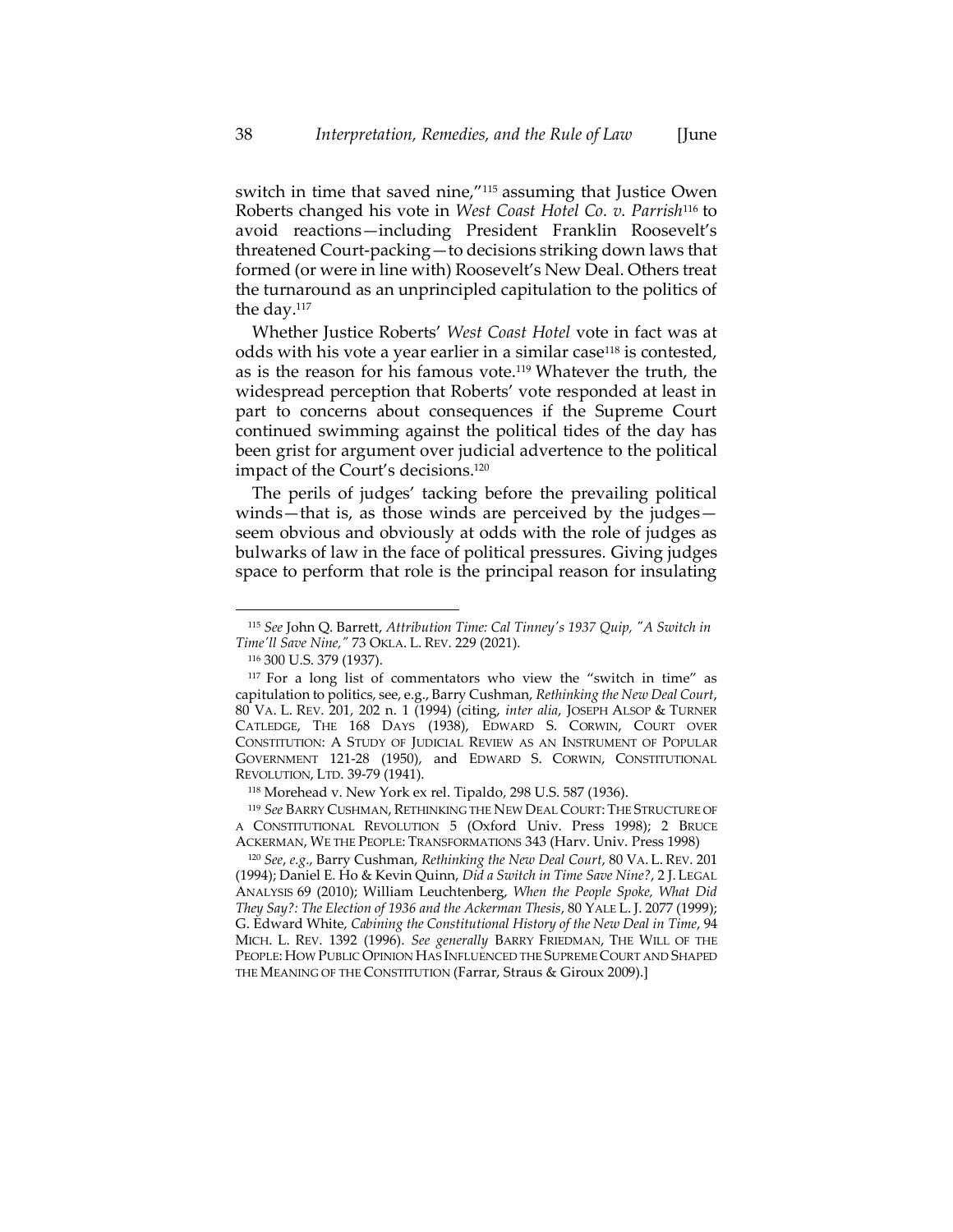switch in time that saved nine,"<sup>115</sup> assuming that Justice Owen Roberts changed his vote in *West Coast Hotel Co. v. Parrish*<sup>116</sup> to avoid reactions—including President Franklin Roosevelt's threatened Court-packing—to decisions striking down laws that formed (or were in line with) Roosevelt's New Deal. Others treat the turnaround as an unprincipled capitulation to the politics of the day.<sup>117</sup>

Whether Justice Roberts' *West Coast Hotel* vote in fact was at odds with his vote a year earlier in a similar case<sup>118</sup> is contested, as is the reason for his famous vote.<sup>119</sup> Whatever the truth, the widespread perception that Roberts' vote responded at least in part to concerns about consequences if the Supreme Court continued swimming against the political tides of the day has been grist for argument over judicial advertence to the political impact of the Court's decisions.<sup>120</sup>

The perils of judges' tacking before the prevailing political winds—that is, as those winds are perceived by the judges seem obvious and obviously at odds with the role of judges as bulwarks of law in the face of political pressures. Giving judges space to perform that role is the principal reason for insulating

<sup>116</sup> 300 U.S. 379 (1937).

<sup>120</sup> *See*, *e.g*., Barry Cushman, *Rethinking the New Deal Court*, 80 VA. L. REV. 201 (1994); Daniel E. Ho & Kevin Quinn, *Did a Switch in Time Save Nine?*, 2 J. LEGAL ANALYSIS 69 (2010); William Leuchtenberg, *When the People Spoke, What Did They Say?: The Election of 1936 and the Ackerman Thesis*, 80 YALE L. J. 2077 (1999); G. Edward White, *Cabining the Constitutional History of the New Deal in Time*, 94 MICH. L. REV. 1392 (1996). *See generally* BARRY FRIEDMAN, THE WILL OF THE PEOPLE: HOW PUBLIC OPINION HAS INFLUENCED THE SUPREME COURT AND SHAPED THE MEANING OF THE CONSTITUTION (Farrar, Straus & Giroux 2009).]

<sup>115</sup> *See* John Q. Barrett, *Attribution Time: Cal Tinney's 1937 Quip, "A Switch in Time'll Save Nine,"* 73 OKLA. L. REV. 229 (2021).

<sup>&</sup>lt;sup>117</sup> For a long list of commentators who view the "switch in time" as capitulation to politics, see, e.g., Barry Cushman, *Rethinking the New Deal Court*, 80 VA. L. REV. 201, 202 n. 1 (1994) (citing, *inter alia*, JOSEPH ALSOP & TURNER CATLEDGE, THE 168 DAYS (1938), EDWARD S. CORWIN, COURT OVER CONSTITUTION: A STUDY OF JUDICIAL REVIEW AS AN INSTRUMENT OF POPULAR GOVERNMENT 121-28 (1950), and EDWARD S. CORWIN, CONSTITUTIONAL REVOLUTION, LTD. 39-79 (1941).

<sup>118</sup> Morehead v. New York ex rel. Tipaldo, 298 U.S. 587 (1936).

<sup>119</sup> See BARRY CUSHMAN, RETHINKING THE NEW DEAL COURT: THE STRUCTURE OF A CONSTITUTIONAL REVOLUTION 5 (Oxford Univ. Press 1998); 2 BRUCE ACKERMAN, WE THE PEOPLE: TRANSFORMATIONS 343 (Harv. Univ. Press 1998)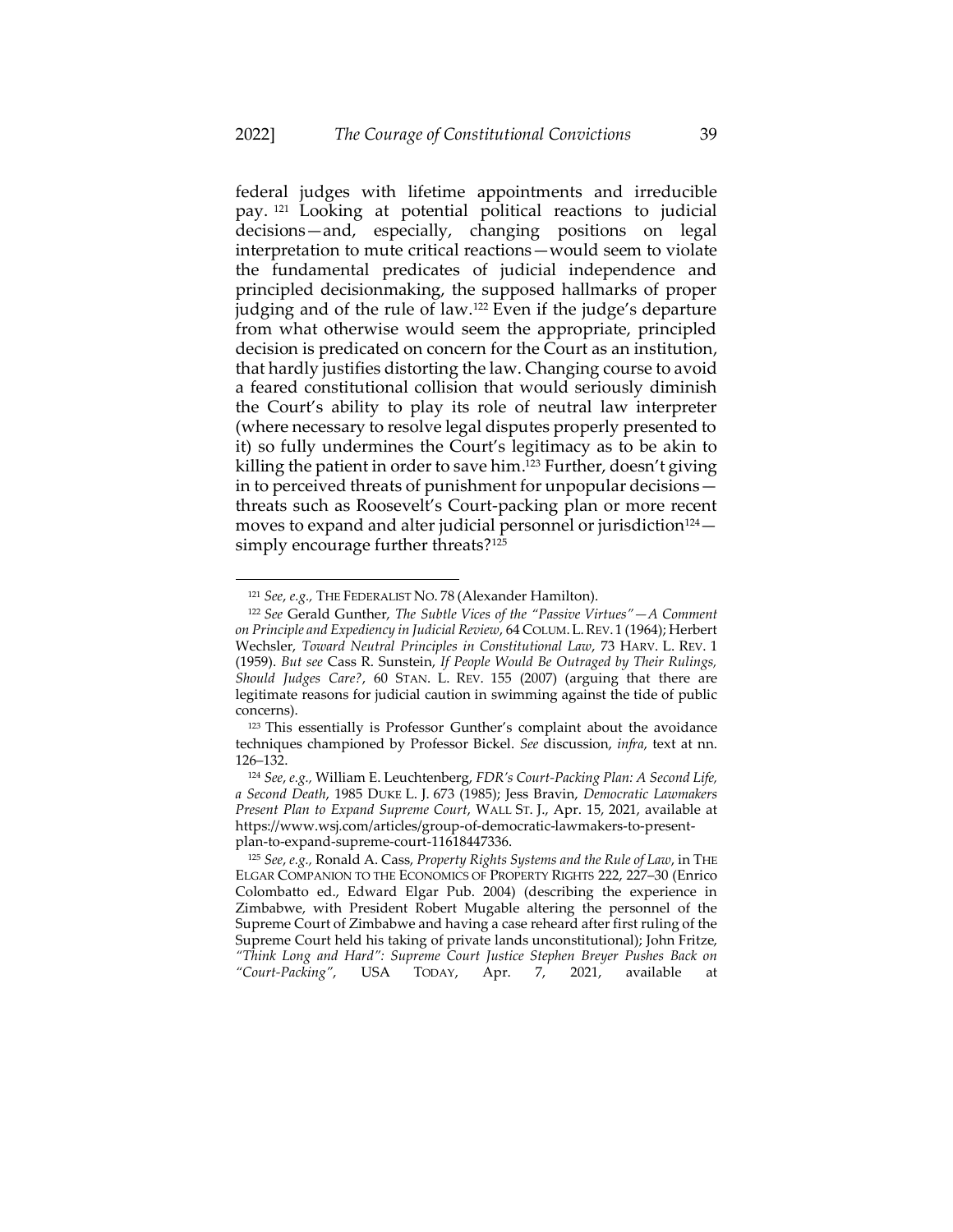<span id="page-39-0"></span>federal judges with lifetime appointments and irreducible pay. <sup>121</sup> Looking at potential political reactions to judicial decisions—and, especially, changing positions on legal interpretation to mute critical reactions—would seem to violate the fundamental predicates of judicial independence and principled decisionmaking, the supposed hallmarks of proper judging and of the rule of law.<sup>122</sup> Even if the judge's departure from what otherwise would seem the appropriate, principled decision is predicated on concern for the Court as an institution, that hardly justifies distorting the law. Changing course to avoid a feared constitutional collision that would seriously diminish the Court's ability to play its role of neutral law interpreter (where necessary to resolve legal disputes properly presented to it) so fully undermines the Court's legitimacy as to be akin to killing the patient in order to save him. <sup>123</sup> Further, doesn't giving in to perceived threats of punishment for unpopular decisions threats such as Roosevelt's Court-packing plan or more recent moves to expand and alter judicial personnel or jurisdiction<sup>124</sup> $$ simply encourage further threats?<sup>125</sup>

<sup>121</sup> *See*, *e.g.,* THE FEDERALIST NO. 78 (Alexander Hamilton).

<sup>122</sup> *See* Gerald Gunther, *The Subtle Vices of the "Passive Virtues"—A Comment on Principle and Expediency in Judicial Review*, 64 COLUM.L.REV. 1 (1964); Herbert Wechsler, *Toward Neutral Principles in Constitutional Law*, 73 HARV. L. REV. 1 (1959). *But see* Cass R. Sunstein, *If People Would Be Outraged by Their Rulings, Should Judges Care?*, 60 STAN. L. REV. 155 (2007) (arguing that there are legitimate reasons for judicial caution in swimming against the tide of public concerns).

<sup>123</sup> This essentially is Professor Gunther's complaint about the avoidance techniques championed by Professor Bickel. *See* discussion, *infra*, text at nn. [126](#page-40-0)–[132.](#page-41-0)

<sup>124</sup> *See*, *e.g.,* William E. Leuchtenberg, *FDR's Court-Packing Plan: A Second Life, a Second Death*, 1985 DUKE L. J. 673 (1985); Jess Bravin, *Democratic Lawmakers Present Plan to Expand Supreme Court*, WALL ST. J., Apr. 15, 2021, available at https://www.wsj.com/articles/group-of-democratic-lawmakers-to-presentplan-to-expand-supreme-court-11618447336.

<sup>125</sup> *See*, *e.g.,* Ronald A. Cass, *Property Rights Systems and the Rule of Law*, in THE ELGAR COMPANION TO THE ECONOMICS OF PROPERTY RIGHTS 222, 227–30 (Enrico Colombatto ed., Edward Elgar Pub. 2004) (describing the experience in Zimbabwe, with President Robert Mugable altering the personnel of the Supreme Court of Zimbabwe and having a case reheard after first ruling of the Supreme Court held his taking of private lands unconstitutional); John Fritze, *"Think Long and Hard": Supreme Court Justice Stephen Breyer Pushes Back on "Court-Packing"*, USA TODAY, Apr. 7, 2021, available at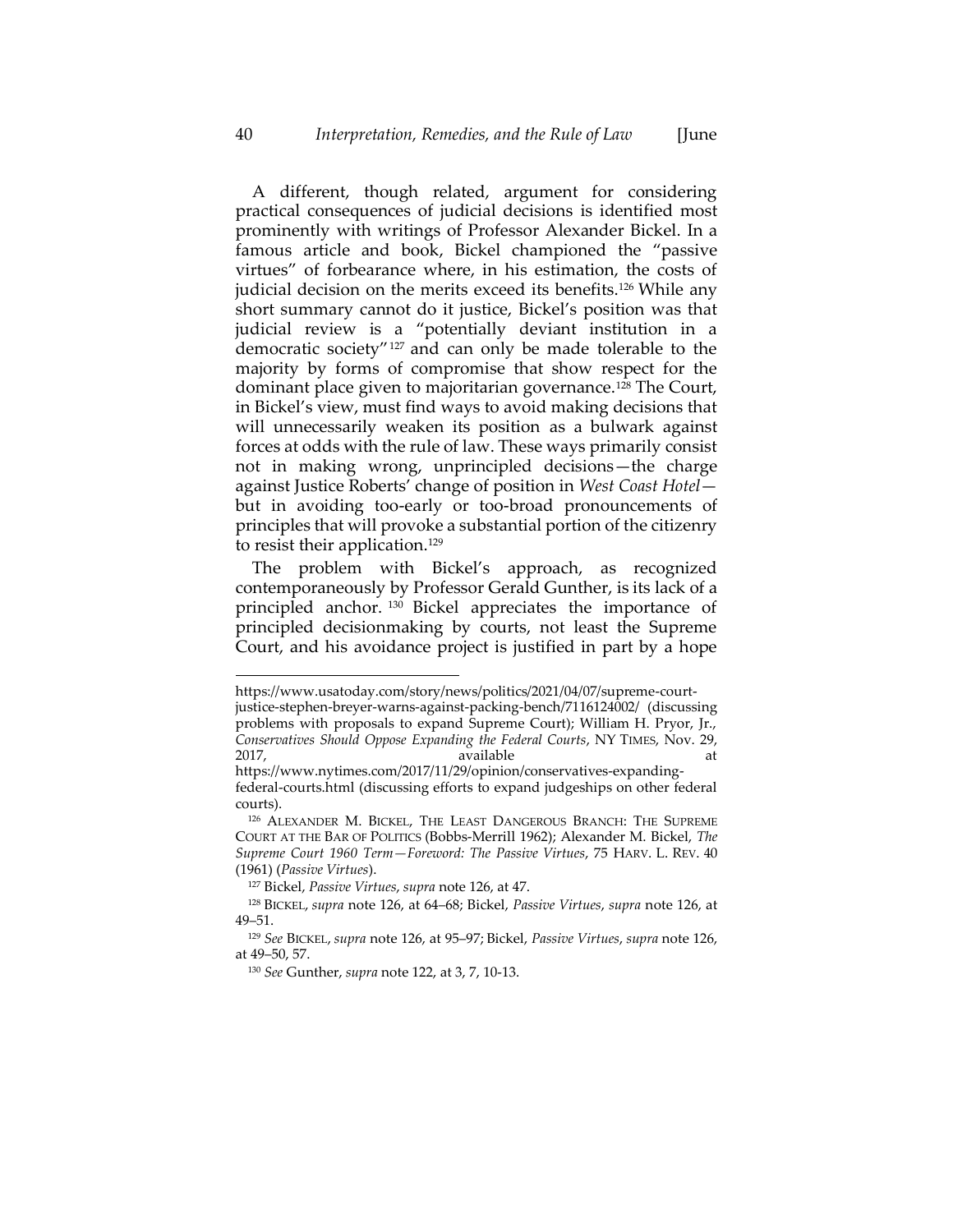<span id="page-40-0"></span>A different, though related, argument for considering practical consequences of judicial decisions is identified most prominently with writings of Professor Alexander Bickel. In a famous article and book, Bickel championed the "passive virtues" of forbearance where, in his estimation, the costs of judicial decision on the merits exceed its benefits.<sup>126</sup> While any short summary cannot do it justice, Bickel's position was that judicial review is a "potentially deviant institution in a democratic society"<sup>127</sup> and can only be made tolerable to the majority by forms of compromise that show respect for the dominant place given to majoritarian governance.<sup>128</sup> The Court, in Bickel's view, must find ways to avoid making decisions that will unnecessarily weaken its position as a bulwark against forces at odds with the rule of law. These ways primarily consist not in making wrong, unprincipled decisions—the charge against Justice Roberts' change of position in *West Coast Hotel* but in avoiding too-early or too-broad pronouncements of principles that will provoke a substantial portion of the citizenry to resist their application.<sup>129</sup>

The problem with Bickel's approach, as recognized contemporaneously by Professor Gerald Gunther, is its lack of a principled anchor. <sup>130</sup> Bickel appreciates the importance of principled decisionmaking by courts, not least the Supreme Court, and his avoidance project is justified in part by a hope

https://www.usatoday.com/story/news/politics/2021/04/07/supreme-courtjustice-stephen-breyer-warns-against-packing-bench/7116124002/ (discussing problems with proposals to expand Supreme Court); William H. Pryor, Jr., *Conservatives Should Oppose Expanding the Federal Courts*, NY TIMES, Nov. 29, 2017, available at the state at the state at  $\alpha$ 

https://www.nytimes.com/2017/11/29/opinion/conservatives-expandingfederal-courts.html (discussing efforts to expand judgeships on other federal courts).

<sup>126</sup> ALEXANDER M. BICKEL, THE LEAST DANGEROUS BRANCH: THE SUPREME COURT AT THE BAR OF POLITICS (Bobbs-Merrill 1962); Alexander M. Bickel, *The Supreme Court 1960 Term—Foreword: The Passive Virtues*, 75 HARV. L. REV. 40 (1961) (*Passive Virtues*).

<sup>127</sup> Bickel, *Passive Virtues*, *supra* not[e 126,](#page-40-0) at 47.

<sup>128</sup> BICKEL, *supra* note [126,](#page-40-0) at 64–68; Bickel, *Passive Virtues*, *supra* note [126,](#page-40-0) at 49–51.

<sup>129</sup> *See* BICKEL, *supra* not[e 126,](#page-40-0) at 95–97; Bickel, *Passive Virtues*, *supra* note [126,](#page-40-0)  at 49–50, 57.

<sup>130</sup> *See* Gunther, *supra* not[e 122,](#page-39-0) at 3, 7, 10-13.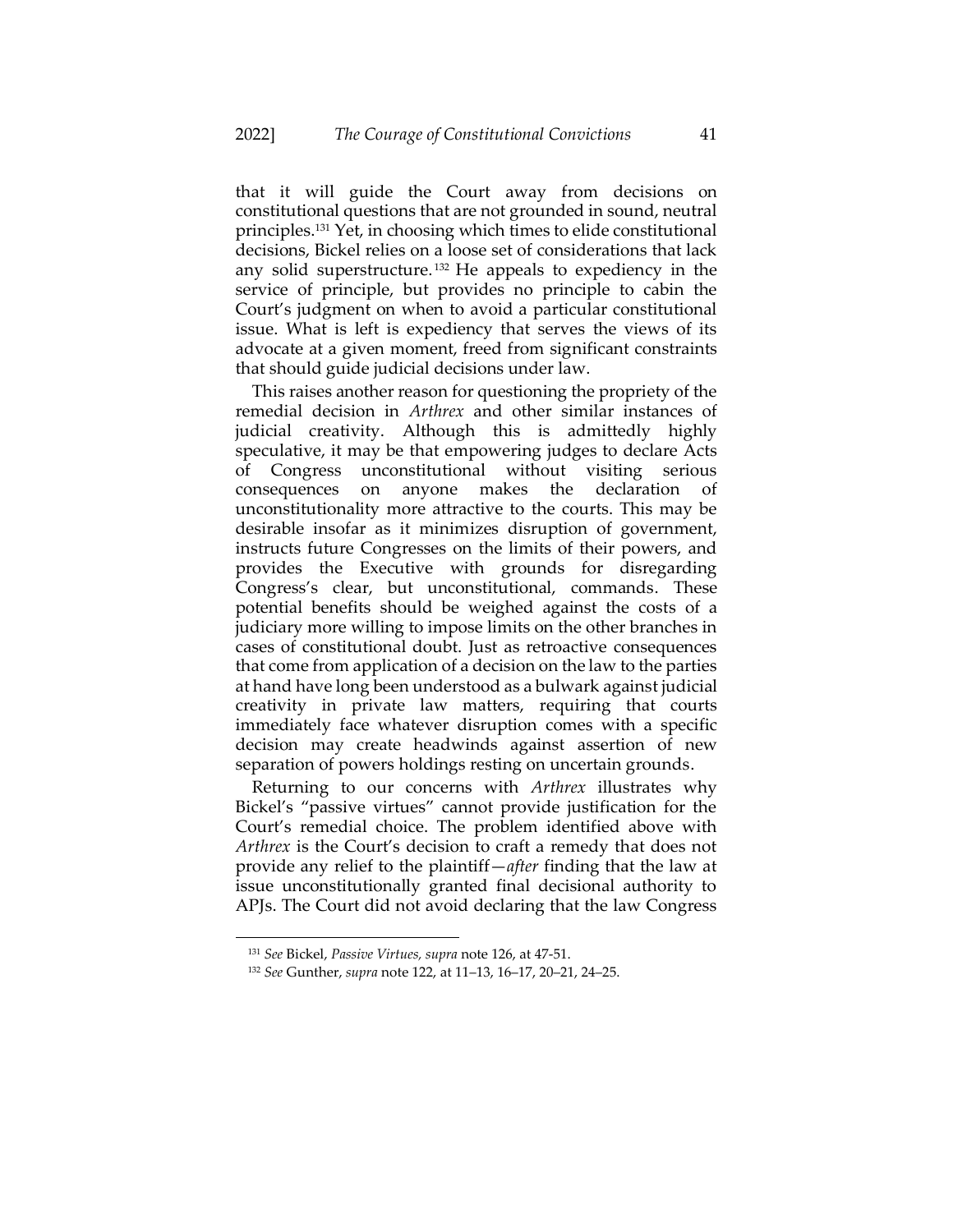<span id="page-41-0"></span>that it will guide the Court away from decisions on constitutional questions that are not grounded in sound, neutral principles.<sup>131</sup> Yet, in choosing which times to elide constitutional decisions, Bickel relies on a loose set of considerations that lack any solid superstructure. <sup>132</sup> He appeals to expediency in the service of principle, but provides no principle to cabin the Court's judgment on when to avoid a particular constitutional issue. What is left is expediency that serves the views of its advocate at a given moment, freed from significant constraints that should guide judicial decisions under law.

This raises another reason for questioning the propriety of the remedial decision in *Arthrex* and other similar instances of judicial creativity. Although this is admittedly highly speculative, it may be that empowering judges to declare Acts of Congress unconstitutional without visiting serious consequences on anyone makes the declaration of unconstitutionality more attractive to the courts. This may be desirable insofar as it minimizes disruption of government, instructs future Congresses on the limits of their powers, and provides the Executive with grounds for disregarding Congress's clear, but unconstitutional, commands. These potential benefits should be weighed against the costs of a judiciary more willing to impose limits on the other branches in cases of constitutional doubt. Just as retroactive consequences that come from application of a decision on the law to the parties at hand have long been understood as a bulwark against judicial creativity in private law matters, requiring that courts immediately face whatever disruption comes with a specific decision may create headwinds against assertion of new separation of powers holdings resting on uncertain grounds.

Returning to our concerns with *Arthrex* illustrates why Bickel's "passive virtues" cannot provide justification for the Court's remedial choice. The problem identified above with *Arthrex* is the Court's decision to craft a remedy that does not provide any relief to the plaintiff—*after* finding that the law at issue unconstitutionally granted final decisional authority to APJs. The Court did not avoid declaring that the law Congress

<sup>131</sup> *See* Bickel, *Passive Virtues, supra* not[e 126,](#page-40-0) at 47-51.

<sup>132</sup> *See* Gunther, *supra* not[e 122,](#page-39-0) at 11–13, 16–17, 20–21, 24–25.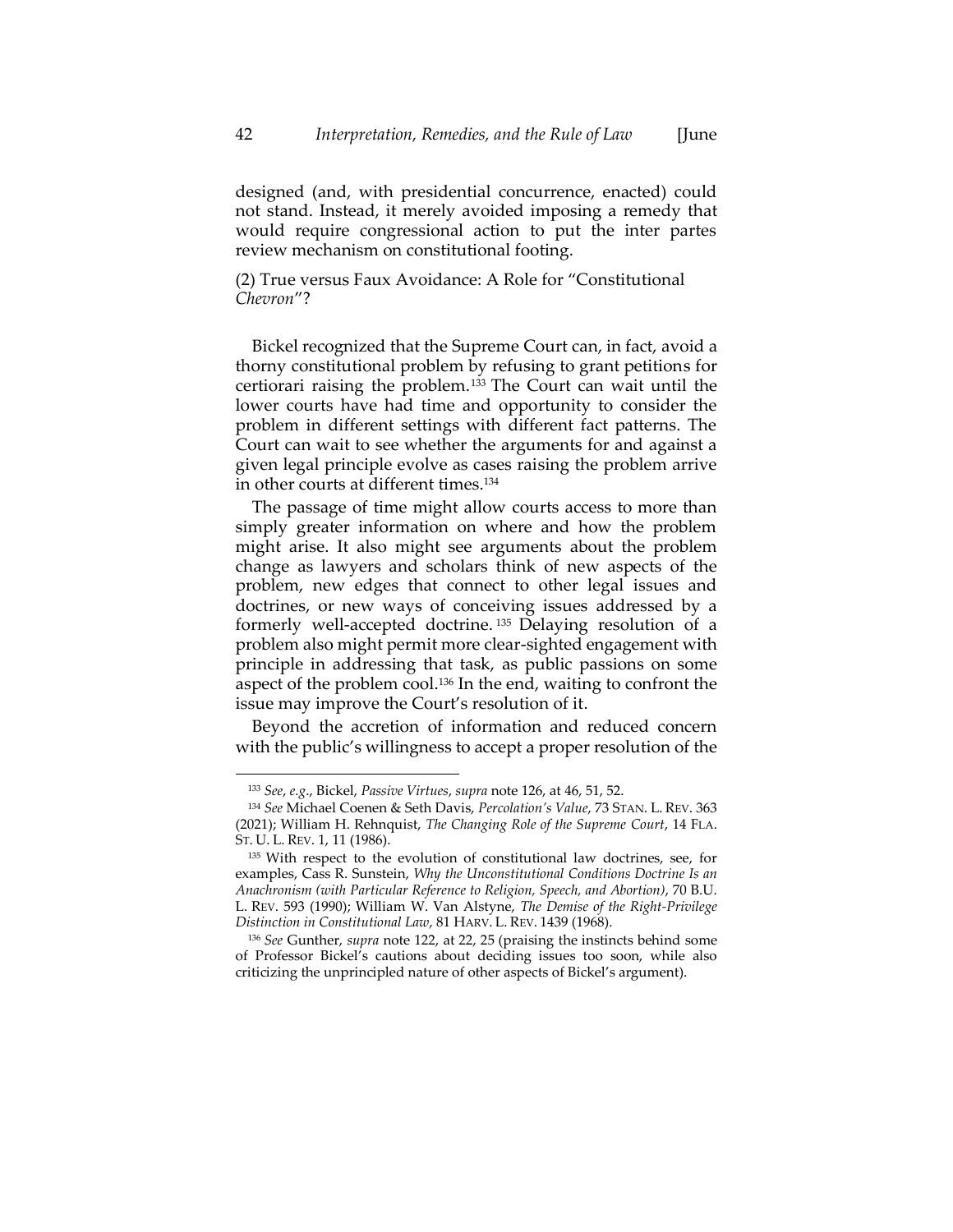designed (and, with presidential concurrence, enacted) could not stand. Instead, it merely avoided imposing a remedy that would require congressional action to put the inter partes review mechanism on constitutional footing.

(2) True versus Faux Avoidance: A Role for "Constitutional *Chevron*"?

Bickel recognized that the Supreme Court can, in fact, avoid a thorny constitutional problem by refusing to grant petitions for certiorari raising the problem.<sup>133</sup> The Court can wait until the lower courts have had time and opportunity to consider the problem in different settings with different fact patterns. The Court can wait to see whether the arguments for and against a given legal principle evolve as cases raising the problem arrive in other courts at different times.<sup>134</sup>

The passage of time might allow courts access to more than simply greater information on where and how the problem might arise. It also might see arguments about the problem change as lawyers and scholars think of new aspects of the problem, new edges that connect to other legal issues and doctrines, or new ways of conceiving issues addressed by a formerly well-accepted doctrine. <sup>135</sup> Delaying resolution of a problem also might permit more clear-sighted engagement with principle in addressing that task, as public passions on some aspect of the problem cool. <sup>136</sup> In the end, waiting to confront the issue may improve the Court's resolution of it.

Beyond the accretion of information and reduced concern with the public's willingness to accept a proper resolution of the

<sup>133</sup> *See*, *e.g*., Bickel, *Passive Virtues*, *supra* not[e 126,](#page-40-0) at 46, 51, 52.

<sup>134</sup> *See* Michael Coenen & Seth Davis, *Percolation's Value*, 73 STAN. L. REV. 363 (2021); William H. Rehnquist, *The Changing Role of the Supreme Court*, 14 FLA. ST. U. L. REV. 1, 11 (1986).

<sup>135</sup> With respect to the evolution of constitutional law doctrines, see, for examples, Cass R. Sunstein, *Why the Unconstitutional Conditions Doctrine Is an Anachronism (with Particular Reference to Religion, Speech, and Abortion)*, 70 B.U. L. REV. 593 (1990); William W. Van Alstyne, *The Demise of the Right-Privilege Distinction in Constitutional Law*, 81 HARV. L. REV. 1439 (1968).

<sup>136</sup> *See* Gunther, *supra* note [122,](#page-39-0) at 22, 25 (praising the instincts behind some of Professor Bickel's cautions about deciding issues too soon, while also criticizing the unprincipled nature of other aspects of Bickel's argument).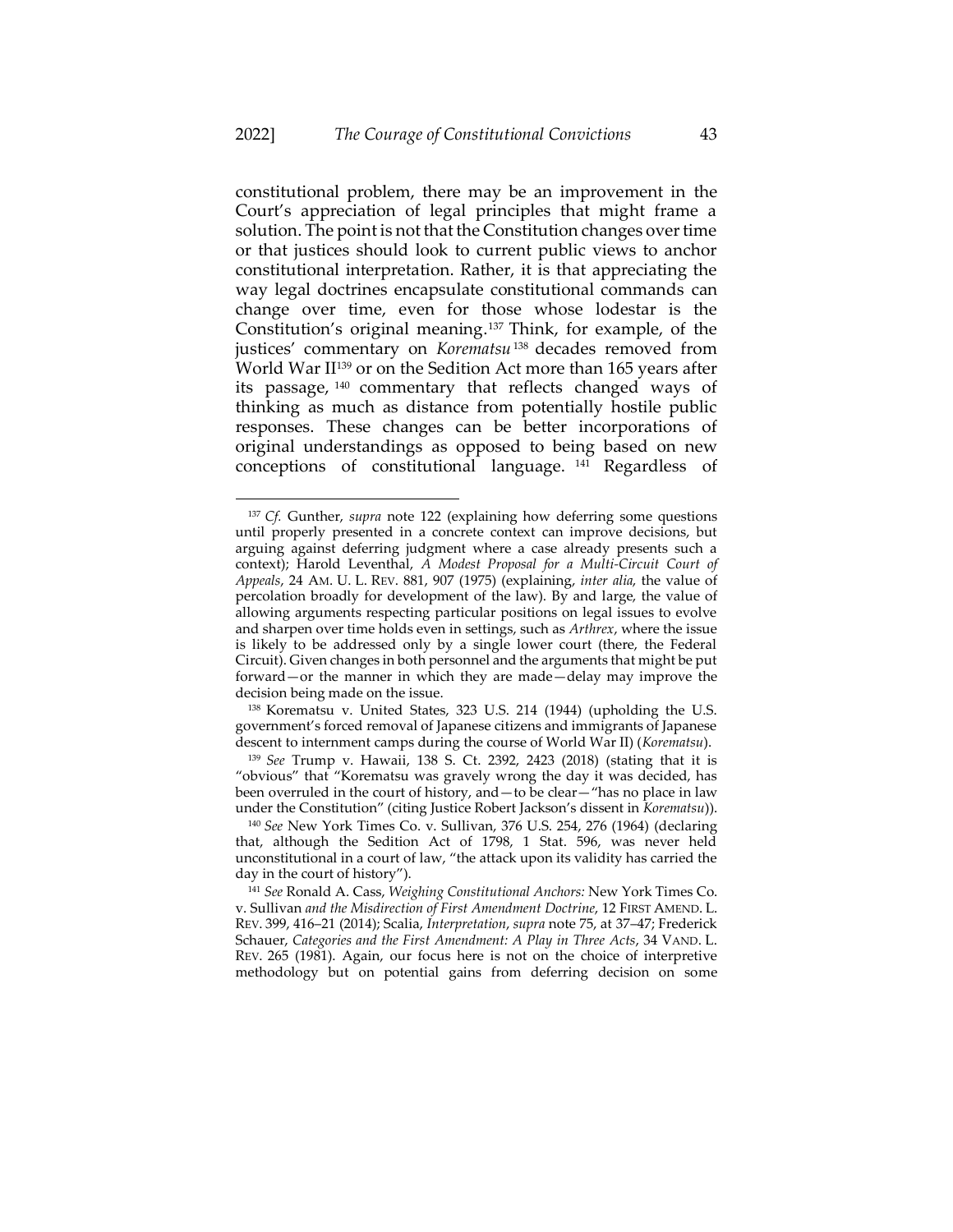constitutional problem, there may be an improvement in the Court's appreciation of legal principles that might frame a solution. The point is not that the Constitution changes over time or that justices should look to current public views to anchor constitutional interpretation. Rather, it is that appreciating the way legal doctrines encapsulate constitutional commands can change over time, even for those whose lodestar is the Constitution's original meaning. <sup>137</sup> Think, for example, of the justices' commentary on *Korematsu*<sup>138</sup> decades removed from World War II<sup>139</sup> or on the Sedition Act more than 165 years after its passage, <sup>140</sup> commentary that reflects changed ways of thinking as much as distance from potentially hostile public responses. These changes can be better incorporations of original understandings as opposed to being based on new conceptions of constitutional language. <sup>141</sup> Regardless of

<sup>137</sup> *Cf.* Gunther, *supra* note [122](#page-39-0) (explaining how deferring some questions until properly presented in a concrete context can improve decisions, but arguing against deferring judgment where a case already presents such a context); Harold Leventhal, *A Modest Proposal for a Multi-Circuit Court of Appeals*, 24 AM. U. L. REV. 881, 907 (1975) (explaining, *inter alia*, the value of percolation broadly for development of the law). By and large, the value of allowing arguments respecting particular positions on legal issues to evolve and sharpen over time holds even in settings, such as *Arthrex*, where the issue is likely to be addressed only by a single lower court (there, the Federal Circuit). Given changes in both personnel and the arguments that might be put forward—or the manner in which they are made—delay may improve the decision being made on the issue.

<sup>138</sup> Korematsu v. United States, 323 U.S. 214 (1944) (upholding the U.S. government's forced removal of Japanese citizens and immigrants of Japanese descent to internment camps during the course of World War II) (*Korematsu*).

<sup>139</sup> *See* Trump v. Hawaii, 138 S. Ct. 2392, 2423 (2018) (stating that it is "obvious" that "Korematsu was gravely wrong the day it was decided, has been overruled in the court of history, and—to be clear—"has no place in law under the Constitution" (citing Justice Robert Jackson's dissent in *Korematsu*)).

<sup>140</sup> *See* New York Times Co. v. Sullivan, 376 U.S. 254, 276 (1964) (declaring that, although the Sedition Act of 1798, 1 Stat. 596, was never held unconstitutional in a court of law, "the attack upon its validity has carried the day in the court of history").

<sup>141</sup> *See* Ronald A. Cass, *Weighing Constitutional Anchors:* New York Times Co. v. Sullivan *and the Misdirection of First Amendment Doctrine*, 12 FIRST AMEND. L. REV. 399, 416–21 (2014); Scalia, *Interpretation*, *supra* not[e 75,](#page-26-0) at 37–47; Frederick Schauer, *Categories and the First Amendment: A Play in Three Acts*, 34 VAND. L. REV. 265 (1981). Again, our focus here is not on the choice of interpretive methodology but on potential gains from deferring decision on some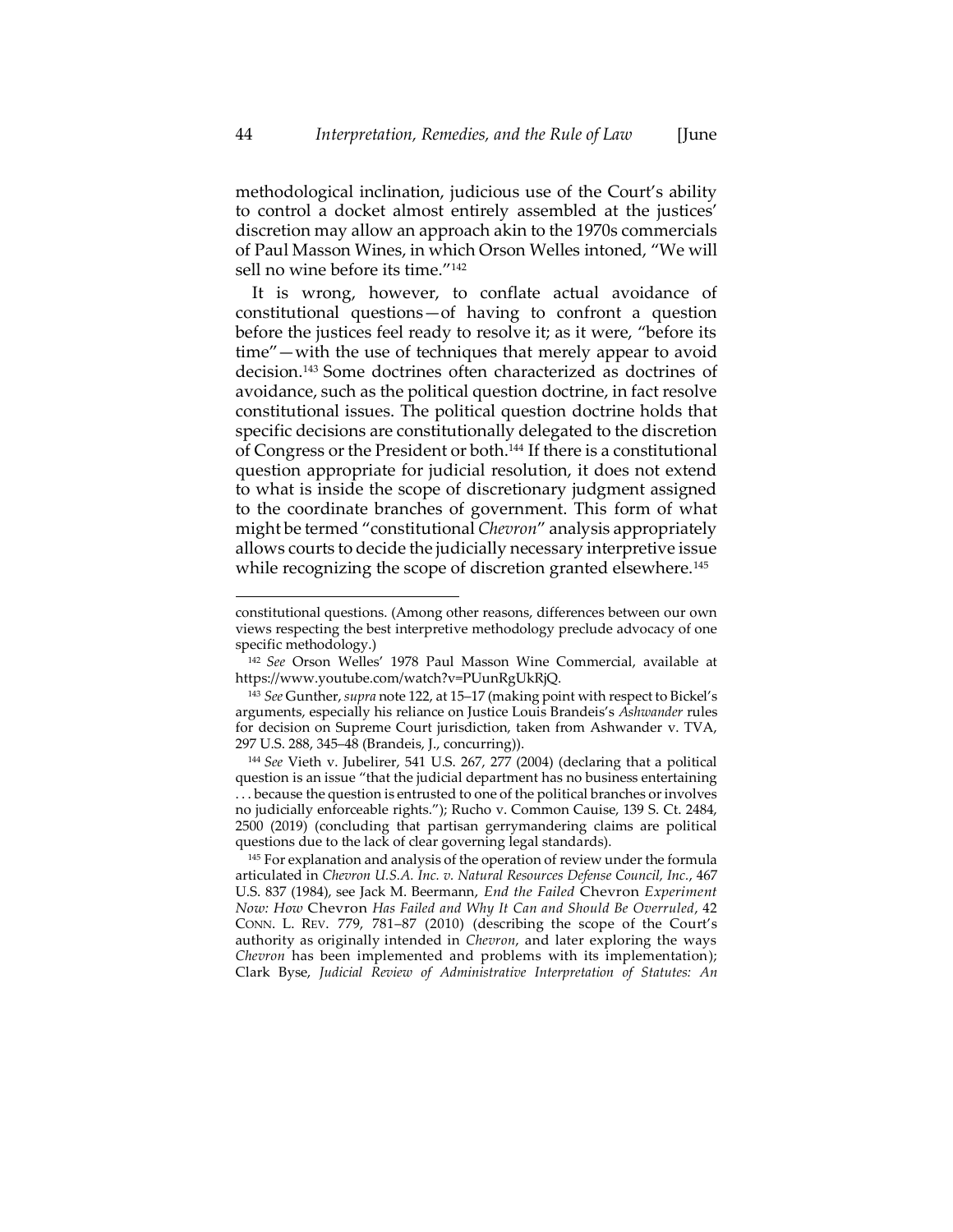methodological inclination, judicious use of the Court's ability to control a docket almost entirely assembled at the justices' discretion may allow an approach akin to the 1970s commercials of Paul Masson Wines, in which Orson Welles intoned, "We will sell no wine before its time."<sup>142</sup>

It is wrong, however, to conflate actual avoidance of constitutional questions—of having to confront a question before the justices feel ready to resolve it; as it were, "before its time"—with the use of techniques that merely appear to avoid decision. <sup>143</sup> Some doctrines often characterized as doctrines of avoidance, such as the political question doctrine, in fact resolve constitutional issues. The political question doctrine holds that specific decisions are constitutionally delegated to the discretion of Congress or the President or both.<sup>144</sup> If there is a constitutional question appropriate for judicial resolution, it does not extend to what is inside the scope of discretionary judgment assigned to the coordinate branches of government. This form of what might be termed "constitutional *Chevron*" analysis appropriately allows courts to decide the judicially necessary interpretive issue while recognizing the scope of discretion granted elsewhere.<sup>145</sup>

<span id="page-44-0"></span>constitutional questions. (Among other reasons, differences between our own views respecting the best interpretive methodology preclude advocacy of one specific methodology.)

<sup>142</sup> *See* Orson Welles' 1978 Paul Masson Wine Commercial, available at https://www.youtube.com/watch?v=PUunRgUkRjQ.

<sup>143</sup> *See* Gunther, *supra* not[e 122,](#page-39-0) at 15–17 (making point with respect to Bickel's arguments, especially his reliance on Justice Louis Brandeis's *Ashwander* rules for decision on Supreme Court jurisdiction, taken from Ashwander v. TVA, 297 U.S. 288, 345–48 (Brandeis, J., concurring)).

<sup>144</sup> *See* Vieth v. Jubelirer, 541 U.S. 267, 277 (2004) (declaring that a political question is an issue "that the judicial department has no business entertaining . . . because the question is entrusted to one of the political branches or involves no judicially enforceable rights."); Rucho v. Common Cauise, 139 S. Ct. 2484, 2500 (2019) (concluding that partisan gerrymandering claims are political questions due to the lack of clear governing legal standards).

<sup>&</sup>lt;sup>145</sup> For explanation and analysis of the operation of review under the formula articulated in *Chevron U.S.A. Inc. v. Natural Resources Defense Council, Inc.*, 467 U.S. 837 (1984), see Jack M. Beermann, *End the Failed* Chevron *Experiment Now: How* Chevron *Has Failed and Why It Can and Should Be Overruled*, 42 CONN. L. REV. 779, 781–87 (2010) (describing the scope of the Court's authority as originally intended in *Chevron*, and later exploring the ways *Chevron* has been implemented and problems with its implementation); Clark Byse, *Judicial Review of Administrative Interpretation of Statutes: An*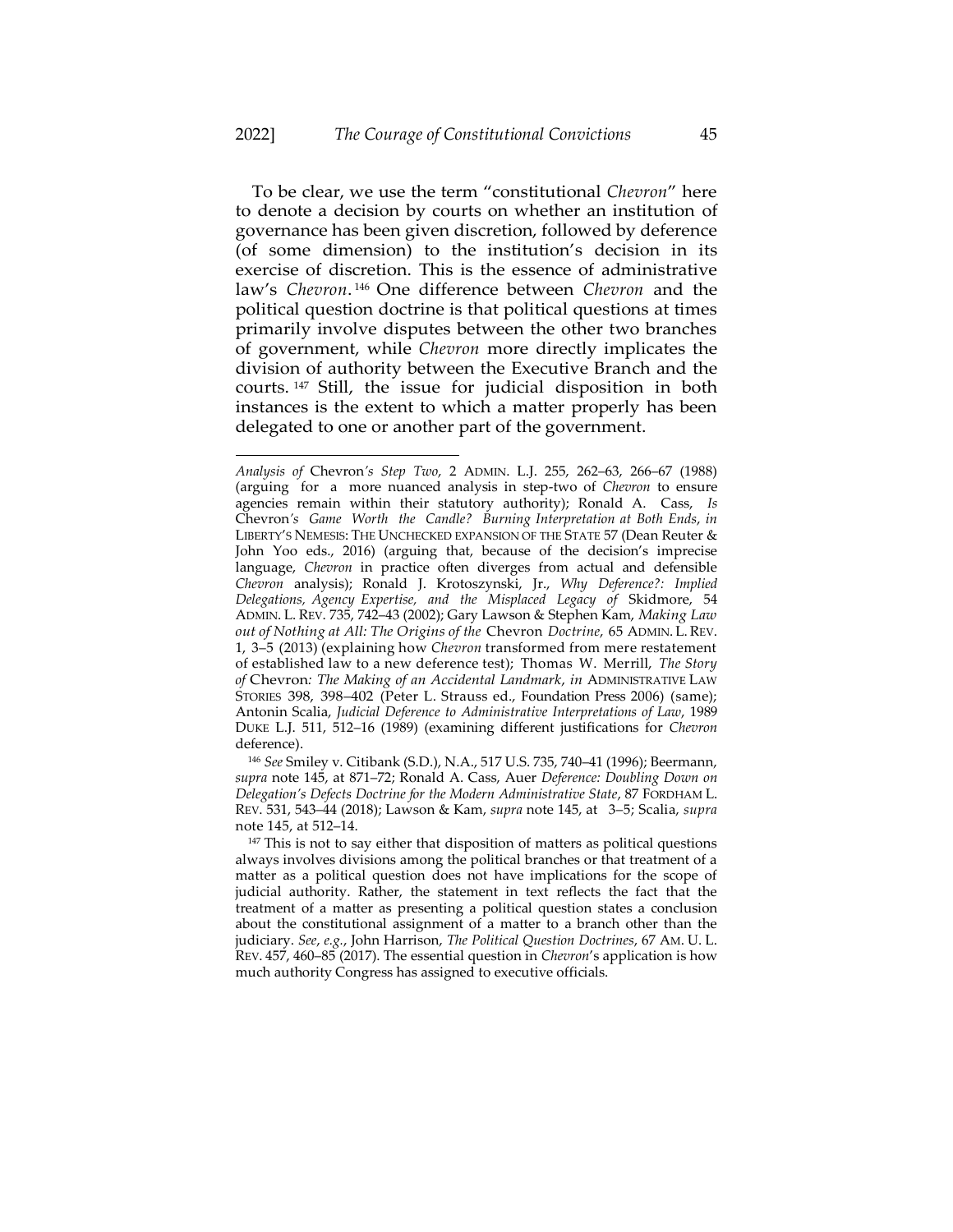To be clear, we use the term "constitutional *Chevron*" here to denote a decision by courts on whether an institution of governance has been given discretion, followed by deference (of some dimension) to the institution's decision in its exercise of discretion. This is the essence of administrative law's *Chevron*. <sup>146</sup> One difference between *Chevron* and the political question doctrine is that political questions at times primarily involve disputes between the other two branches of government, while *Chevron* more directly implicates the division of authority between the Executive Branch and the courts. <sup>147</sup> Still, the issue for judicial disposition in both instances is the extent to which a matter properly has been delegated to one or another part of the government.

*Analysis of* Chevron*'s Step Two*, 2 ADMIN. L.J. 255, 262–63, 266–67 (1988) (arguing for a more nuanced analysis in step-two of *Chevron* to ensure agencies remain within their statutory authority); Ronald A. Cass, *Is* Chevron*'s Game Worth the Candle? Burning Interpretation at Both Ends*, *in*  LIBERTY'S NEMESIS: THE UNCHECKED EXPANSION OF THE STATE 57 (Dean Reuter & John Yoo eds., 2016) (arguing that, because of the decision's imprecise language, *Chevron* in practice often diverges from actual and defensible *Chevron* analysis); Ronald J. Krotoszynski, Jr., *Why Deference?: Implied Delegations, Agency Expertise, and the Misplaced Legacy of* Skidmore, 54 ADMIN. L. REV. 735, 742–43 (2002); Gary Lawson & Stephen Kam, *Making Law out of Nothing at All: The Origins of the* Chevron *Doctrine*, 65 ADMIN. L.REV. 1, 3–5 (2013) (explaining how *Chevron* transformed from mere restatement of established law to a new deference test); Thomas W. Merrill, *The Story of* Chevron*: The Making of an Accidental Landmark*, *in* ADMINISTRATIVE LAW STORIES 398, 398–402 (Peter L. Strauss ed., Foundation Press 2006) (same); Antonin Scalia, *Judicial Deference to Administrative Interpretations of Law*, 1989 DUKE L.J. 511, 512–16 (1989) (examining different justifications for *Chevron*  deference).

<sup>146</sup> *See* Smiley v. Citibank (S.D.), N.A., 517 U.S. 735, 740–41 (1996); Beermann, *supra* note [145,](#page-44-0) at 871–72; Ronald A. Cass, Auer *Deference: Doubling Down on Delegation's Defects Doctrine for the Modern Administrative State*, 87 FORDHAM L. REV. 531, 543–44 (2018); Lawson & Kam, *supra* note [145,](#page-44-0) at 3–5; Scalia, *supra* note [145,](#page-44-0) at 512–14.

<sup>&</sup>lt;sup>147</sup> This is not to say either that disposition of matters as political questions always involves divisions among the political branches or that treatment of a matter as a political question does not have implications for the scope of judicial authority. Rather, the statement in text reflects the fact that the treatment of a matter as presenting a political question states a conclusion about the constitutional assignment of a matter to a branch other than the judiciary. *See*, *e.g.*, John Harrison, *The Political Question Doctrines*, 67 AM. U. L. REV. 457, 460–85 (2017). The essential question in *Chevron*'s application is how much authority Congress has assigned to executive officials.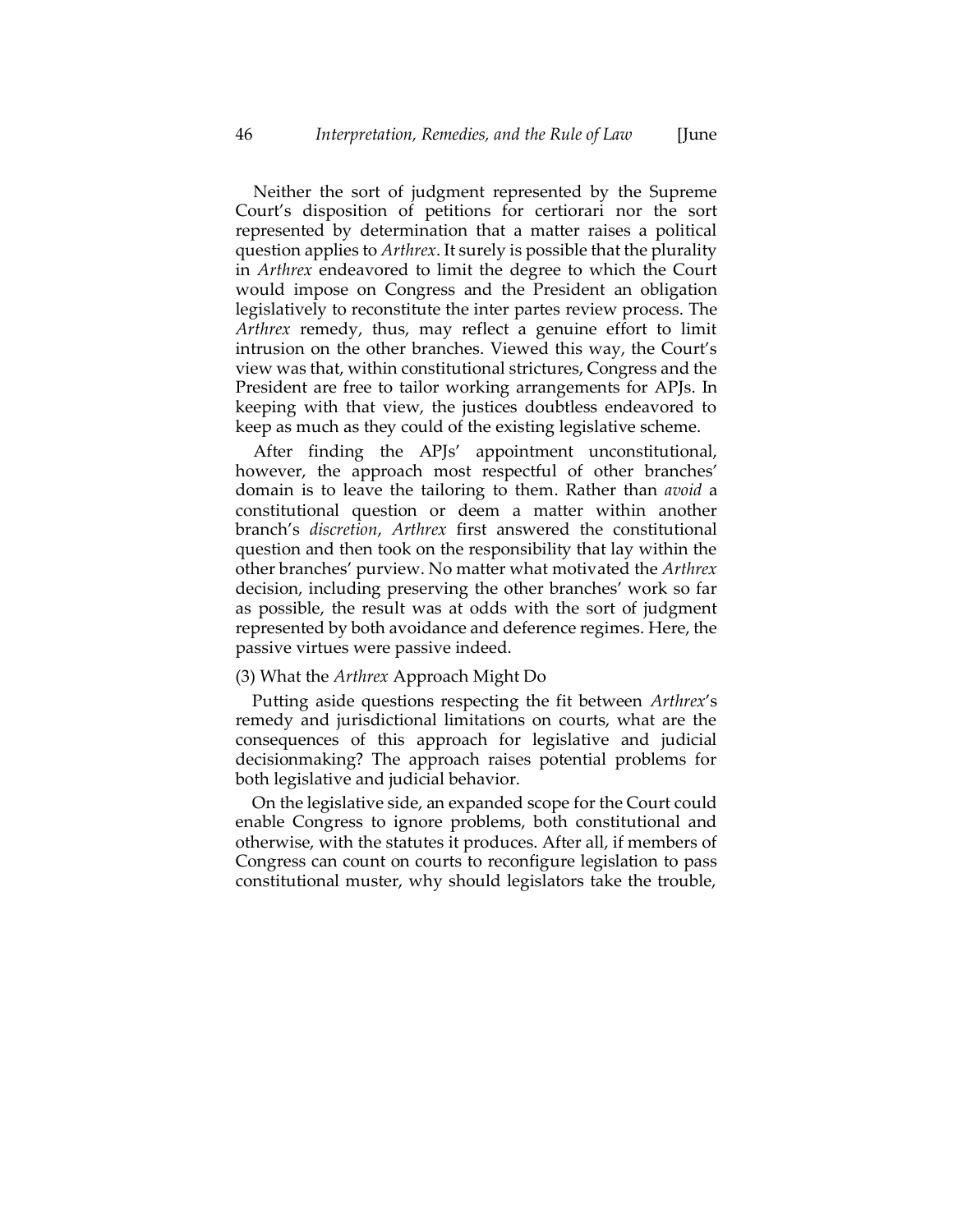Neither the sort of judgment represented by the Supreme Court's disposition of petitions for certiorari nor the sort represented by determination that a matter raises a political question applies to *Arthrex*. It surely is possible that the plurality in *Arthrex* endeavored to limit the degree to which the Court would impose on Congress and the President an obligation legislatively to reconstitute the inter partes review process. The *Arthrex* remedy, thus, may reflect a genuine effort to limit intrusion on the other branches. Viewed this way, the Court's view was that, within constitutional strictures, Congress and the President are free to tailor working arrangements for APJs. In keeping with that view, the justices doubtless endeavored to keep as much as they could of the existing legislative scheme.

After finding the APJs' appointment unconstitutional, however, the approach most respectful of other branches' domain is to leave the tailoring to them. Rather than *avoid* a constitutional question or deem a matter within another branch's *discretion*, *Arthrex* first answered the constitutional question and then took on the responsibility that lay within the other branches' purview. No matter what motivated the *Arthrex* decision, including preserving the other branches' work so far as possible, the result was at odds with the sort of judgment represented by both avoidance and deference regimes. Here, the passive virtues were passive indeed.

#### (3) What the *Arthrex* Approach Might Do

Putting aside questions respecting the fit between *Arthrex*'s remedy and jurisdictional limitations on courts, what are the consequences of this approach for legislative and judicial decisionmaking? The approach raises potential problems for both legislative and judicial behavior.

On the legislative side, an expanded scope for the Court could enable Congress to ignore problems, both constitutional and otherwise, with the statutes it produces. After all, if members of Congress can count on courts to reconfigure legislation to pass constitutional muster, why should legislators take the trouble,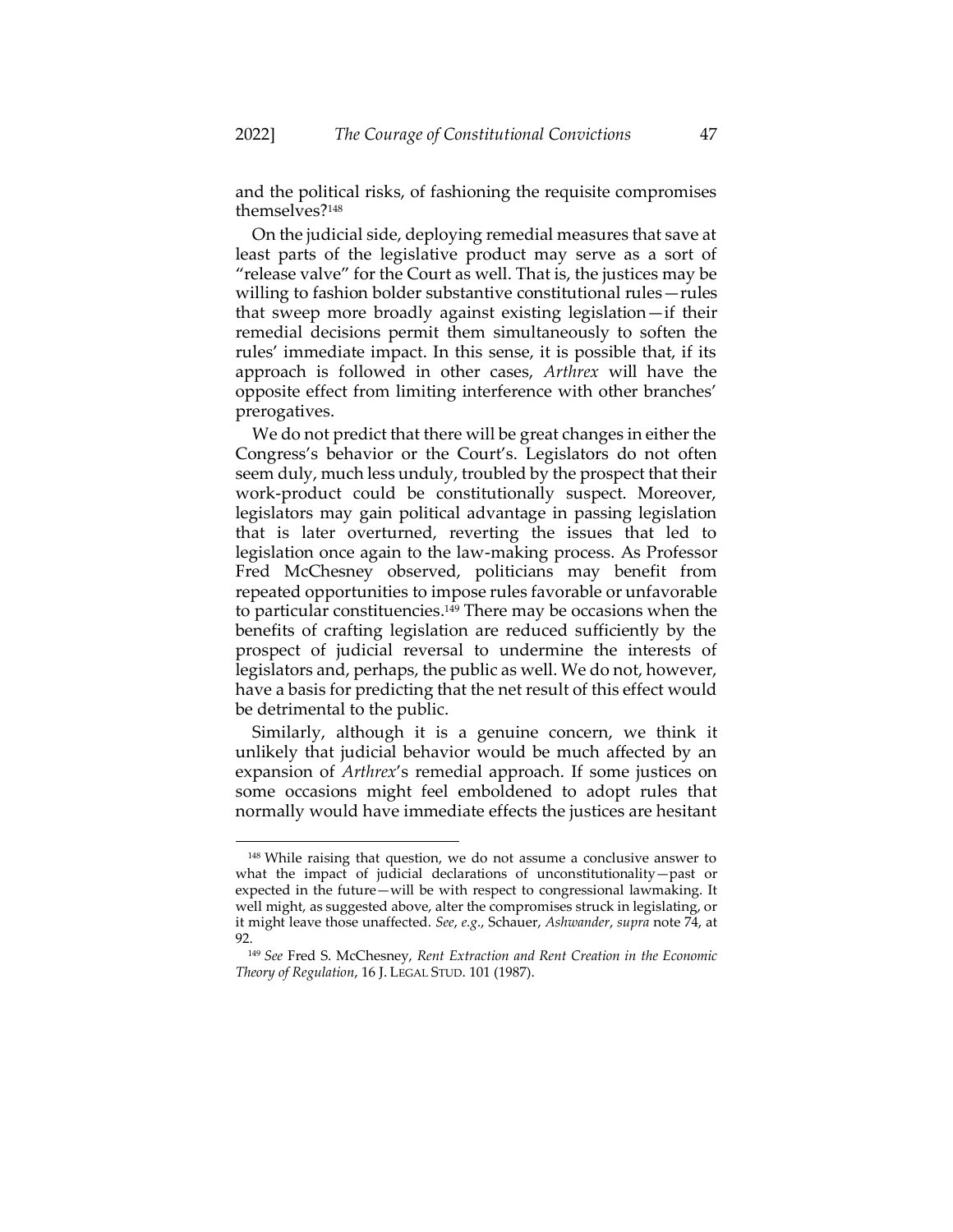<span id="page-47-0"></span>and the political risks, of fashioning the requisite compromises themselves?<sup>148</sup>

On the judicial side, deploying remedial measures that save at least parts of the legislative product may serve as a sort of "release valve" for the Court as well. That is, the justices may be willing to fashion bolder substantive constitutional rules—rules that sweep more broadly against existing legislation—if their remedial decisions permit them simultaneously to soften the rules' immediate impact. In this sense, it is possible that, if its approach is followed in other cases, *Arthrex* will have the opposite effect from limiting interference with other branches' prerogatives.

We do not predict that there will be great changes in either the Congress's behavior or the Court's. Legislators do not often seem duly, much less unduly, troubled by the prospect that their work-product could be constitutionally suspect. Moreover, legislators may gain political advantage in passing legislation that is later overturned, reverting the issues that led to legislation once again to the law-making process. As Professor Fred McChesney observed, politicians may benefit from repeated opportunities to impose rules favorable or unfavorable to particular constituencies.<sup>149</sup> There may be occasions when the benefits of crafting legislation are reduced sufficiently by the prospect of judicial reversal to undermine the interests of legislators and, perhaps, the public as well. We do not, however, have a basis for predicting that the net result of this effect would be detrimental to the public.

Similarly, although it is a genuine concern, we think it unlikely that judicial behavior would be much affected by an expansion of *Arthrex*'s remedial approach. If some justices on some occasions might feel emboldened to adopt rules that normally would have immediate effects the justices are hesitant

<sup>148</sup> While raising that question, we do not assume a conclusive answer to what the impact of judicial declarations of unconstitutionality—past or expected in the future—will be with respect to congressional lawmaking. It well might, as suggested above, alter the compromises struck in legislating, or it might leave those unaffected. *See*, *e.g*., Schauer, *Ashwander*, *supra* not[e 74,](#page-25-0) at 92.

<sup>149</sup> *See* Fred S. McChesney, *Rent Extraction and Rent Creation in the Economic Theory of Regulation*, 16 J. LEGAL STUD. 101 (1987).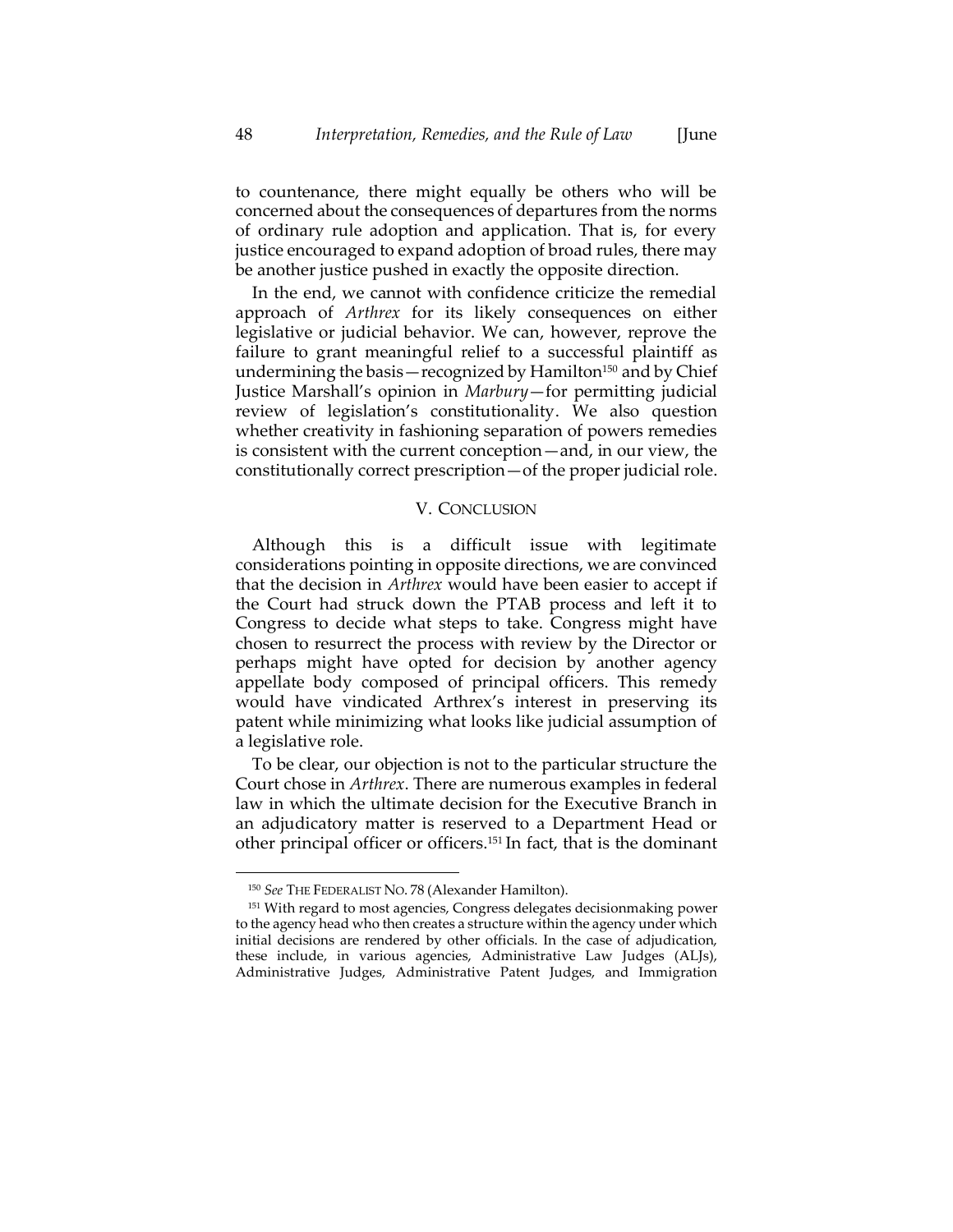to countenance, there might equally be others who will be concerned about the consequences of departures from the norms of ordinary rule adoption and application. That is, for every justice encouraged to expand adoption of broad rules, there may be another justice pushed in exactly the opposite direction.

In the end, we cannot with confidence criticize the remedial approach of *Arthrex* for its likely consequences on either legislative or judicial behavior. We can, however, reprove the failure to grant meaningful relief to a successful plaintiff as undermining the basis—recognized by Hamilton<sup>150</sup> and by Chief Justice Marshall's opinion in *Marbury*—for permitting judicial review of legislation's constitutionality. We also question whether creativity in fashioning separation of powers remedies is consistent with the current conception—and, in our view, the constitutionally correct prescription—of the proper judicial role.

#### V. CONCLUSION

Although this is a difficult issue with legitimate considerations pointing in opposite directions, we are convinced that the decision in *Arthrex* would have been easier to accept if the Court had struck down the PTAB process and left it to Congress to decide what steps to take. Congress might have chosen to resurrect the process with review by the Director or perhaps might have opted for decision by another agency appellate body composed of principal officers. This remedy would have vindicated Arthrex's interest in preserving its patent while minimizing what looks like judicial assumption of a legislative role.

To be clear, our objection is not to the particular structure the Court chose in *Arthrex*. There are numerous examples in federal law in which the ultimate decision for the Executive Branch in an adjudicatory matter is reserved to a Department Head or other principal officer or officers.<sup>151</sup> In fact, that is the dominant

<sup>150</sup> *See* THE FEDERALIST NO. 78 (Alexander Hamilton).

<sup>151</sup> With regard to most agencies, Congress delegates decisionmaking power to the agency head who then creates a structure within the agency under which initial decisions are rendered by other officials. In the case of adjudication, these include, in various agencies, Administrative Law Judges (ALJs), Administrative Judges, Administrative Patent Judges, and Immigration